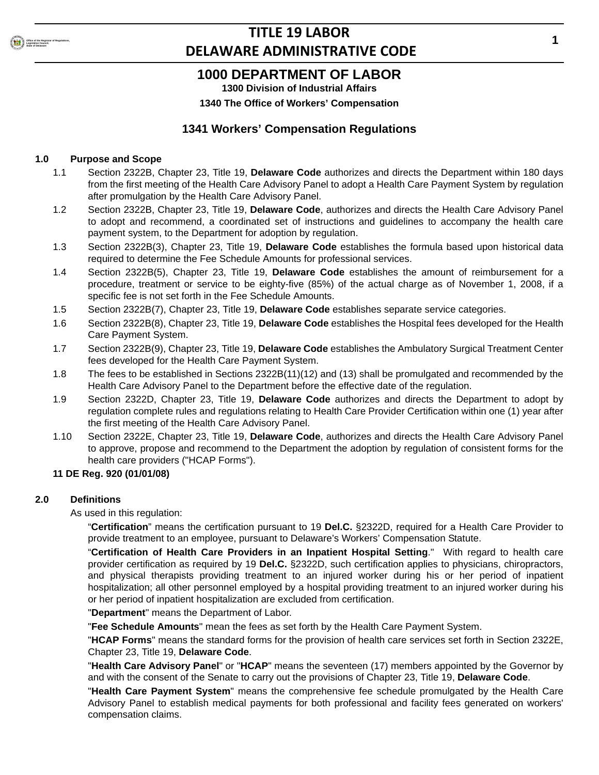

## **1000 DEPARTMENT OF LABOR**

**1300 Division of Industrial Affairs**

**1340 The Office of Workers' Compensation**

## **1341 Workers' Compensation Regulations**

## **1.0 Purpose and Scope**

- 1.1 Section 2322B, Chapter 23, Title 19, **Delaware Code** authorizes and directs the Department within 180 days from the first meeting of the Health Care Advisory Panel to adopt a Health Care Payment System by regulation after promulgation by the Health Care Advisory Panel.
- 1.2 Section 2322B, Chapter 23, Title 19, **Delaware Code**, authorizes and directs the Health Care Advisory Panel to adopt and recommend, a coordinated set of instructions and guidelines to accompany the health care payment system, to the Department for adoption by regulation.
- 1.3 Section 2322B(3), Chapter 23, Title 19, **Delaware Code** establishes the formula based upon historical data required to determine the Fee Schedule Amounts for professional services.
- 1.4 Section 2322B(5), Chapter 23, Title 19, **Delaware Code** establishes the amount of reimbursement for a procedure, treatment or service to be eighty-five (85%) of the actual charge as of November 1, 2008, if a specific fee is not set forth in the Fee Schedule Amounts.
- 1.5 Section 2322B(7), Chapter 23, Title 19, **Delaware Code** establishes separate service categories.
- 1.6 Section 2322B(8), Chapter 23, Title 19, **Delaware Code** establishes the Hospital fees developed for the Health Care Payment System.
- 1.7 Section 2322B(9), Chapter 23, Title 19, **Delaware Code** establishes the Ambulatory Surgical Treatment Center fees developed for the Health Care Payment System.
- 1.8 The fees to be established in Sections 2322B(11)(12) and (13) shall be promulgated and recommended by the Health Care Advisory Panel to the Department before the effective date of the regulation.
- 1.9 Section 2322D, Chapter 23, Title 19, **Delaware Code** authorizes and directs the Department to adopt by regulation complete rules and regulations relating to Health Care Provider Certification within one (1) year after the first meeting of the Health Care Advisory Panel.
- 1.10 Section 2322E, Chapter 23, Title 19, **Delaware Code**, authorizes and directs the Health Care Advisory Panel to approve, propose and recommend to the Department the adoption by regulation of consistent forms for the health care providers ("HCAP Forms").

## **11 DE Reg. 920 (01/01/08)**

### **2.0 Definitions**

As used in this regulation:

"**Certification**" means the certification pursuant to 19 **Del.C.** §2322D, required for a Health Care Provider to provide treatment to an employee, pursuant to Delaware's Workers' Compensation Statute.

"**Certification of Health Care Providers in an Inpatient Hospital Setting**." With regard to health care provider certification as required by 19 **Del.C.** §2322D, such certification applies to physicians, chiropractors, and physical therapists providing treatment to an injured worker during his or her period of inpatient hospitalization; all other personnel employed by a hospital providing treatment to an injured worker during his or her period of inpatient hospitalization are excluded from certification.

"**Department**" means the Department of Labor.

"**Fee Schedule Amounts**" mean the fees as set forth by the Health Care Payment System.

"**HCAP Forms**" means the standard forms for the provision of health care services set forth in Section 2322E, Chapter 23, Title 19, **Delaware Code**.

"**Health Care Advisory Panel**" or "**HCAP**" means the seventeen (17) members appointed by the Governor by and with the consent of the Senate to carry out the provisions of Chapter 23, Title 19, **Delaware Code**.

"**Health Care Payment System**" means the comprehensive fee schedule promulgated by the Health Care Advisory Panel to establish medical payments for both professional and facility fees generated on workers' compensation claims.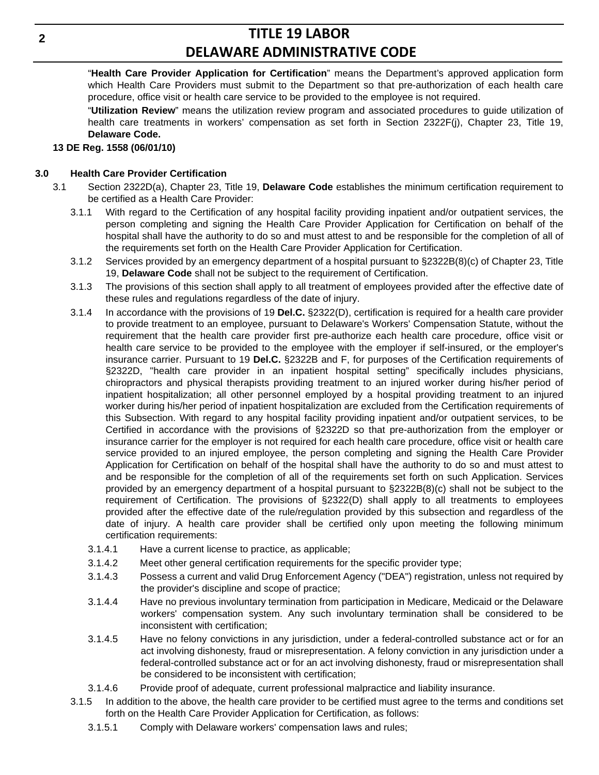"**Health Care Provider Application for Certification**" means the Department's approved application form which Health Care Providers must submit to the Department so that pre-authorization of each health care procedure, office visit or health care service to be provided to the employee is not required.

"**Utilization Review**" means the utilization review program and associated procedures to guide utilization of health care treatments in workers' compensation as set forth in Section 2322F(j), Chapter 23, Title 19, **Delaware Code.**

### **13 DE Reg. 1558 (06/01/10)**

## **3.0 Health Care Provider Certification**

- 3.1 Section 2322D(a), Chapter 23, Title 19, **Delaware Code** establishes the minimum certification requirement to be certified as a Health Care Provider:
	- 3.1.1 With regard to the Certification of any hospital facility providing inpatient and/or outpatient services, the person completing and signing the Health Care Provider Application for Certification on behalf of the hospital shall have the authority to do so and must attest to and be responsible for the completion of all of the requirements set forth on the Health Care Provider Application for Certification.
	- 3.1.2 Services provided by an emergency department of a hospital pursuant to §2322B(8)(c) of Chapter 23, Title 19, **Delaware Code** shall not be subject to the requirement of Certification.
	- 3.1.3 The provisions of this section shall apply to all treatment of employees provided after the effective date of these rules and regulations regardless of the date of injury.
	- 3.1.4 In accordance with the provisions of 19 **Del.C.** §2322(D), certification is required for a health care provider to provide treatment to an employee, pursuant to Delaware's Workers' Compensation Statute, without the requirement that the health care provider first pre-authorize each health care procedure, office visit or health care service to be provided to the employee with the employer if self-insured, or the employer's insurance carrier. Pursuant to 19 **Del.C.** §2322B and F, for purposes of the Certification requirements of §2322D, "health care provider in an inpatient hospital setting" specifically includes physicians, chiropractors and physical therapists providing treatment to an injured worker during his/her period of inpatient hospitalization; all other personnel employed by a hospital providing treatment to an injured worker during his/her period of inpatient hospitalization are excluded from the Certification requirements of this Subsection. With regard to any hospital facility providing inpatient and/or outpatient services, to be Certified in accordance with the provisions of §2322D so that pre-authorization from the employer or insurance carrier for the employer is not required for each health care procedure, office visit or health care service provided to an injured employee, the person completing and signing the Health Care Provider Application for Certification on behalf of the hospital shall have the authority to do so and must attest to and be responsible for the completion of all of the requirements set forth on such Application. Services provided by an emergency department of a hospital pursuant to §2322B(8)(c) shall not be subject to the requirement of Certification. The provisions of §2322(D) shall apply to all treatments to employees provided after the effective date of the rule/regulation provided by this subsection and regardless of the date of injury. A health care provider shall be certified only upon meeting the following minimum certification requirements:
		- 3.1.4.1 Have a current license to practice, as applicable;
		- 3.1.4.2 Meet other general certification requirements for the specific provider type;
		- 3.1.4.3 Possess a current and valid Drug Enforcement Agency ("DEA") registration, unless not required by the provider's discipline and scope of practice;
		- 3.1.4.4 Have no previous involuntary termination from participation in Medicare, Medicaid or the Delaware workers' compensation system. Any such involuntary termination shall be considered to be inconsistent with certification;
		- 3.1.4.5 Have no felony convictions in any jurisdiction, under a federal-controlled substance act or for an act involving dishonesty, fraud or misrepresentation. A felony conviction in any jurisdiction under a federal-controlled substance act or for an act involving dishonesty, fraud or misrepresentation shall be considered to be inconsistent with certification;
		- 3.1.4.6 Provide proof of adequate, current professional malpractice and liability insurance.
	- 3.1.5 In addition to the above, the health care provider to be certified must agree to the terms and conditions set forth on the Health Care Provider Application for Certification, as follows:
		- 3.1.5.1 Comply with Delaware workers' compensation laws and rules;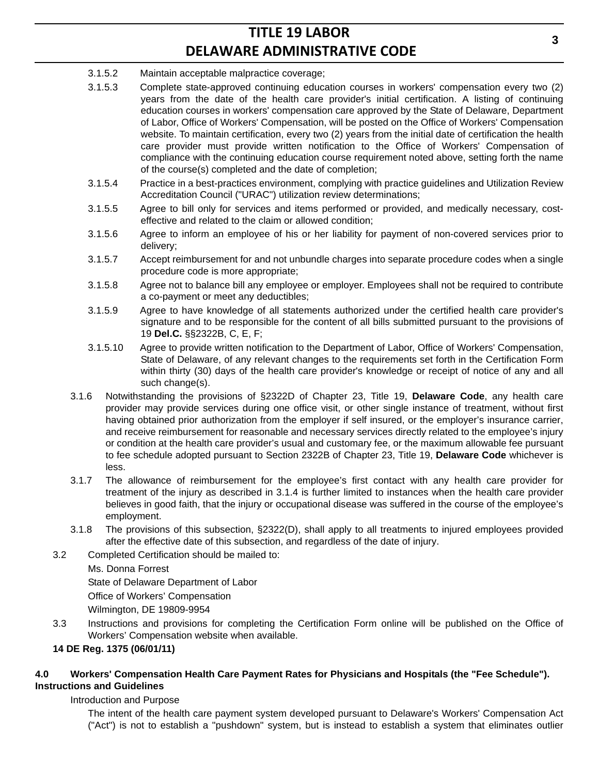- 3.1.5.2 Maintain acceptable malpractice coverage;
- 3.1.5.3 Complete state-approved continuing education courses in workers' compensation every two (2) years from the date of the health care provider's initial certification. A listing of continuing education courses in workers' compensation care approved by the State of Delaware, Department of Labor, Office of Workers' Compensation, will be posted on the Office of Workers' Compensation website. To maintain certification, every two (2) years from the initial date of certification the health care provider must provide written notification to the Office of Workers' Compensation of compliance with the continuing education course requirement noted above, setting forth the name of the course(s) completed and the date of completion;
- 3.1.5.4 Practice in a best-practices environment, complying with practice guidelines and Utilization Review Accreditation Council ("URAC") utilization review determinations;
- 3.1.5.5 Agree to bill only for services and items performed or provided, and medically necessary, costeffective and related to the claim or allowed condition;
- 3.1.5.6 Agree to inform an employee of his or her liability for payment of non-covered services prior to delivery;
- 3.1.5.7 Accept reimbursement for and not unbundle charges into separate procedure codes when a single procedure code is more appropriate;
- 3.1.5.8 Agree not to balance bill any employee or employer. Employees shall not be required to contribute a co-payment or meet any deductibles;
- 3.1.5.9 Agree to have knowledge of all statements authorized under the certified health care provider's signature and to be responsible for the content of all bills submitted pursuant to the provisions of 19 **Del.C.** §§2322B, C, E, F;
- 3.1.5.10 Agree to provide written notification to the Department of Labor, Office of Workers' Compensation, State of Delaware, of any relevant changes to the requirements set forth in the Certification Form within thirty (30) days of the health care provider's knowledge or receipt of notice of any and all such change(s).
- 3.1.6 Notwithstanding the provisions of §2322D of Chapter 23, Title 19, **Delaware Code**, any health care provider may provide services during one office visit, or other single instance of treatment, without first having obtained prior authorization from the employer if self insured, or the employer's insurance carrier, and receive reimbursement for reasonable and necessary services directly related to the employee's injury or condition at the health care provider's usual and customary fee, or the maximum allowable fee pursuant to fee schedule adopted pursuant to Section 2322B of Chapter 23, Title 19, **Delaware Code** whichever is less.
- 3.1.7 The allowance of reimbursement for the employee's first contact with any health care provider for treatment of the injury as described in 3.1.4 is further limited to instances when the health care provider believes in good faith, that the injury or occupational disease was suffered in the course of the employee's employment.
- 3.1.8 The provisions of this subsection, §2322(D), shall apply to all treatments to injured employees provided after the effective date of this subsection, and regardless of the date of injury.
- 3.2 Completed Certification should be mailed to:
	- Ms. Donna Forrest

State of Delaware Department of Labor

Office of Workers' Compensation

Wilmington, DE 19809-9954

3.3 Instructions and provisions for completing the Certification Form online will be published on the Office of Workers' Compensation website when available.

## **14 DE Reg. 1375 (06/01/11)**

## **4.0 Workers' Compensation Health Care Payment Rates for Physicians and Hospitals (the "Fee Schedule"). Instructions and Guidelines**

Introduction and Purpose

The intent of the health care payment system developed pursuant to Delaware's Workers' Compensation Act ("Act") is not to establish a "pushdown" system, but is instead to establish a system that eliminates outlier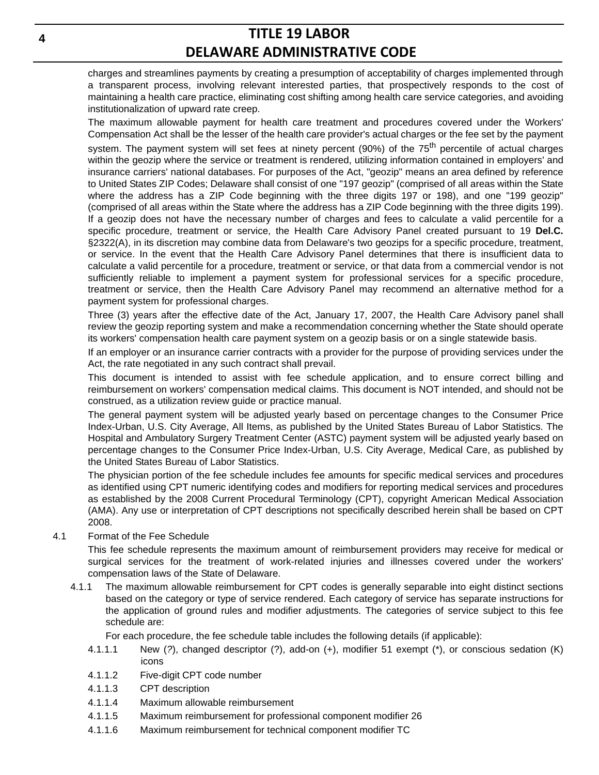charges and streamlines payments by creating a presumption of acceptability of charges implemented through a transparent process, involving relevant interested parties, that prospectively responds to the cost of maintaining a health care practice, eliminating cost shifting among health care service categories, and avoiding institutionalization of upward rate creep.

The maximum allowable payment for health care treatment and procedures covered under the Workers' Compensation Act shall be the lesser of the health care provider's actual charges or the fee set by the payment system. The payment system will set fees at ninety percent (90%) of the 75<sup>th</sup> percentile of actual charges within the geozip where the service or treatment is rendered, utilizing information contained in employers' and insurance carriers' national databases. For purposes of the Act, "geozip" means an area defined by reference to United States ZIP Codes; Delaware shall consist of one "197 geozip" (comprised of all areas within the State where the address has a ZIP Code beginning with the three digits 197 or 198), and one "199 geozip" (comprised of all areas within the State where the address has a ZIP Code beginning with the three digits 199). If a geozip does not have the necessary number of charges and fees to calculate a valid percentile for a specific procedure, treatment or service, the Health Care Advisory Panel created pursuant to 19 **Del.C.** §2322(A), in its discretion may combine data from Delaware's two geozips for a specific procedure, treatment, or service. In the event that the Health Care Advisory Panel determines that there is insufficient data to calculate a valid percentile for a procedure, treatment or service, or that data from a commercial vendor is not sufficiently reliable to implement a payment system for professional services for a specific procedure, treatment or service, then the Health Care Advisory Panel may recommend an alternative method for a payment system for professional charges.

Three (3) years after the effective date of the Act, January 17, 2007, the Health Care Advisory panel shall review the geozip reporting system and make a recommendation concerning whether the State should operate its workers' compensation health care payment system on a geozip basis or on a single statewide basis.

If an employer or an insurance carrier contracts with a provider for the purpose of providing services under the Act, the rate negotiated in any such contract shall prevail.

This document is intended to assist with fee schedule application, and to ensure correct billing and reimbursement on workers' compensation medical claims. This document is NOT intended, and should not be construed, as a utilization review guide or practice manual.

The general payment system will be adjusted yearly based on percentage changes to the Consumer Price Index-Urban, U.S. City Average, All Items, as published by the United States Bureau of Labor Statistics. The Hospital and Ambulatory Surgery Treatment Center (ASTC) payment system will be adjusted yearly based on percentage changes to the Consumer Price Index-Urban, U.S. City Average, Medical Care, as published by the United States Bureau of Labor Statistics.

The physician portion of the fee schedule includes fee amounts for specific medical services and procedures as identified using CPT numeric identifying codes and modifiers for reporting medical services and procedures as established by the 2008 Current Procedural Terminology (CPT), copyright American Medical Association (AMA). Any use or interpretation of CPT descriptions not specifically described herein shall be based on CPT 2008.

4.1 Format of the Fee Schedule

This fee schedule represents the maximum amount of reimbursement providers may receive for medical or surgical services for the treatment of work-related injuries and illnesses covered under the workers' compensation laws of the State of Delaware.

4.1.1 The maximum allowable reimbursement for CPT codes is generally separable into eight distinct sections based on the category or type of service rendered. Each category of service has separate instructions for the application of ground rules and modifier adjustments. The categories of service subject to this fee schedule are:

For each procedure, the fee schedule table includes the following details (if applicable):

- 4.1.1.1 New (*?*), changed descriptor (?), add-on (+), modifier 51 exempt (\*), or conscious sedation (K) icons
- 4.1.1.2 Five-digit CPT code number
- 4.1.1.3 CPT description
- 4.1.1.4 Maximum allowable reimbursement
- 4.1.1.5 Maximum reimbursement for professional component modifier 26
- 4.1.1.6 Maximum reimbursement for technical component modifier TC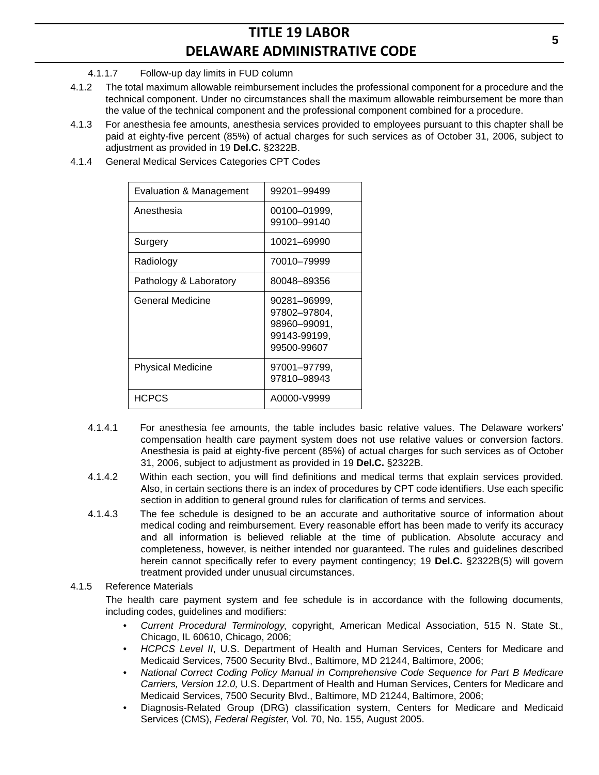## 4.1.1.7 Follow-up day limits in FUD column

- 4.1.2 The total maximum allowable reimbursement includes the professional component for a procedure and the technical component. Under no circumstances shall the maximum allowable reimbursement be more than the value of the technical component and the professional component combined for a procedure.
- 4.1.3 For anesthesia fee amounts, anesthesia services provided to employees pursuant to this chapter shall be paid at eighty-five percent (85%) of actual charges for such services as of October 31, 2006, subject to adjustment as provided in 19 **Del.C.** §2322B.
- 4.1.4 General Medical Services Categories CPT Codes

| Evaluation & Management  | 99201-99499                                                                 |
|--------------------------|-----------------------------------------------------------------------------|
| Anesthesia               | 00100-01999,<br>99100-99140                                                 |
| Surgery                  | 10021-69990                                                                 |
| Radiology                | 70010-79999                                                                 |
| Pathology & Laboratory   | 80048-89356                                                                 |
| General Medicine         | 90281-96999.<br>97802-97804,<br>98960-99091,<br>99143-99199,<br>99500-99607 |
| <b>Physical Medicine</b> | 97001–97799.<br>97810-98943                                                 |
| <b>HCPCS</b>             | A0000-V9999                                                                 |

- 4.1.4.1 For anesthesia fee amounts, the table includes basic relative values. The Delaware workers' compensation health care payment system does not use relative values or conversion factors. Anesthesia is paid at eighty-five percent (85%) of actual charges for such services as of October 31, 2006, subject to adjustment as provided in 19 **Del.C.** §2322B.
- 4.1.4.2 Within each section, you will find definitions and medical terms that explain services provided. Also, in certain sections there is an index of procedures by CPT code identifiers. Use each specific section in addition to general ground rules for clarification of terms and services.
- 4.1.4.3 The fee schedule is designed to be an accurate and authoritative source of information about medical coding and reimbursement. Every reasonable effort has been made to verify its accuracy and all information is believed reliable at the time of publication. Absolute accuracy and completeness, however, is neither intended nor guaranteed. The rules and guidelines described herein cannot specifically refer to every payment contingency; 19 **Del.C.** §2322B(5) will govern treatment provided under unusual circumstances.

## 4.1.5 Reference Materials

The health care payment system and fee schedule is in accordance with the following documents, including codes, guidelines and modifiers:

- *Current Procedural Terminology*, copyright, American Medical Association, 515 N. State St., Chicago, IL 60610, Chicago, 2006;
- *HCPCS Level II*, U.S. Department of Health and Human Services, Centers for Medicare and Medicaid Services, 7500 Security Blvd., Baltimore, MD 21244, Baltimore, 2006;
- *National Correct Coding Policy Manual in Comprehensive Code Sequence for Part B Medicare Carriers, Version 12.0,* U.S. Department of Health and Human Services, Centers for Medicare and Medicaid Services, 7500 Security Blvd., Baltimore, MD 21244, Baltimore, 2006;
- Diagnosis-Related Group (DRG) classification system, Centers for Medicare and Medicaid Services (CMS), *Federal Register*, Vol. 70, No. 155, August 2005.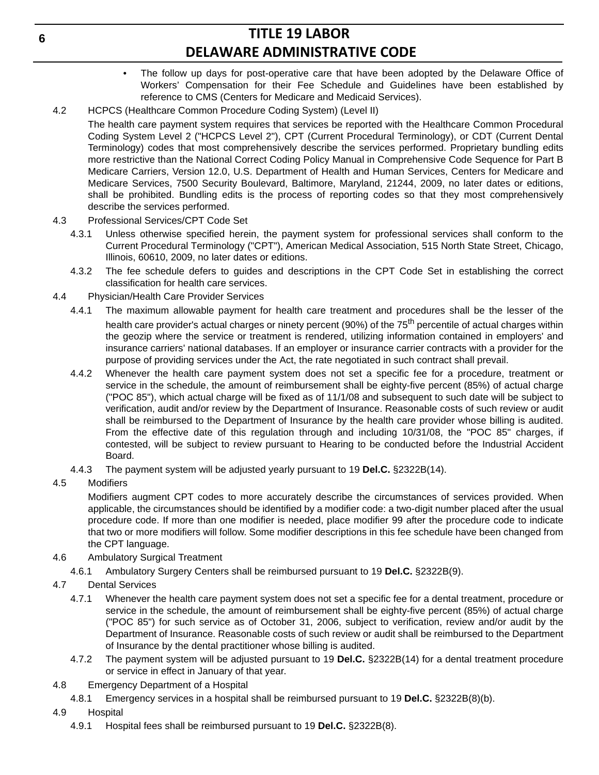- The follow up days for post-operative care that have been adopted by the Delaware Office of Workers' Compensation for their Fee Schedule and Guidelines have been established by reference to CMS (Centers for Medicare and Medicaid Services).
- 4.2 HCPCS (Healthcare Common Procedure Coding System) (Level II)
	- The health care payment system requires that services be reported with the Healthcare Common Procedural Coding System Level 2 ("HCPCS Level 2"), CPT (Current Procedural Terminology), or CDT (Current Dental Terminology) codes that most comprehensively describe the services performed. Proprietary bundling edits more restrictive than the National Correct Coding Policy Manual in Comprehensive Code Sequence for Part B Medicare Carriers, Version 12.0, U.S. Department of Health and Human Services, Centers for Medicare and Medicare Services, 7500 Security Boulevard, Baltimore, Maryland, 21244, 2009, no later dates or editions, shall be prohibited. Bundling edits is the process of reporting codes so that they most comprehensively describe the services performed.
- 4.3 Professional Services/CPT Code Set
	- 4.3.1 Unless otherwise specified herein, the payment system for professional services shall conform to the Current Procedural Terminology ("CPT"), American Medical Association, 515 North State Street, Chicago, Illinois, 60610, 2009, no later dates or editions.
	- 4.3.2 The fee schedule defers to guides and descriptions in the CPT Code Set in establishing the correct classification for health care services.
- 4.4 Physician/Health Care Provider Services
	- 4.4.1 The maximum allowable payment for health care treatment and procedures shall be the lesser of the health care provider's actual charges or ninety percent (90%) of the 75<sup>th</sup> percentile of actual charges within the geozip where the service or treatment is rendered, utilizing information contained in employers' and insurance carriers' national databases. If an employer or insurance carrier contracts with a provider for the purpose of providing services under the Act, the rate negotiated in such contract shall prevail.
	- 4.4.2 Whenever the health care payment system does not set a specific fee for a procedure, treatment or service in the schedule, the amount of reimbursement shall be eighty-five percent (85%) of actual charge ("POC 85"), which actual charge will be fixed as of 11/1/08 and subsequent to such date will be subject to verification, audit and/or review by the Department of Insurance. Reasonable costs of such review or audit shall be reimbursed to the Department of Insurance by the health care provider whose billing is audited. From the effective date of this regulation through and including 10/31/08, the "POC 85" charges, if contested, will be subject to review pursuant to Hearing to be conducted before the Industrial Accident Board.
	- 4.4.3 The payment system will be adjusted yearly pursuant to 19 **Del.C.** §2322B(14).
- 4.5 Modifiers

Modifiers augment CPT codes to more accurately describe the circumstances of services provided. When applicable, the circumstances should be identified by a modifier code: a two-digit number placed after the usual procedure code. If more than one modifier is needed, place modifier 99 after the procedure code to indicate that two or more modifiers will follow. Some modifier descriptions in this fee schedule have been changed from the CPT language.

- 4.6 Ambulatory Surgical Treatment
	- 4.6.1 Ambulatory Surgery Centers shall be reimbursed pursuant to 19 **Del.C.** §2322B(9).
- 4.7 Dental Services
	- 4.7.1 Whenever the health care payment system does not set a specific fee for a dental treatment, procedure or service in the schedule, the amount of reimbursement shall be eighty-five percent (85%) of actual charge ("POC 85") for such service as of October 31, 2006, subject to verification, review and/or audit by the Department of Insurance. Reasonable costs of such review or audit shall be reimbursed to the Department of Insurance by the dental practitioner whose billing is audited.
	- 4.7.2 The payment system will be adjusted pursuant to 19 **Del.C.** §2322B(14) for a dental treatment procedure or service in effect in January of that year.
- 4.8 Emergency Department of a Hospital
	- 4.8.1 Emergency services in a hospital shall be reimbursed pursuant to 19 **Del.C.** §2322B(8)(b).
- 4.9 Hospital
	- 4.9.1 Hospital fees shall be reimbursed pursuant to 19 **Del.C.** §2322B(8).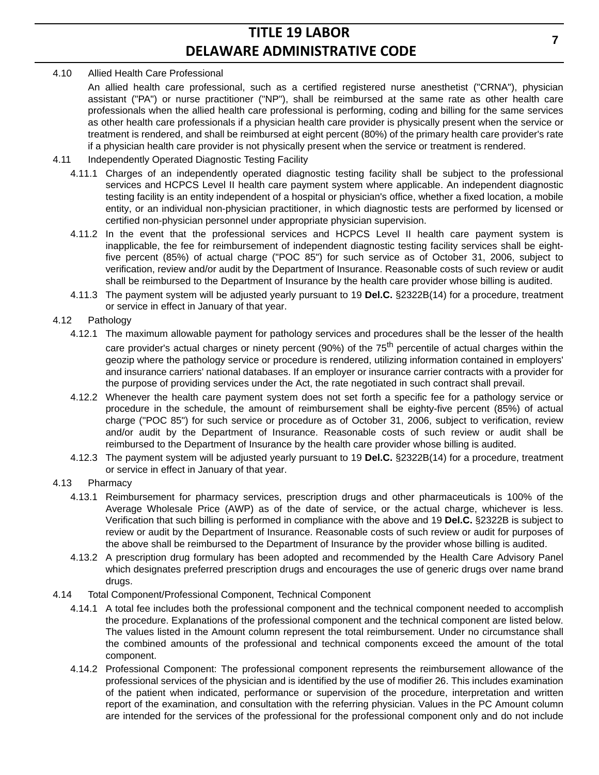## 4.10 Allied Health Care Professional

An allied health care professional, such as a certified registered nurse anesthetist ("CRNA"), physician assistant ("PA") or nurse practitioner ("NP"), shall be reimbursed at the same rate as other health care professionals when the allied health care professional is performing, coding and billing for the same services as other health care professionals if a physician health care provider is physically present when the service or treatment is rendered, and shall be reimbursed at eight percent (80%) of the primary health care provider's rate if a physician health care provider is not physically present when the service or treatment is rendered.

- 4.11 Independently Operated Diagnostic Testing Facility
	- 4.11.1 Charges of an independently operated diagnostic testing facility shall be subject to the professional services and HCPCS Level II health care payment system where applicable. An independent diagnostic testing facility is an entity independent of a hospital or physician's office, whether a fixed location, a mobile entity, or an individual non-physician practitioner, in which diagnostic tests are performed by licensed or certified non-physician personnel under appropriate physician supervision.
	- 4.11.2 In the event that the professional services and HCPCS Level II health care payment system is inapplicable, the fee for reimbursement of independent diagnostic testing facility services shall be eightfive percent (85%) of actual charge ("POC 85") for such service as of October 31, 2006, subject to verification, review and/or audit by the Department of Insurance. Reasonable costs of such review or audit shall be reimbursed to the Department of Insurance by the health care provider whose billing is audited.
	- 4.11.3 The payment system will be adjusted yearly pursuant to 19 **Del.C.** §2322B(14) for a procedure, treatment or service in effect in January of that year.

## 4.12 Pathology

- 4.12.1 The maximum allowable payment for pathology services and procedures shall be the lesser of the health care provider's actual charges or ninety percent (90%) of the 75<sup>th</sup> percentile of actual charges within the geozip where the pathology service or procedure is rendered, utilizing information contained in employers' and insurance carriers' national databases. If an employer or insurance carrier contracts with a provider for the purpose of providing services under the Act, the rate negotiated in such contract shall prevail.
- 4.12.2 Whenever the health care payment system does not set forth a specific fee for a pathology service or procedure in the schedule, the amount of reimbursement shall be eighty-five percent (85%) of actual charge ("POC 85") for such service or procedure as of October 31, 2006, subject to verification, review and/or audit by the Department of Insurance. Reasonable costs of such review or audit shall be reimbursed to the Department of Insurance by the health care provider whose billing is audited.
- 4.12.3 The payment system will be adjusted yearly pursuant to 19 **Del.C.** §2322B(14) for a procedure, treatment or service in effect in January of that year.
- 4.13 Pharmacy
	- 4.13.1 Reimbursement for pharmacy services, prescription drugs and other pharmaceuticals is 100% of the Average Wholesale Price (AWP) as of the date of service, or the actual charge, whichever is less. Verification that such billing is performed in compliance with the above and 19 **Del.C.** §2322B is subject to review or audit by the Department of Insurance. Reasonable costs of such review or audit for purposes of the above shall be reimbursed to the Department of Insurance by the provider whose billing is audited.
	- 4.13.2 A prescription drug formulary has been adopted and recommended by the Health Care Advisory Panel which designates preferred prescription drugs and encourages the use of generic drugs over name brand drugs.
- 4.14 Total Component/Professional Component, Technical Component
	- 4.14.1 A total fee includes both the professional component and the technical component needed to accomplish the procedure. Explanations of the professional component and the technical component are listed below. The values listed in the Amount column represent the total reimbursement. Under no circumstance shall the combined amounts of the professional and technical components exceed the amount of the total component.
	- 4.14.2 Professional Component: The professional component represents the reimbursement allowance of the professional services of the physician and is identified by the use of modifier 26. This includes examination of the patient when indicated, performance or supervision of the procedure, interpretation and written report of the examination, and consultation with the referring physician. Values in the PC Amount column are intended for the services of the professional for the professional component only and do not include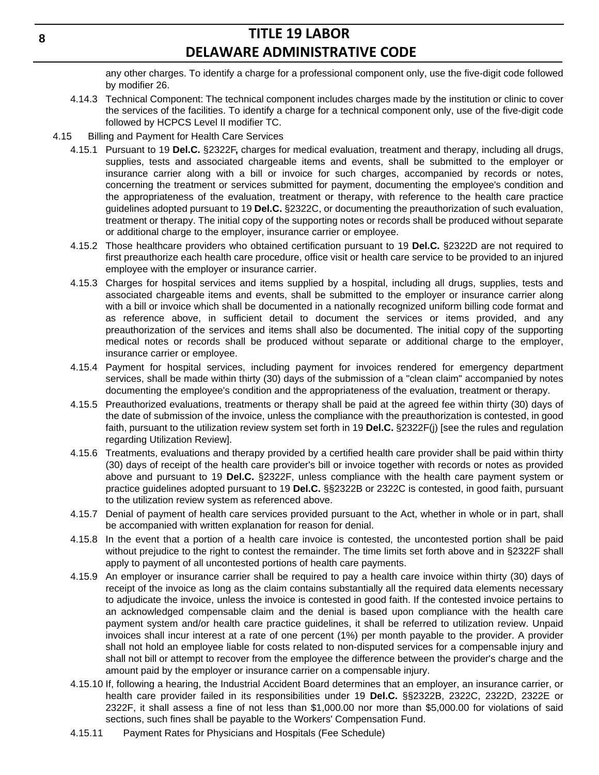any other charges. To identify a charge for a professional component only, use the five-digit code followed by modifier 26.

- 4.14.3 Technical Component: The technical component includes charges made by the institution or clinic to cover the services of the facilities. To identify a charge for a technical component only, use of the five-digit code followed by HCPCS Level II modifier TC.
- 4.15 Billing and Payment for Health Care Services
	- 4.15.1 Pursuant to 19 **Del.C.** §2322F**,** charges for medical evaluation, treatment and therapy, including all drugs, supplies, tests and associated chargeable items and events, shall be submitted to the employer or insurance carrier along with a bill or invoice for such charges, accompanied by records or notes, concerning the treatment or services submitted for payment, documenting the employee's condition and the appropriateness of the evaluation, treatment or therapy, with reference to the health care practice guidelines adopted pursuant to 19 **Del.C.** §2322C, or documenting the preauthorization of such evaluation, treatment or therapy. The initial copy of the supporting notes or records shall be produced without separate or additional charge to the employer, insurance carrier or employee.
	- 4.15.2 Those healthcare providers who obtained certification pursuant to 19 **Del.C.** §2322D are not required to first preauthorize each health care procedure, office visit or health care service to be provided to an injured employee with the employer or insurance carrier.
	- 4.15.3 Charges for hospital services and items supplied by a hospital, including all drugs, supplies, tests and associated chargeable items and events, shall be submitted to the employer or insurance carrier along with a bill or invoice which shall be documented in a nationally recognized uniform billing code format and as reference above, in sufficient detail to document the services or items provided, and any preauthorization of the services and items shall also be documented. The initial copy of the supporting medical notes or records shall be produced without separate or additional charge to the employer, insurance carrier or employee.
	- 4.15.4 Payment for hospital services, including payment for invoices rendered for emergency department services, shall be made within thirty (30) days of the submission of a "clean claim" accompanied by notes documenting the employee's condition and the appropriateness of the evaluation, treatment or therapy.
	- 4.15.5 Preauthorized evaluations, treatments or therapy shall be paid at the agreed fee within thirty (30) days of the date of submission of the invoice, unless the compliance with the preauthorization is contested, in good faith, pursuant to the utilization review system set forth in 19 **Del.C.** §2322F(j) [see the rules and regulation regarding Utilization Review].
	- 4.15.6 Treatments, evaluations and therapy provided by a certified health care provider shall be paid within thirty (30) days of receipt of the health care provider's bill or invoice together with records or notes as provided above and pursuant to 19 **Del.C.** §2322F, unless compliance with the health care payment system or practice guidelines adopted pursuant to 19 **Del.C.** §§2322B or 2322C is contested, in good faith, pursuant to the utilization review system as referenced above.
	- 4.15.7 Denial of payment of health care services provided pursuant to the Act, whether in whole or in part, shall be accompanied with written explanation for reason for denial.
	- 4.15.8 In the event that a portion of a health care invoice is contested, the uncontested portion shall be paid without prejudice to the right to contest the remainder. The time limits set forth above and in §2322F shall apply to payment of all uncontested portions of health care payments.
	- 4.15.9 An employer or insurance carrier shall be required to pay a health care invoice within thirty (30) days of receipt of the invoice as long as the claim contains substantially all the required data elements necessary to adjudicate the invoice, unless the invoice is contested in good faith. If the contested invoice pertains to an acknowledged compensable claim and the denial is based upon compliance with the health care payment system and/or health care practice guidelines, it shall be referred to utilization review. Unpaid invoices shall incur interest at a rate of one percent (1%) per month payable to the provider. A provider shall not hold an employee liable for costs related to non-disputed services for a compensable injury and shall not bill or attempt to recover from the employee the difference between the provider's charge and the amount paid by the employer or insurance carrier on a compensable injury.
	- 4.15.10 If, following a hearing, the Industrial Accident Board determines that an employer, an insurance carrier, or health care provider failed in its responsibilities under 19 **Del.C.** §§2322B, 2322C, 2322D, 2322E or 2322F, it shall assess a fine of not less than \$1,000.00 nor more than \$5,000.00 for violations of said sections, such fines shall be payable to the Workers' Compensation Fund.
	- 4.15.11 Payment Rates for Physicians and Hospitals (Fee Schedule)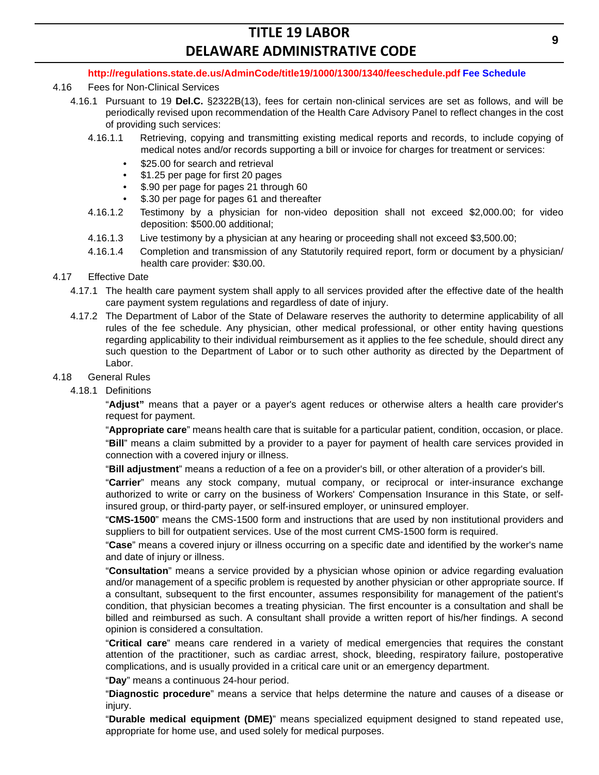#### **http://regulations.state.de.us/AdminCode/title19/1000/1300/1340/feeschedule.pdf Fee Schedule**

#### 4.16 Fees for Non-Clinical Services

- 4.16.1 Pursuant to 19 **Del.C.** §2322B(13), fees for certain non-clinical services are set as follows, and will be periodically revised upon recommendation of the Health Care Advisory Panel to reflect changes in the cost of providing such services:
	- 4.16.1.1 Retrieving, copying and transmitting existing medical reports and records, to include copying of medical notes and/or records supporting a bill or invoice for charges for treatment or services:
		- \$25.00 for search and retrieval
		- \$1.25 per page for first 20 pages
		- \$.90 per page for pages 21 through 60
		- \$.30 per page for pages 61 and thereafter
	- 4.16.1.2 Testimony by a physician for non-video deposition shall not exceed \$2,000.00; for video deposition: \$500.00 additional;
	- 4.16.1.3 Live testimony by a physician at any hearing or proceeding shall not exceed \$3,500.00;
	- 4.16.1.4 Completion and transmission of any Statutorily required report, form or document by a physician/ health care provider: \$30.00.
- 4.17 Effective Date
	- 4.17.1 The health care payment system shall apply to all services provided after the effective date of the health care payment system regulations and regardless of date of injury.
	- 4.17.2 The Department of Labor of the State of Delaware reserves the authority to determine applicability of all rules of the fee schedule. Any physician, other medical professional, or other entity having questions regarding applicability to their individual reimbursement as it applies to the fee schedule, should direct any such question to the Department of Labor or to such other authority as directed by the Department of Labor.
- 4.18 General Rules
	- 4.18.1 Definitions

"**Adjust"** means that a payer or a payer's agent reduces or otherwise alters a health care provider's request for payment.

"**Appropriate care**" means health care that is suitable for a particular patient, condition, occasion, or place.

"**Bill**" means a claim submitted by a provider to a payer for payment of health care services provided in connection with a covered injury or illness.

"**Bill adjustment**" means a reduction of a fee on a provider's bill, or other alteration of a provider's bill.

"**Carrier**" means any stock company, mutual company, or reciprocal or inter-insurance exchange authorized to write or carry on the business of Workers' Compensation Insurance in this State, or selfinsured group, or third-party payer, or self-insured employer, or uninsured employer.

"**CMS-1500**" means the CMS-1500 form and instructions that are used by non institutional providers and suppliers to bill for outpatient services. Use of the most current CMS-1500 form is required.

"**Case**" means a covered injury or illness occurring on a specific date and identified by the worker's name and date of injury or illness.

"**Consultation**" means a service provided by a physician whose opinion or advice regarding evaluation and/or management of a specific problem is requested by another physician or other appropriate source. If a consultant, subsequent to the first encounter, assumes responsibility for management of the patient's condition, that physician becomes a treating physician. The first encounter is a consultation and shall be billed and reimbursed as such. A consultant shall provide a written report of his/her findings. A second opinion is considered a consultation.

"**Critical care**" means care rendered in a variety of medical emergencies that requires the constant attention of the practitioner, such as cardiac arrest, shock, bleeding, respiratory failure, postoperative complications, and is usually provided in a critical care unit or an emergency department.

"**Day**" means a continuous 24-hour period.

"**Diagnostic procedure**" means a service that helps determine the nature and causes of a disease or injury.

"**Durable medical equipment (DME)**" means specialized equipment designed to stand repeated use, appropriate for home use, and used solely for medical purposes.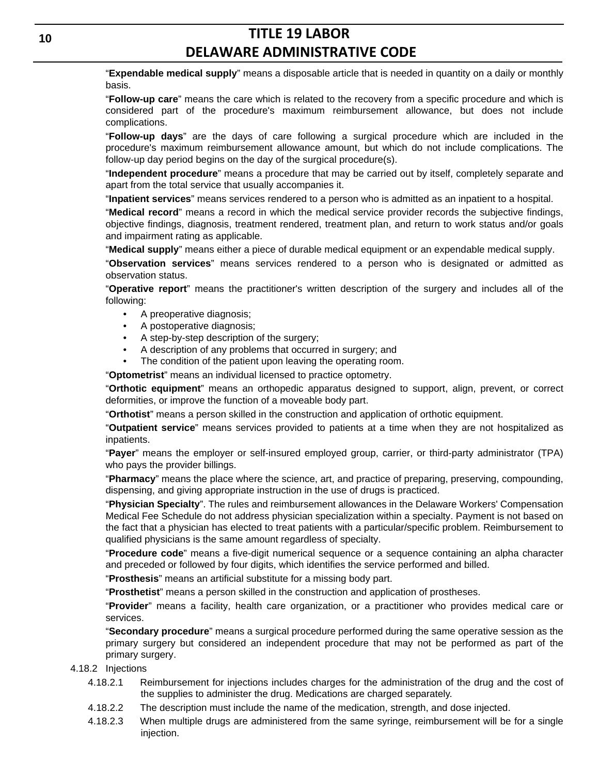"**Expendable medical supply**" means a disposable article that is needed in quantity on a daily or monthly basis.

"**Follow-up care**" means the care which is related to the recovery from a specific procedure and which is considered part of the procedure's maximum reimbursement allowance, but does not include complications.

"**Follow-up days**" are the days of care following a surgical procedure which are included in the procedure's maximum reimbursement allowance amount, but which do not include complications. The follow-up day period begins on the day of the surgical procedure(s).

"**Independent procedure**" means a procedure that may be carried out by itself, completely separate and apart from the total service that usually accompanies it.

"**Inpatient services**" means services rendered to a person who is admitted as an inpatient to a hospital.

"**Medical record**" means a record in which the medical service provider records the subjective findings, objective findings, diagnosis, treatment rendered, treatment plan, and return to work status and/or goals and impairment rating as applicable.

"**Medical supply**" means either a piece of durable medical equipment or an expendable medical supply.

"**Observation services**" means services rendered to a person who is designated or admitted as observation status.

"**Operative report**" means the practitioner's written description of the surgery and includes all of the following:

- A preoperative diagnosis;
- A postoperative diagnosis;
- A step-by-step description of the surgery;
- A description of any problems that occurred in surgery; and
- The condition of the patient upon leaving the operating room.

"**Optometrist**" means an individual licensed to practice optometry.

"**Orthotic equipment**" means an orthopedic apparatus designed to support, align, prevent, or correct deformities, or improve the function of a moveable body part.

"**Orthotist**" means a person skilled in the construction and application of orthotic equipment.

"**Outpatient service**" means services provided to patients at a time when they are not hospitalized as inpatients.

"**Payer**" means the employer or self-insured employed group, carrier, or third-party administrator (TPA) who pays the provider billings.

"**Pharmacy**" means the place where the science, art, and practice of preparing, preserving, compounding, dispensing, and giving appropriate instruction in the use of drugs is practiced.

"**Physician Specialty**". The rules and reimbursement allowances in the Delaware Workers' Compensation Medical Fee Schedule do not address physician specialization within a specialty. Payment is not based on the fact that a physician has elected to treat patients with a particular/specific problem. Reimbursement to qualified physicians is the same amount regardless of specialty.

"**Procedure code**" means a five-digit numerical sequence or a sequence containing an alpha character and preceded or followed by four digits, which identifies the service performed and billed.

"**Prosthesis**" means an artificial substitute for a missing body part.

"**Prosthetist**" means a person skilled in the construction and application of prostheses.

"**Provider**" means a facility, health care organization, or a practitioner who provides medical care or services.

"**Secondary procedure**" means a surgical procedure performed during the same operative session as the primary surgery but considered an independent procedure that may not be performed as part of the primary surgery.

#### 4.18.2 Injections

- 4.18.2.1 Reimbursement for injections includes charges for the administration of the drug and the cost of the supplies to administer the drug. Medications are charged separately.
- 4.18.2.2 The description must include the name of the medication, strength, and dose injected.
- 4.18.2.3 When multiple drugs are administered from the same syringe, reimbursement will be for a single injection.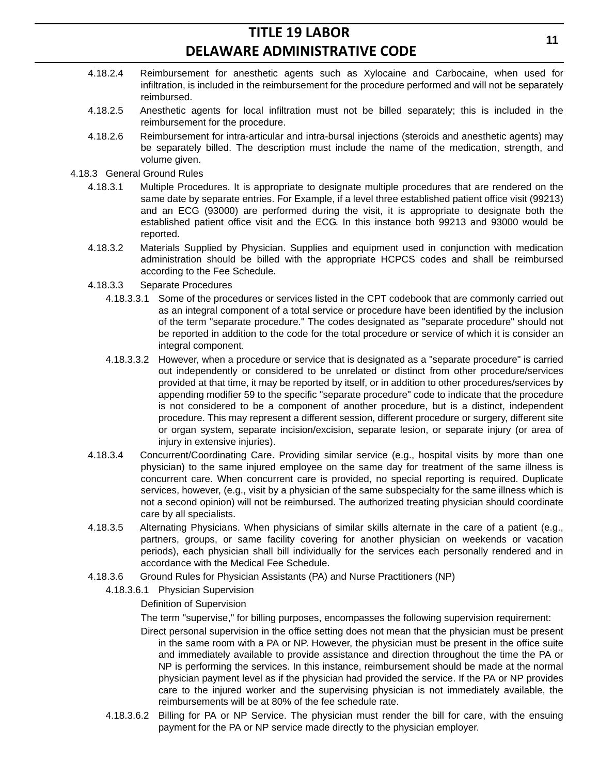- 4.18.2.4 Reimbursement for anesthetic agents such as Xylocaine and Carbocaine, when used for infiltration, is included in the reimbursement for the procedure performed and will not be separately reimbursed.
- 4.18.2.5 Anesthetic agents for local infiltration must not be billed separately; this is included in the reimbursement for the procedure.
- 4.18.2.6 Reimbursement for intra-articular and intra-bursal injections (steroids and anesthetic agents) may be separately billed. The description must include the name of the medication, strength, and volume given.
- 4.18.3 General Ground Rules
	- 4.18.3.1 Multiple Procedures. It is appropriate to designate multiple procedures that are rendered on the same date by separate entries. For Example, if a level three established patient office visit (99213) and an ECG (93000) are performed during the visit, it is appropriate to designate both the established patient office visit and the ECG. In this instance both 99213 and 93000 would be reported.
	- 4.18.3.2 Materials Supplied by Physician. Supplies and equipment used in conjunction with medication administration should be billed with the appropriate HCPCS codes and shall be reimbursed according to the Fee Schedule.
	- 4.18.3.3 Separate Procedures
		- 4.18.3.3.1 Some of the procedures or services listed in the CPT codebook that are commonly carried out as an integral component of a total service or procedure have been identified by the inclusion of the term "separate procedure." The codes designated as "separate procedure" should not be reported in addition to the code for the total procedure or service of which it is consider an integral component.
		- 4.18.3.3.2 However, when a procedure or service that is designated as a "separate procedure" is carried out independently or considered to be unrelated or distinct from other procedure/services provided at that time, it may be reported by itself, or in addition to other procedures/services by appending modifier 59 to the specific "separate procedure" code to indicate that the procedure is not considered to be a component of another procedure, but is a distinct, independent procedure. This may represent a different session, different procedure or surgery, different site or organ system, separate incision/excision, separate lesion, or separate injury (or area of injury in extensive injuries).
	- 4.18.3.4 Concurrent/Coordinating Care. Providing similar service (e.g., hospital visits by more than one physician) to the same injured employee on the same day for treatment of the same illness is concurrent care. When concurrent care is provided, no special reporting is required. Duplicate services, however, (e.g., visit by a physician of the same subspecialty for the same illness which is not a second opinion) will not be reimbursed. The authorized treating physician should coordinate care by all specialists.
	- 4.18.3.5 Alternating Physicians. When physicians of similar skills alternate in the care of a patient (e.g., partners, groups, or same facility covering for another physician on weekends or vacation periods), each physician shall bill individually for the services each personally rendered and in accordance with the Medical Fee Schedule.
	- 4.18.3.6 Ground Rules for Physician Assistants (PA) and Nurse Practitioners (NP)
		- 4.18.3.6.1 Physician Supervision
			- Definition of Supervision

The term "supervise," for billing purposes, encompasses the following supervision requirement:

- Direct personal supervision in the office setting does not mean that the physician must be present in the same room with a PA or NP. However, the physician must be present in the office suite and immediately available to provide assistance and direction throughout the time the PA or NP is performing the services. In this instance, reimbursement should be made at the normal physician payment level as if the physician had provided the service. If the PA or NP provides care to the injured worker and the supervising physician is not immediately available, the reimbursements will be at 80% of the fee schedule rate.
- 4.18.3.6.2 Billing for PA or NP Service. The physician must render the bill for care, with the ensuing payment for the PA or NP service made directly to the physician employer.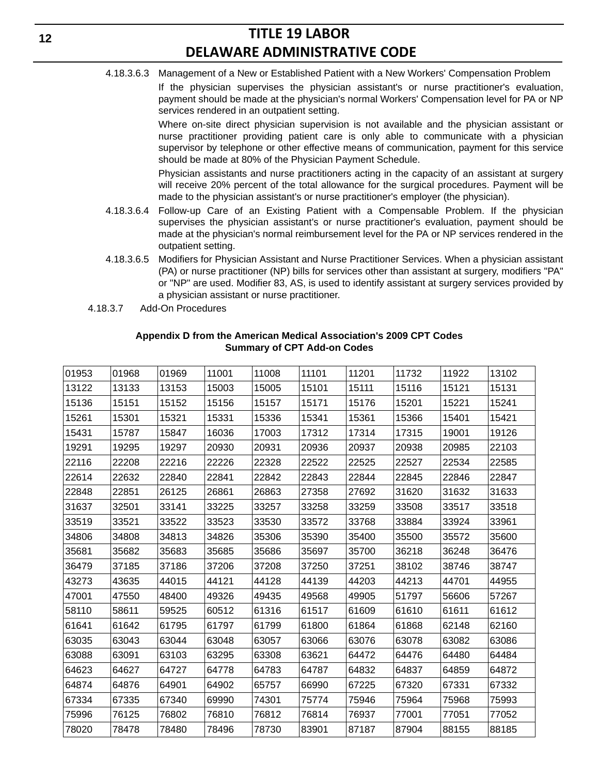4.18.3.6.3 Management of a New or Established Patient with a New Workers' Compensation Problem

If the physician supervises the physician assistant's or nurse practitioner's evaluation, payment should be made at the physician's normal Workers' Compensation level for PA or NP services rendered in an outpatient setting.

Where on-site direct physician supervision is not available and the physician assistant or nurse practitioner providing patient care is only able to communicate with a physician supervisor by telephone or other effective means of communication, payment for this service should be made at 80% of the Physician Payment Schedule.

Physician assistants and nurse practitioners acting in the capacity of an assistant at surgery will receive 20% percent of the total allowance for the surgical procedures. Payment will be made to the physician assistant's or nurse practitioner's employer (the physician).

- 4.18.3.6.4 Follow-up Care of an Existing Patient with a Compensable Problem. If the physician supervises the physician assistant's or nurse practitioner's evaluation, payment should be made at the physician's normal reimbursement level for the PA or NP services rendered in the outpatient setting.
- 4.18.3.6.5 Modifiers for Physician Assistant and Nurse Practitioner Services. When a physician assistant (PA) or nurse practitioner (NP) bills for services other than assistant at surgery, modifiers "PA" or "NP" are used. Modifier 83, AS, is used to identify assistant at surgery services provided by a physician assistant or nurse practitioner.
- 4.18.3.7 Add-On Procedures

| 01953 | 01968 | 01969 | 11001 | 11008 | 11101 | 11201 | 11732 | 11922 | 13102 |
|-------|-------|-------|-------|-------|-------|-------|-------|-------|-------|
| 13122 | 13133 | 13153 | 15003 | 15005 | 15101 | 15111 | 15116 | 15121 | 15131 |
| 15136 | 15151 | 15152 | 15156 | 15157 | 15171 | 15176 | 15201 | 15221 | 15241 |
| 15261 | 15301 | 15321 | 15331 | 15336 | 15341 | 15361 | 15366 | 15401 | 15421 |
| 15431 | 15787 | 15847 | 16036 | 17003 | 17312 | 17314 | 17315 | 19001 | 19126 |
| 19291 | 19295 | 19297 | 20930 | 20931 | 20936 | 20937 | 20938 | 20985 | 22103 |
| 22116 | 22208 | 22216 | 22226 | 22328 | 22522 | 22525 | 22527 | 22534 | 22585 |
| 22614 | 22632 | 22840 | 22841 | 22842 | 22843 | 22844 | 22845 | 22846 | 22847 |
| 22848 | 22851 | 26125 | 26861 | 26863 | 27358 | 27692 | 31620 | 31632 | 31633 |
| 31637 | 32501 | 33141 | 33225 | 33257 | 33258 | 33259 | 33508 | 33517 | 33518 |
| 33519 | 33521 | 33522 | 33523 | 33530 | 33572 | 33768 | 33884 | 33924 | 33961 |
| 34806 | 34808 | 34813 | 34826 | 35306 | 35390 | 35400 | 35500 | 35572 | 35600 |
| 35681 | 35682 | 35683 | 35685 | 35686 | 35697 | 35700 | 36218 | 36248 | 36476 |
| 36479 | 37185 | 37186 | 37206 | 37208 | 37250 | 37251 | 38102 | 38746 | 38747 |
| 43273 | 43635 | 44015 | 44121 | 44128 | 44139 | 44203 | 44213 | 44701 | 44955 |
| 47001 | 47550 | 48400 | 49326 | 49435 | 49568 | 49905 | 51797 | 56606 | 57267 |
| 58110 | 58611 | 59525 | 60512 | 61316 | 61517 | 61609 | 61610 | 61611 | 61612 |
| 61641 | 61642 | 61795 | 61797 | 61799 | 61800 | 61864 | 61868 | 62148 | 62160 |
| 63035 | 63043 | 63044 | 63048 | 63057 | 63066 | 63076 | 63078 | 63082 | 63086 |
| 63088 | 63091 | 63103 | 63295 | 63308 | 63621 | 64472 | 64476 | 64480 | 64484 |
| 64623 | 64627 | 64727 | 64778 | 64783 | 64787 | 64832 | 64837 | 64859 | 64872 |
| 64874 | 64876 | 64901 | 64902 | 65757 | 66990 | 67225 | 67320 | 67331 | 67332 |
| 67334 | 67335 | 67340 | 69990 | 74301 | 75774 | 75946 | 75964 | 75968 | 75993 |
| 75996 | 76125 | 76802 | 76810 | 76812 | 76814 | 76937 | 77001 | 77051 | 77052 |
| 78020 | 78478 | 78480 | 78496 | 78730 | 83901 | 87187 | 87904 | 88155 | 88185 |

#### **Appendix D from the American Medical Association's 2009 CPT Codes Summary of CPT Add-on Codes**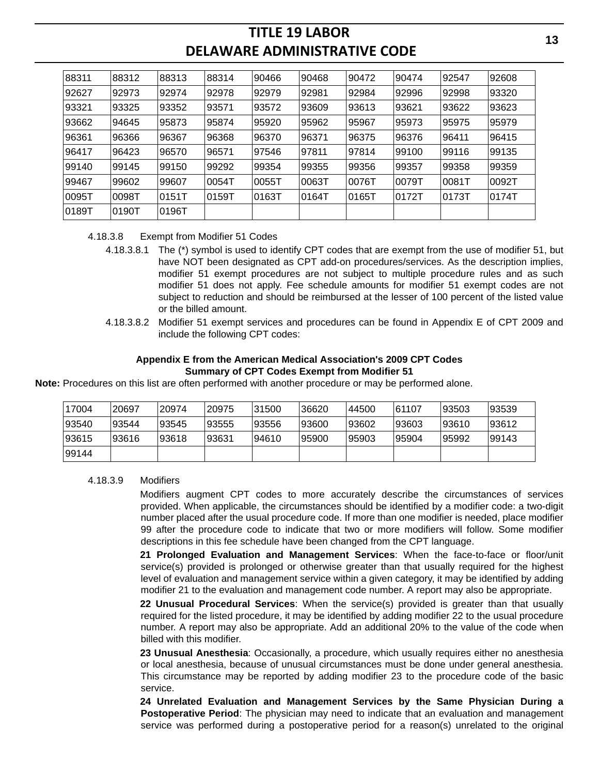| 88311 | 88312 | 88313 | 88314 | 90466 | 90468 | 90472  | 90474 | 92547 | 92608 |
|-------|-------|-------|-------|-------|-------|--------|-------|-------|-------|
| 92627 | 92973 | 92974 | 92978 | 92979 | 92981 | 92984  | 92996 | 92998 | 93320 |
| 93321 | 93325 | 93352 | 93571 | 93572 | 93609 | 93613  | 93621 | 93622 | 93623 |
| 93662 | 94645 | 95873 | 95874 | 95920 | 95962 | 95967  | 95973 | 95975 | 95979 |
| 96361 | 96366 | 96367 | 96368 | 96370 | 96371 | 96375  | 96376 | 96411 | 96415 |
| 96417 | 96423 | 96570 | 96571 | 97546 | 97811 | 97814  | 99100 | 99116 | 99135 |
| 99140 | 99145 | 99150 | 99292 | 99354 | 99355 | 99356  | 99357 | 99358 | 99359 |
| 99467 | 99602 | 99607 | 0054T | 0055T | 0063T | 10076T | 0079T | 0081T | 0092T |
| 0095T | 0098T | 0151T | 0159T | 0163T | 0164T | 0165T  | 0172T | 0173T | 0174T |
| 0189T | 0190T | 0196T |       |       |       |        |       |       |       |

#### 4.18.3.8 Exempt from Modifier 51 Codes

- 4.18.3.8.1 The (\*) symbol is used to identify CPT codes that are exempt from the use of modifier 51, but have NOT been designated as CPT add-on procedures/services. As the description implies, modifier 51 exempt procedures are not subject to multiple procedure rules and as such modifier 51 does not apply. Fee schedule amounts for modifier 51 exempt codes are not subject to reduction and should be reimbursed at the lesser of 100 percent of the listed value or the billed amount.
- 4.18.3.8.2 Modifier 51 exempt services and procedures can be found in Appendix E of CPT 2009 and include the following CPT codes:

#### **Appendix E from the American Medical Association's 2009 CPT Codes Summary of CPT Codes Exempt from Modifier 51**

**Note:** Procedures on this list are often performed with another procedure or may be performed alone.

| 17004 | 20697 | 20974 | 20975 | 31500 | 36620  | 44500  | 61107 | 93503 | 93539 |
|-------|-------|-------|-------|-------|--------|--------|-------|-------|-------|
| 93540 | 93544 | 93545 | 93555 | 93556 | 93600  | 193602 | 93603 | 93610 | 93612 |
| 93615 | 93616 | 93618 | 93631 | 94610 | 195900 | 95903  | 95904 | 95992 | 99143 |
| 99144 |       |       |       |       |        |        |       |       |       |

#### 4.18.3.9 Modifiers

Modifiers augment CPT codes to more accurately describe the circumstances of services provided. When applicable, the circumstances should be identified by a modifier code: a two-digit number placed after the usual procedure code. If more than one modifier is needed, place modifier 99 after the procedure code to indicate that two or more modifiers will follow. Some modifier descriptions in this fee schedule have been changed from the CPT language.

**21 Prolonged Evaluation and Management Services**: When the face-to-face or floor/unit service(s) provided is prolonged or otherwise greater than that usually required for the highest level of evaluation and management service within a given category, it may be identified by adding modifier 21 to the evaluation and management code number. A report may also be appropriate.

**22 Unusual Procedural Services**: When the service(s) provided is greater than that usually required for the listed procedure, it may be identified by adding modifier 22 to the usual procedure number. A report may also be appropriate. Add an additional 20% to the value of the code when billed with this modifier.

**23 Unusual Anesthesia**: Occasionally, a procedure, which usually requires either no anesthesia or local anesthesia, because of unusual circumstances must be done under general anesthesia. This circumstance may be reported by adding modifier 23 to the procedure code of the basic service.

**24 Unrelated Evaluation and Management Services by the Same Physician During a Postoperative Period**: The physician may need to indicate that an evaluation and management service was performed during a postoperative period for a reason(s) unrelated to the original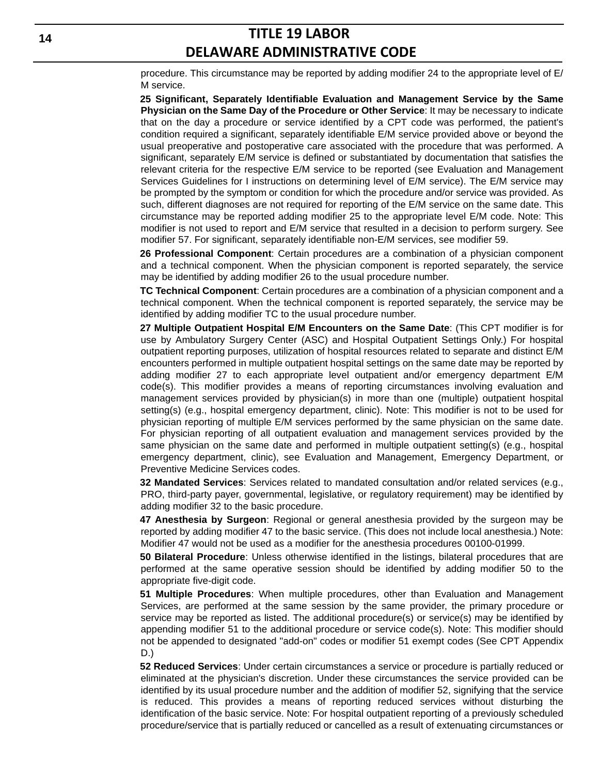procedure. This circumstance may be reported by adding modifier 24 to the appropriate level of E/ M service.

**25 Significant, Separately Identifiable Evaluation and Management Service by the Same Physician on the Same Day of the Procedure or Other Service**: It may be necessary to indicate that on the day a procedure or service identified by a CPT code was performed, the patient's condition required a significant, separately identifiable E/M service provided above or beyond the usual preoperative and postoperative care associated with the procedure that was performed. A significant, separately E/M service is defined or substantiated by documentation that satisfies the relevant criteria for the respective E/M service to be reported (see Evaluation and Management Services Guidelines for I instructions on determining level of E/M service). The E/M service may be prompted by the symptom or condition for which the procedure and/or service was provided. As such, different diagnoses are not required for reporting of the E/M service on the same date. This circumstance may be reported adding modifier 25 to the appropriate level E/M code. Note: This modifier is not used to report and E/M service that resulted in a decision to perform surgery. See modifier 57. For significant, separately identifiable non-E/M services, see modifier 59.

**26 Professional Component**: Certain procedures are a combination of a physician component and a technical component. When the physician component is reported separately, the service may be identified by adding modifier 26 to the usual procedure number.

**TC Technical Component**: Certain procedures are a combination of a physician component and a technical component. When the technical component is reported separately, the service may be identified by adding modifier TC to the usual procedure number.

**27 Multiple Outpatient Hospital E/M Encounters on the Same Date**: (This CPT modifier is for use by Ambulatory Surgery Center (ASC) and Hospital Outpatient Settings Only.) For hospital outpatient reporting purposes, utilization of hospital resources related to separate and distinct E/M encounters performed in multiple outpatient hospital settings on the same date may be reported by adding modifier 27 to each appropriate level outpatient and/or emergency department E/M code(s). This modifier provides a means of reporting circumstances involving evaluation and management services provided by physician(s) in more than one (multiple) outpatient hospital setting(s) (e.g., hospital emergency department, clinic). Note: This modifier is not to be used for physician reporting of multiple E/M services performed by the same physician on the same date. For physician reporting of all outpatient evaluation and management services provided by the same physician on the same date and performed in multiple outpatient setting(s) (e.g., hospital emergency department, clinic), see Evaluation and Management, Emergency Department, or Preventive Medicine Services codes.

**32 Mandated Services**: Services related to mandated consultation and/or related services (e.g., PRO, third-party payer, governmental, legislative, or regulatory requirement) may be identified by adding modifier 32 to the basic procedure.

**47 Anesthesia by Surgeon**: Regional or general anesthesia provided by the surgeon may be reported by adding modifier 47 to the basic service. (This does not include local anesthesia.) Note: Modifier 47 would not be used as a modifier for the anesthesia procedures 00100-01999.

**50 Bilateral Procedure**: Unless otherwise identified in the listings, bilateral procedures that are performed at the same operative session should be identified by adding modifier 50 to the appropriate five-digit code.

**51 Multiple Procedures**: When multiple procedures, other than Evaluation and Management Services, are performed at the same session by the same provider, the primary procedure or service may be reported as listed. The additional procedure(s) or service(s) may be identified by appending modifier 51 to the additional procedure or service code(s). Note: This modifier should not be appended to designated "add-on" codes or modifier 51 exempt codes (See CPT Appendix D.)

**52 Reduced Services**: Under certain circumstances a service or procedure is partially reduced or eliminated at the physician's discretion. Under these circumstances the service provided can be identified by its usual procedure number and the addition of modifier 52, signifying that the service is reduced. This provides a means of reporting reduced services without disturbing the identification of the basic service. Note: For hospital outpatient reporting of a previously scheduled procedure/service that is partially reduced or cancelled as a result of extenuating circumstances or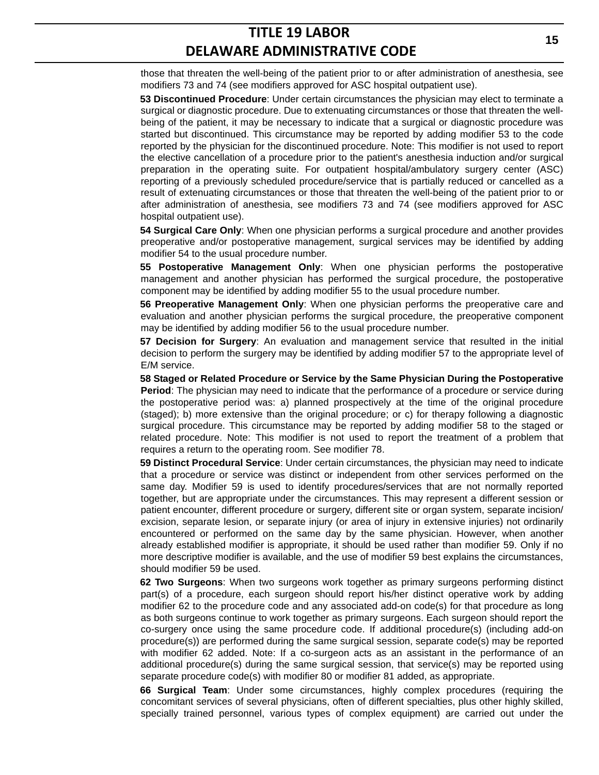those that threaten the well-being of the patient prior to or after administration of anesthesia, see modifiers 73 and 74 (see modifiers approved for ASC hospital outpatient use).

**53 Discontinued Procedure**: Under certain circumstances the physician may elect to terminate a surgical or diagnostic procedure. Due to extenuating circumstances or those that threaten the wellbeing of the patient, it may be necessary to indicate that a surgical or diagnostic procedure was started but discontinued. This circumstance may be reported by adding modifier 53 to the code reported by the physician for the discontinued procedure. Note: This modifier is not used to report the elective cancellation of a procedure prior to the patient's anesthesia induction and/or surgical preparation in the operating suite. For outpatient hospital/ambulatory surgery center (ASC) reporting of a previously scheduled procedure/service that is partially reduced or cancelled as a result of extenuating circumstances or those that threaten the well-being of the patient prior to or after administration of anesthesia, see modifiers 73 and 74 (see modifiers approved for ASC hospital outpatient use).

**54 Surgical Care Only**: When one physician performs a surgical procedure and another provides preoperative and/or postoperative management, surgical services may be identified by adding modifier 54 to the usual procedure number.

**55 Postoperative Management Only**: When one physician performs the postoperative management and another physician has performed the surgical procedure, the postoperative component may be identified by adding modifier 55 to the usual procedure number.

**56 Preoperative Management Only**: When one physician performs the preoperative care and evaluation and another physician performs the surgical procedure, the preoperative component may be identified by adding modifier 56 to the usual procedure number.

**57 Decision for Surgery**: An evaluation and management service that resulted in the initial decision to perform the surgery may be identified by adding modifier 57 to the appropriate level of E/M service.

**58 Staged or Related Procedure or Service by the Same Physician During the Postoperative Period**: The physician may need to indicate that the performance of a procedure or service during the postoperative period was: a) planned prospectively at the time of the original procedure (staged); b) more extensive than the original procedure; or c) for therapy following a diagnostic surgical procedure. This circumstance may be reported by adding modifier 58 to the staged or related procedure. Note: This modifier is not used to report the treatment of a problem that requires a return to the operating room. See modifier 78.

**59 Distinct Procedural Service**: Under certain circumstances, the physician may need to indicate that a procedure or service was distinct or independent from other services performed on the same day. Modifier 59 is used to identify procedures/services that are not normally reported together, but are appropriate under the circumstances. This may represent a different session or patient encounter, different procedure or surgery, different site or organ system, separate incision/ excision, separate lesion, or separate injury (or area of injury in extensive injuries) not ordinarily encountered or performed on the same day by the same physician. However, when another already established modifier is appropriate, it should be used rather than modifier 59. Only if no more descriptive modifier is available, and the use of modifier 59 best explains the circumstances, should modifier 59 be used.

**62 Two Surgeons**: When two surgeons work together as primary surgeons performing distinct part(s) of a procedure, each surgeon should report his/her distinct operative work by adding modifier 62 to the procedure code and any associated add-on code(s) for that procedure as long as both surgeons continue to work together as primary surgeons. Each surgeon should report the co-surgery once using the same procedure code. If additional procedure(s) (including add-on procedure(s)) are performed during the same surgical session, separate code(s) may be reported with modifier 62 added. Note: If a co-surgeon acts as an assistant in the performance of an additional procedure(s) during the same surgical session, that service(s) may be reported using separate procedure code(s) with modifier 80 or modifier 81 added, as appropriate.

**66 Surgical Team**: Under some circumstances, highly complex procedures (requiring the concomitant services of several physicians, often of different specialties, plus other highly skilled, specially trained personnel, various types of complex equipment) are carried out under the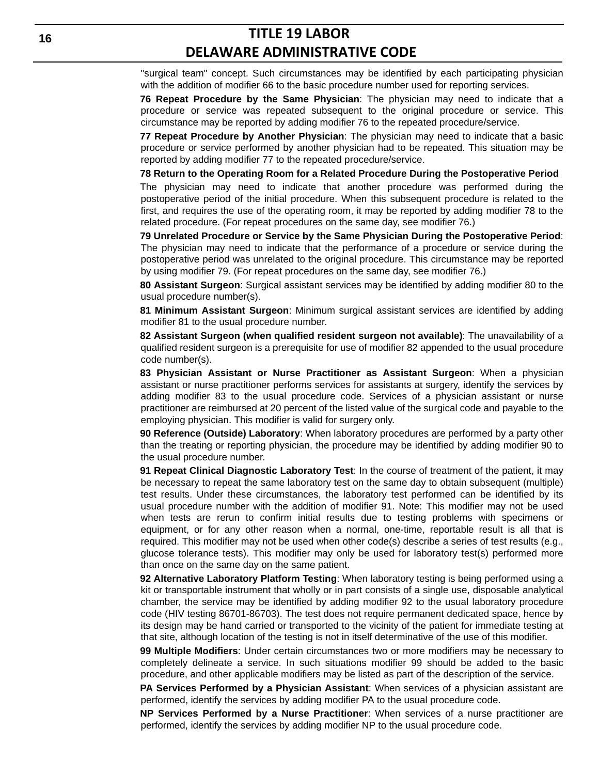"surgical team" concept. Such circumstances may be identified by each participating physician with the addition of modifier 66 to the basic procedure number used for reporting services.

**76 Repeat Procedure by the Same Physician**: The physician may need to indicate that a procedure or service was repeated subsequent to the original procedure or service. This circumstance may be reported by adding modifier 76 to the repeated procedure/service.

**77 Repeat Procedure by Another Physician**: The physician may need to indicate that a basic procedure or service performed by another physician had to be repeated. This situation may be reported by adding modifier 77 to the repeated procedure/service.

**78 Return to the Operating Room for a Related Procedure During the Postoperative Period**

The physician may need to indicate that another procedure was performed during the postoperative period of the initial procedure. When this subsequent procedure is related to the first, and requires the use of the operating room, it may be reported by adding modifier 78 to the related procedure. (For repeat procedures on the same day, see modifier 76.)

**79 Unrelated Procedure or Service by the Same Physician During the Postoperative Period**: The physician may need to indicate that the performance of a procedure or service during the postoperative period was unrelated to the original procedure. This circumstance may be reported by using modifier 79. (For repeat procedures on the same day, see modifier 76.)

**80 Assistant Surgeon**: Surgical assistant services may be identified by adding modifier 80 to the usual procedure number(s).

**81 Minimum Assistant Surgeon**: Minimum surgical assistant services are identified by adding modifier 81 to the usual procedure number.

**82 Assistant Surgeon (when qualified resident surgeon not available)**: The unavailability of a qualified resident surgeon is a prerequisite for use of modifier 82 appended to the usual procedure code number(s).

**83 Physician Assistant or Nurse Practitioner as Assistant Surgeon**: When a physician assistant or nurse practitioner performs services for assistants at surgery, identify the services by adding modifier 83 to the usual procedure code. Services of a physician assistant or nurse practitioner are reimbursed at 20 percent of the listed value of the surgical code and payable to the employing physician. This modifier is valid for surgery only.

**90 Reference (Outside) Laboratory**: When laboratory procedures are performed by a party other than the treating or reporting physician, the procedure may be identified by adding modifier 90 to the usual procedure number.

**91 Repeat Clinical Diagnostic Laboratory Test**: In the course of treatment of the patient, it may be necessary to repeat the same laboratory test on the same day to obtain subsequent (multiple) test results. Under these circumstances, the laboratory test performed can be identified by its usual procedure number with the addition of modifier 91. Note: This modifier may not be used when tests are rerun to confirm initial results due to testing problems with specimens or equipment, or for any other reason when a normal, one-time, reportable result is all that is required. This modifier may not be used when other code(s) describe a series of test results (e.g., glucose tolerance tests). This modifier may only be used for laboratory test(s) performed more than once on the same day on the same patient.

**92 Alternative Laboratory Platform Testing**: When laboratory testing is being performed using a kit or transportable instrument that wholly or in part consists of a single use, disposable analytical chamber, the service may be identified by adding modifier 92 to the usual laboratory procedure code (HIV testing 86701-86703). The test does not require permanent dedicated space, hence by its design may be hand carried or transported to the vicinity of the patient for immediate testing at that site, although location of the testing is not in itself determinative of the use of this modifier.

**99 Multiple Modifiers**: Under certain circumstances two or more modifiers may be necessary to completely delineate a service. In such situations modifier 99 should be added to the basic procedure, and other applicable modifiers may be listed as part of the description of the service.

**PA Services Performed by a Physician Assistant**: When services of a physician assistant are performed, identify the services by adding modifier PA to the usual procedure code.

**NP Services Performed by a Nurse Practitioner**: When services of a nurse practitioner are performed, identify the services by adding modifier NP to the usual procedure code.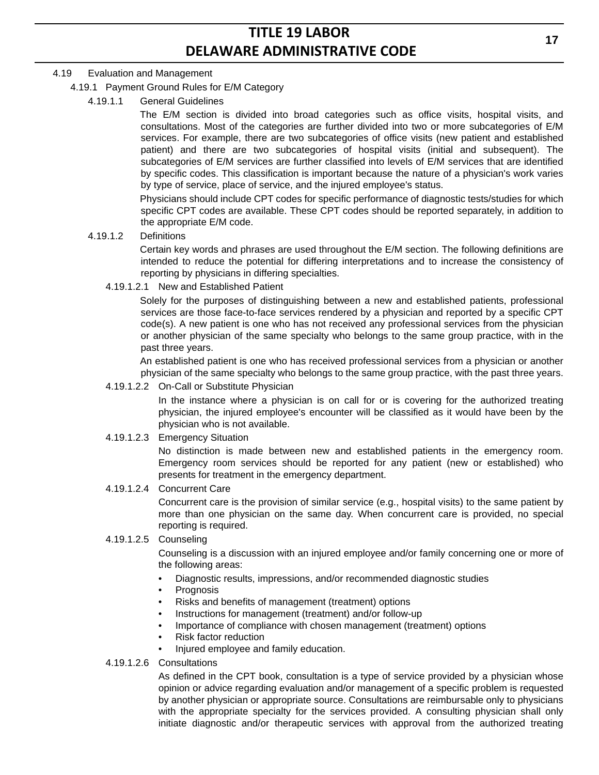### 4.19 Evaluation and Management

### 4.19.1 Payment Ground Rules for E/M Category

4.19.1.1 General Guidelines

The E/M section is divided into broad categories such as office visits, hospital visits, and consultations. Most of the categories are further divided into two or more subcategories of E/M services. For example, there are two subcategories of office visits (new patient and established patient) and there are two subcategories of hospital visits (initial and subsequent). The subcategories of E/M services are further classified into levels of E/M services that are identified by specific codes. This classification is important because the nature of a physician's work varies by type of service, place of service, and the injured employee's status.

Physicians should include CPT codes for specific performance of diagnostic tests/studies for which specific CPT codes are available. These CPT codes should be reported separately, in addition to the appropriate E/M code.

4.19.1.2 Definitions

Certain key words and phrases are used throughout the E/M section. The following definitions are intended to reduce the potential for differing interpretations and to increase the consistency of reporting by physicians in differing specialties.

4.19.1.2.1 New and Established Patient

Solely for the purposes of distinguishing between a new and established patients, professional services are those face-to-face services rendered by a physician and reported by a specific CPT code(s). A new patient is one who has not received any professional services from the physician or another physician of the same specialty who belongs to the same group practice, with in the past three years.

An established patient is one who has received professional services from a physician or another physician of the same specialty who belongs to the same group practice, with the past three years.

4.19.1.2.2 On-Call or Substitute Physician

In the instance where a physician is on call for or is covering for the authorized treating physician, the injured employee's encounter will be classified as it would have been by the physician who is not available.

4.19.1.2.3 Emergency Situation

No distinction is made between new and established patients in the emergency room. Emergency room services should be reported for any patient (new or established) who presents for treatment in the emergency department.

4.19.1.2.4 Concurrent Care

Concurrent care is the provision of similar service (e.g., hospital visits) to the same patient by more than one physician on the same day. When concurrent care is provided, no special reporting is required.

4.19.1.2.5 Counseling

Counseling is a discussion with an injured employee and/or family concerning one or more of the following areas:

- Diagnostic results, impressions, and/or recommended diagnostic studies
- Prognosis
- Risks and benefits of management (treatment) options
- Instructions for management (treatment) and/or follow-up
- Importance of compliance with chosen management (treatment) options
- Risk factor reduction
- Injured employee and family education.
- 4.19.1.2.6 Consultations

As defined in the CPT book, consultation is a type of service provided by a physician whose opinion or advice regarding evaluation and/or management of a specific problem is requested by another physician or appropriate source. Consultations are reimbursable only to physicians with the appropriate specialty for the services provided. A consulting physician shall only initiate diagnostic and/or therapeutic services with approval from the authorized treating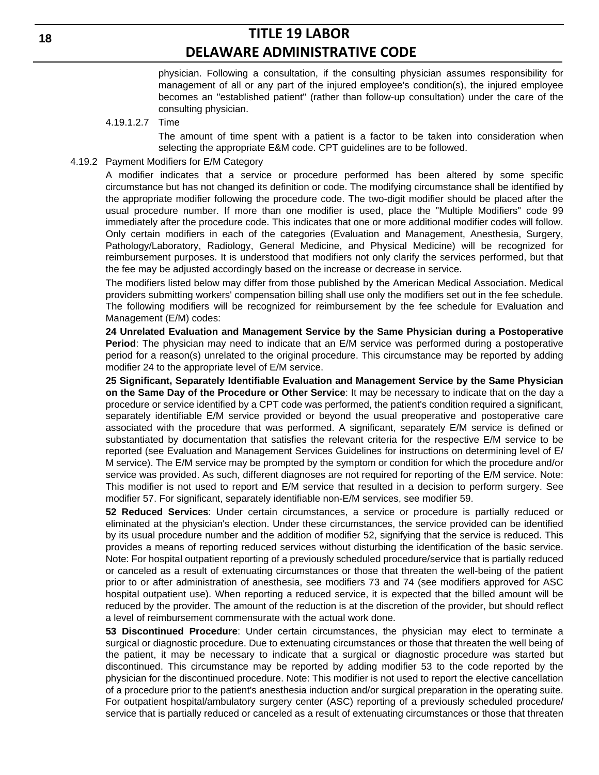physician. Following a consultation, if the consulting physician assumes responsibility for management of all or any part of the injured employee's condition(s), the injured employee becomes an "established patient" (rather than follow-up consultation) under the care of the consulting physician.

#### 4.19.1.2.7 Time

The amount of time spent with a patient is a factor to be taken into consideration when selecting the appropriate E&M code. CPT guidelines are to be followed.

#### 4.19.2 Payment Modifiers for E/M Category

A modifier indicates that a service or procedure performed has been altered by some specific circumstance but has not changed its definition or code. The modifying circumstance shall be identified by the appropriate modifier following the procedure code. The two-digit modifier should be placed after the usual procedure number. If more than one modifier is used, place the "Multiple Modifiers" code 99 immediately after the procedure code. This indicates that one or more additional modifier codes will follow. Only certain modifiers in each of the categories (Evaluation and Management, Anesthesia, Surgery, Pathology/Laboratory, Radiology, General Medicine, and Physical Medicine) will be recognized for reimbursement purposes. It is understood that modifiers not only clarify the services performed, but that the fee may be adjusted accordingly based on the increase or decrease in service.

The modifiers listed below may differ from those published by the American Medical Association. Medical providers submitting workers' compensation billing shall use only the modifiers set out in the fee schedule. The following modifiers will be recognized for reimbursement by the fee schedule for Evaluation and Management (E/M) codes:

**24 Unrelated Evaluation and Management Service by the Same Physician during a Postoperative Period**: The physician may need to indicate that an E/M service was performed during a postoperative period for a reason(s) unrelated to the original procedure. This circumstance may be reported by adding modifier 24 to the appropriate level of E/M service.

**25 Significant, Separately Identifiable Evaluation and Management Service by the Same Physician on the Same Day of the Procedure or Other Service**: It may be necessary to indicate that on the day a procedure or service identified by a CPT code was performed, the patient's condition required a significant, separately identifiable E/M service provided or beyond the usual preoperative and postoperative care associated with the procedure that was performed. A significant, separately E/M service is defined or substantiated by documentation that satisfies the relevant criteria for the respective E/M service to be reported (see Evaluation and Management Services Guidelines for instructions on determining level of E/ M service). The E/M service may be prompted by the symptom or condition for which the procedure and/or service was provided. As such, different diagnoses are not required for reporting of the E/M service. Note: This modifier is not used to report and E/M service that resulted in a decision to perform surgery. See modifier 57. For significant, separately identifiable non-E/M services, see modifier 59.

**52 Reduced Services**: Under certain circumstances, a service or procedure is partially reduced or eliminated at the physician's election. Under these circumstances, the service provided can be identified by its usual procedure number and the addition of modifier 52, signifying that the service is reduced. This provides a means of reporting reduced services without disturbing the identification of the basic service. Note: For hospital outpatient reporting of a previously scheduled procedure/service that is partially reduced or canceled as a result of extenuating circumstances or those that threaten the well-being of the patient prior to or after administration of anesthesia, see modifiers 73 and 74 (see modifiers approved for ASC hospital outpatient use). When reporting a reduced service, it is expected that the billed amount will be reduced by the provider. The amount of the reduction is at the discretion of the provider, but should reflect a level of reimbursement commensurate with the actual work done.

**53 Discontinued Procedure**: Under certain circumstances, the physician may elect to terminate a surgical or diagnostic procedure. Due to extenuating circumstances or those that threaten the well being of the patient, it may be necessary to indicate that a surgical or diagnostic procedure was started but discontinued. This circumstance may be reported by adding modifier 53 to the code reported by the physician for the discontinued procedure. Note: This modifier is not used to report the elective cancellation of a procedure prior to the patient's anesthesia induction and/or surgical preparation in the operating suite. For outpatient hospital/ambulatory surgery center (ASC) reporting of a previously scheduled procedure/ service that is partially reduced or canceled as a result of extenuating circumstances or those that threaten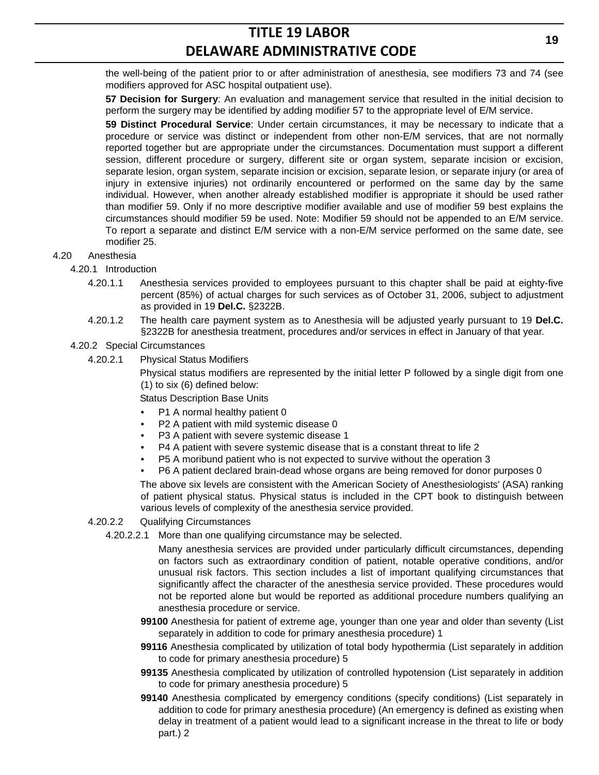the well-being of the patient prior to or after administration of anesthesia, see modifiers 73 and 74 (see modifiers approved for ASC hospital outpatient use).

**57 Decision for Surgery**: An evaluation and management service that resulted in the initial decision to perform the surgery may be identified by adding modifier 57 to the appropriate level of E/M service.

**59 Distinct Procedural Service**: Under certain circumstances, it may be necessary to indicate that a procedure or service was distinct or independent from other non-E/M services, that are not normally reported together but are appropriate under the circumstances. Documentation must support a different session, different procedure or surgery, different site or organ system, separate incision or excision, separate lesion, organ system, separate incision or excision, separate lesion, or separate injury (or area of injury in extensive injuries) not ordinarily encountered or performed on the same day by the same individual. However, when another already established modifier is appropriate it should be used rather than modifier 59. Only if no more descriptive modifier available and use of modifier 59 best explains the circumstances should modifier 59 be used. Note: Modifier 59 should not be appended to an E/M service. To report a separate and distinct E/M service with a non-E/M service performed on the same date, see modifier 25.

- 4.20 Anesthesia
	- 4.20.1 Introduction
		- 4.20.1.1 Anesthesia services provided to employees pursuant to this chapter shall be paid at eighty-five percent (85%) of actual charges for such services as of October 31, 2006, subject to adjustment as provided in 19 **Del.C.** §2322B.
		- 4.20.1.2 The health care payment system as to Anesthesia will be adjusted yearly pursuant to 19 **Del.C.** §2322B for anesthesia treatment, procedures and/or services in effect in January of that year.

#### 4.20.2 Special Circumstances

4.20.2.1 Physical Status Modifiers

Physical status modifiers are represented by the initial letter P followed by a single digit from one (1) to six (6) defined below:

Status Description Base Units

- P1 A normal healthy patient 0
- P2 A patient with mild systemic disease 0
- P3 A patient with severe systemic disease 1
- P4 A patient with severe systemic disease that is a constant threat to life 2
- P5 A moribund patient who is not expected to survive without the operation 3
- P6 A patient declared brain-dead whose organs are being removed for donor purposes 0

The above six levels are consistent with the American Society of Anesthesiologists' (ASA) ranking of patient physical status. Physical status is included in the CPT book to distinguish between various levels of complexity of the anesthesia service provided.

- 4.20.2.2 Qualifying Circumstances
	- 4.20.2.2.1 More than one qualifying circumstance may be selected.

Many anesthesia services are provided under particularly difficult circumstances, depending on factors such as extraordinary condition of patient, notable operative conditions, and/or unusual risk factors. This section includes a list of important qualifying circumstances that significantly affect the character of the anesthesia service provided. These procedures would not be reported alone but would be reported as additional procedure numbers qualifying an anesthesia procedure or service.

- **99100** Anesthesia for patient of extreme age, younger than one year and older than seventy (List separately in addition to code for primary anesthesia procedure) 1
- **99116** Anesthesia complicated by utilization of total body hypothermia (List separately in addition to code for primary anesthesia procedure) 5
- **99135** Anesthesia complicated by utilization of controlled hypotension (List separately in addition to code for primary anesthesia procedure) 5
- **99140** Anesthesia complicated by emergency conditions (specify conditions) (List separately in addition to code for primary anesthesia procedure) (An emergency is defined as existing when delay in treatment of a patient would lead to a significant increase in the threat to life or body part.) 2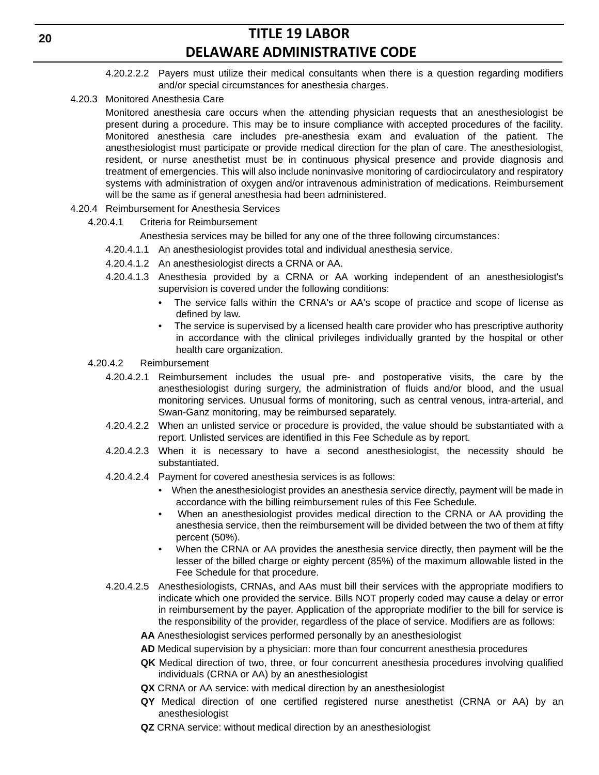- 4.20.2.2.2 Payers must utilize their medical consultants when there is a question regarding modifiers and/or special circumstances for anesthesia charges.
- 4.20.3 Monitored Anesthesia Care

Monitored anesthesia care occurs when the attending physician requests that an anesthesiologist be present during a procedure. This may be to insure compliance with accepted procedures of the facility. Monitored anesthesia care includes pre-anesthesia exam and evaluation of the patient. The anesthesiologist must participate or provide medical direction for the plan of care. The anesthesiologist, resident, or nurse anesthetist must be in continuous physical presence and provide diagnosis and treatment of emergencies. This will also include noninvasive monitoring of cardiocirculatory and respiratory systems with administration of oxygen and/or intravenous administration of medications. Reimbursement will be the same as if general anesthesia had been administered.

- 4.20.4 Reimbursement for Anesthesia Services
	- 4.20.4.1 Criteria for Reimbursement

Anesthesia services may be billed for any one of the three following circumstances:

- 4.20.4.1.1 An anesthesiologist provides total and individual anesthesia service.
- 4.20.4.1.2 An anesthesiologist directs a CRNA or AA.
- 4.20.4.1.3 Anesthesia provided by a CRNA or AA working independent of an anesthesiologist's supervision is covered under the following conditions:
	- The service falls within the CRNA's or AA's scope of practice and scope of license as defined by law.
	- The service is supervised by a licensed health care provider who has prescriptive authority in accordance with the clinical privileges individually granted by the hospital or other health care organization.
- 4.20.4.2 Reimbursement
	- 4.20.4.2.1 Reimbursement includes the usual pre- and postoperative visits, the care by the anesthesiologist during surgery, the administration of fluids and/or blood, and the usual monitoring services. Unusual forms of monitoring, such as central venous, intra-arterial, and Swan-Ganz monitoring, may be reimbursed separately.
	- 4.20.4.2.2 When an unlisted service or procedure is provided, the value should be substantiated with a report. Unlisted services are identified in this Fee Schedule as by report.
	- 4.20.4.2.3 When it is necessary to have a second anesthesiologist, the necessity should be substantiated.
	- 4.20.4.2.4 Payment for covered anesthesia services is as follows:
		- When the anesthesiologist provides an anesthesia service directly, payment will be made in accordance with the billing reimbursement rules of this Fee Schedule.
		- When an anesthesiologist provides medical direction to the CRNA or AA providing the anesthesia service, then the reimbursement will be divided between the two of them at fifty percent (50%).
		- When the CRNA or AA provides the anesthesia service directly, then payment will be the lesser of the billed charge or eighty percent (85%) of the maximum allowable listed in the Fee Schedule for that procedure.
	- 4.20.4.2.5 Anesthesiologists, CRNAs, and AAs must bill their services with the appropriate modifiers to indicate which one provided the service. Bills NOT properly coded may cause a delay or error in reimbursement by the payer. Application of the appropriate modifier to the bill for service is the responsibility of the provider, regardless of the place of service. Modifiers are as follows:
		- **AA** Anesthesiologist services performed personally by an anesthesiologist
		- **AD** Medical supervision by a physician: more than four concurrent anesthesia procedures
		- **QK** Medical direction of two, three, or four concurrent anesthesia procedures involving qualified individuals (CRNA or AA) by an anesthesiologist
		- **QX** CRNA or AA service: with medical direction by an anesthesiologist
		- **QY** Medical direction of one certified registered nurse anesthetist (CRNA or AA) by an anesthesiologist
		- **QZ** CRNA service: without medical direction by an anesthesiologist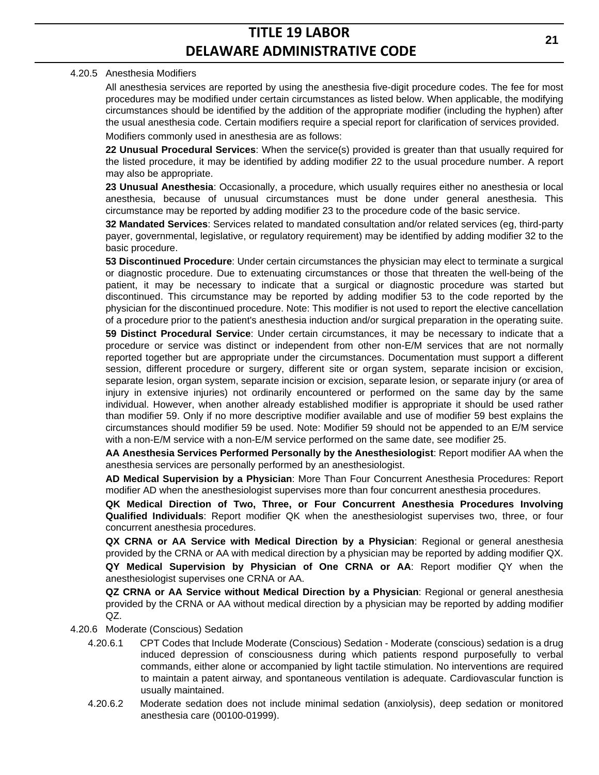#### 4.20.5 Anesthesia Modifiers

All anesthesia services are reported by using the anesthesia five-digit procedure codes. The fee for most procedures may be modified under certain circumstances as listed below. When applicable, the modifying circumstances should be identified by the addition of the appropriate modifier (including the hyphen) after the usual anesthesia code. Certain modifiers require a special report for clarification of services provided. Modifiers commonly used in anesthesia are as follows:

**22 Unusual Procedural Services**: When the service(s) provided is greater than that usually required for the listed procedure, it may be identified by adding modifier 22 to the usual procedure number. A report may also be appropriate.

**23 Unusual Anesthesia**: Occasionally, a procedure, which usually requires either no anesthesia or local anesthesia, because of unusual circumstances must be done under general anesthesia. This circumstance may be reported by adding modifier 23 to the procedure code of the basic service.

**32 Mandated Services**: Services related to mandated consultation and/or related services (eg, third-party payer, governmental, legislative, or regulatory requirement) may be identified by adding modifier 32 to the basic procedure.

**53 Discontinued Procedure**: Under certain circumstances the physician may elect to terminate a surgical or diagnostic procedure. Due to extenuating circumstances or those that threaten the well-being of the patient, it may be necessary to indicate that a surgical or diagnostic procedure was started but discontinued. This circumstance may be reported by adding modifier 53 to the code reported by the physician for the discontinued procedure. Note: This modifier is not used to report the elective cancellation of a procedure prior to the patient's anesthesia induction and/or surgical preparation in the operating suite.

**59 Distinct Procedural Service**: Under certain circumstances, it may be necessary to indicate that a procedure or service was distinct or independent from other non-E/M services that are not normally reported together but are appropriate under the circumstances. Documentation must support a different session, different procedure or surgery, different site or organ system, separate incision or excision, separate lesion, organ system, separate incision or excision, separate lesion, or separate injury (or area of injury in extensive injuries) not ordinarily encountered or performed on the same day by the same individual. However, when another already established modifier is appropriate it should be used rather than modifier 59. Only if no more descriptive modifier available and use of modifier 59 best explains the circumstances should modifier 59 be used. Note: Modifier 59 should not be appended to an E/M service with a non-E/M service with a non-E/M service performed on the same date, see modifier 25.

**AA Anesthesia Services Performed Personally by the Anesthesiologist**: Report modifier AA when the anesthesia services are personally performed by an anesthesiologist.

**AD Medical Supervision by a Physician**: More Than Four Concurrent Anesthesia Procedures: Report modifier AD when the anesthesiologist supervises more than four concurrent anesthesia procedures.

**QK Medical Direction of Two, Three, or Four Concurrent Anesthesia Procedures Involving Qualified Individuals**: Report modifier QK when the anesthesiologist supervises two, three, or four concurrent anesthesia procedures.

**QX CRNA or AA Service with Medical Direction by a Physician**: Regional or general anesthesia provided by the CRNA or AA with medical direction by a physician may be reported by adding modifier QX.

**QY Medical Supervision by Physician of One CRNA or AA**: Report modifier QY when the anesthesiologist supervises one CRNA or AA.

**QZ CRNA or AA Service without Medical Direction by a Physician**: Regional or general anesthesia provided by the CRNA or AA without medical direction by a physician may be reported by adding modifier QZ.

- 4.20.6 Moderate (Conscious) Sedation
	- 4.20.6.1 CPT Codes that Include Moderate (Conscious) Sedation Moderate (conscious) sedation is a drug induced depression of consciousness during which patients respond purposefully to verbal commands, either alone or accompanied by light tactile stimulation. No interventions are required to maintain a patent airway, and spontaneous ventilation is adequate. Cardiovascular function is usually maintained.
	- 4.20.6.2 Moderate sedation does not include minimal sedation (anxiolysis), deep sedation or monitored anesthesia care (00100-01999).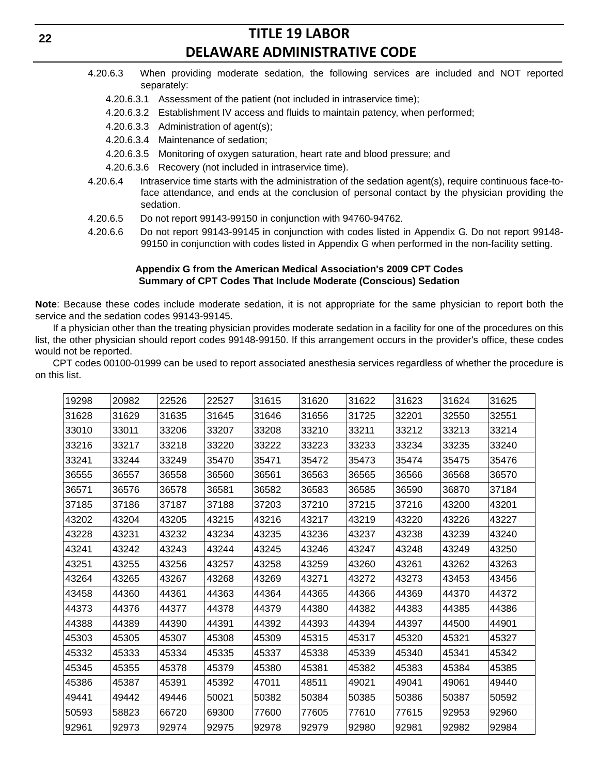- 4.20.6.3 When providing moderate sedation, the following services are included and NOT reported separately:
	- 4.20.6.3.1 Assessment of the patient (not included in intraservice time);
	- 4.20.6.3.2 Establishment IV access and fluids to maintain patency, when performed;
	- 4.20.6.3.3 Administration of agent(s);
	- 4.20.6.3.4 Maintenance of sedation;
	- 4.20.6.3.5 Monitoring of oxygen saturation, heart rate and blood pressure; and
	- 4.20.6.3.6 Recovery (not included in intraservice time).
- 4.20.6.4 Intraservice time starts with the administration of the sedation agent(s), require continuous face-toface attendance, and ends at the conclusion of personal contact by the physician providing the sedation.
- 4.20.6.5 Do not report 99143-99150 in conjunction with 94760-94762.
- 4.20.6.6 Do not report 99143-99145 in conjunction with codes listed in Appendix G. Do not report 99148- 99150 in conjunction with codes listed in Appendix G when performed in the non-facility setting.

#### **Appendix G from the American Medical Association's 2009 CPT Codes Summary of CPT Codes That Include Moderate (Conscious) Sedation**

**Note**: Because these codes include moderate sedation, it is not appropriate for the same physician to report both the service and the sedation codes 99143-99145.

If a physician other than the treating physician provides moderate sedation in a facility for one of the procedures on this list, the other physician should report codes 99148-99150. If this arrangement occurs in the provider's office, these codes would not be reported.

CPT codes 00100-01999 can be used to report associated anesthesia services regardless of whether the procedure is on this list.

| 19298 | 20982 | 22526 | 22527 | 31615 | 31620 | 31622 | 31623 | 31624 | 31625 |
|-------|-------|-------|-------|-------|-------|-------|-------|-------|-------|
| 31628 | 31629 | 31635 | 31645 | 31646 | 31656 | 31725 | 32201 | 32550 | 32551 |
| 33010 | 33011 | 33206 | 33207 | 33208 | 33210 | 33211 | 33212 | 33213 | 33214 |
| 33216 | 33217 | 33218 | 33220 | 33222 | 33223 | 33233 | 33234 | 33235 | 33240 |
| 33241 | 33244 | 33249 | 35470 | 35471 | 35472 | 35473 | 35474 | 35475 | 35476 |
| 36555 | 36557 | 36558 | 36560 | 36561 | 36563 | 36565 | 36566 | 36568 | 36570 |
| 36571 | 36576 | 36578 | 36581 | 36582 | 36583 | 36585 | 36590 | 36870 | 37184 |
| 37185 | 37186 | 37187 | 37188 | 37203 | 37210 | 37215 | 37216 | 43200 | 43201 |
| 43202 | 43204 | 43205 | 43215 | 43216 | 43217 | 43219 | 43220 | 43226 | 43227 |
| 43228 | 43231 | 43232 | 43234 | 43235 | 43236 | 43237 | 43238 | 43239 | 43240 |
| 43241 | 43242 | 43243 | 43244 | 43245 | 43246 | 43247 | 43248 | 43249 | 43250 |
| 43251 | 43255 | 43256 | 43257 | 43258 | 43259 | 43260 | 43261 | 43262 | 43263 |
| 43264 | 43265 | 43267 | 43268 | 43269 | 43271 | 43272 | 43273 | 43453 | 43456 |
| 43458 | 44360 | 44361 | 44363 | 44364 | 44365 | 44366 | 44369 | 44370 | 44372 |
| 44373 | 44376 | 44377 | 44378 | 44379 | 44380 | 44382 | 44383 | 44385 | 44386 |
| 44388 | 44389 | 44390 | 44391 | 44392 | 44393 | 44394 | 44397 | 44500 | 44901 |
| 45303 | 45305 | 45307 | 45308 | 45309 | 45315 | 45317 | 45320 | 45321 | 45327 |
| 45332 | 45333 | 45334 | 45335 | 45337 | 45338 | 45339 | 45340 | 45341 | 45342 |
| 45345 | 45355 | 45378 | 45379 | 45380 | 45381 | 45382 | 45383 | 45384 | 45385 |
| 45386 | 45387 | 45391 | 45392 | 47011 | 48511 | 49021 | 49041 | 49061 | 49440 |
| 49441 | 49442 | 49446 | 50021 | 50382 | 50384 | 50385 | 50386 | 50387 | 50592 |
| 50593 | 58823 | 66720 | 69300 | 77600 | 77605 | 77610 | 77615 | 92953 | 92960 |
| 92961 | 92973 | 92974 | 92975 | 92978 | 92979 | 92980 | 92981 | 92982 | 92984 |
|       |       |       |       |       |       |       |       |       |       |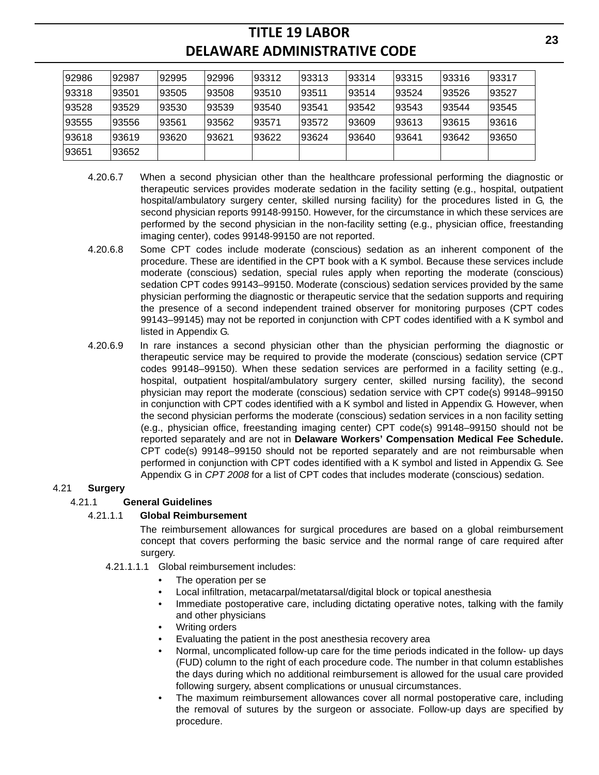| 92986 | 92987 | 92995 | 92996 | 93312 | 93313 | 93314 | 193315 | 93316 | 93317 |
|-------|-------|-------|-------|-------|-------|-------|--------|-------|-------|
| 93318 | 93501 | 93505 | 93508 | 93510 | 93511 | 93514 | 93524  | 93526 | 93527 |
| 93528 | 93529 | 93530 | 93539 | 93540 | 93541 | 93542 | 93543  | 93544 | 93545 |
| 93555 | 93556 | 93561 | 93562 | 93571 | 93572 | 93609 | 93613  | 93615 | 93616 |
| 93618 | 93619 | 93620 | 93621 | 93622 | 93624 | 93640 | 93641  | 93642 | 93650 |
| 93651 | 93652 |       |       |       |       |       |        |       |       |

- 4.20.6.7 When a second physician other than the healthcare professional performing the diagnostic or therapeutic services provides moderate sedation in the facility setting (e.g., hospital, outpatient hospital/ambulatory surgery center, skilled nursing facility) for the procedures listed in G, the second physician reports 99148-99150. However, for the circumstance in which these services are performed by the second physician in the non-facility setting (e.g., physician office, freestanding imaging center), codes 99148-99150 are not reported.
- 4.20.6.8 Some CPT codes include moderate (conscious) sedation as an inherent component of the procedure. These are identified in the CPT book with a K symbol. Because these services include moderate (conscious) sedation, special rules apply when reporting the moderate (conscious) sedation CPT codes 99143–99150. Moderate (conscious) sedation services provided by the same physician performing the diagnostic or therapeutic service that the sedation supports and requiring the presence of a second independent trained observer for monitoring purposes (CPT codes 99143–99145) may not be reported in conjunction with CPT codes identified with a K symbol and listed in Appendix G.
- 4.20.6.9 In rare instances a second physician other than the physician performing the diagnostic or therapeutic service may be required to provide the moderate (conscious) sedation service (CPT codes 99148–99150). When these sedation services are performed in a facility setting (e.g., hospital, outpatient hospital/ambulatory surgery center, skilled nursing facility), the second physician may report the moderate (conscious) sedation service with CPT code(s) 99148–99150 in conjunction with CPT codes identified with a K symbol and listed in Appendix G. However, when the second physician performs the moderate (conscious) sedation services in a non facility setting (e.g., physician office, freestanding imaging center) CPT code(s) 99148–99150 should not be reported separately and are not in **Delaware Workers' Compensation Medical Fee Schedule.** CPT code(s) 99148–99150 should not be reported separately and are not reimbursable when performed in conjunction with CPT codes identified with a K symbol and listed in Appendix G. See Appendix G in *CPT 2008* for a list of CPT codes that includes moderate (conscious) sedation.

## 4.21 **Surgery**

## 4.21.1 **General Guidelines**

### 4.21.1.1 **Global Reimbursement**

The reimbursement allowances for surgical procedures are based on a global reimbursement concept that covers performing the basic service and the normal range of care required after surgery.

- 4.21.1.1.1 Global reimbursement includes:
	- The operation per se
	- Local infiltration, metacarpal/metatarsal/digital block or topical anesthesia
	- Immediate postoperative care, including dictating operative notes, talking with the family and other physicians
	- Writing orders
	- Evaluating the patient in the post anesthesia recovery area
	- Normal, uncomplicated follow-up care for the time periods indicated in the follow- up days (FUD) column to the right of each procedure code. The number in that column establishes the days during which no additional reimbursement is allowed for the usual care provided following surgery, absent complications or unusual circumstances.
	- The maximum reimbursement allowances cover all normal postoperative care, including the removal of sutures by the surgeon or associate. Follow-up days are specified by procedure.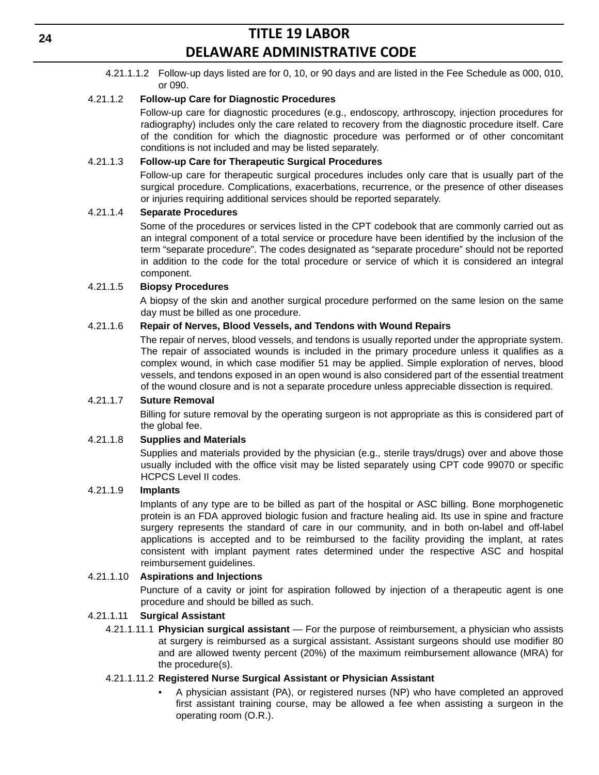4.21.1.1.2 Follow-up days listed are for 0, 10, or 90 days and are listed in the Fee Schedule as 000, 010, or 090.

### 4.21.1.2 **Follow-up Care for Diagnostic Procedures**

Follow-up care for diagnostic procedures (e.g., endoscopy, arthroscopy, injection procedures for radiography) includes only the care related to recovery from the diagnostic procedure itself. Care of the condition for which the diagnostic procedure was performed or of other concomitant conditions is not included and may be listed separately.

### 4.21.1.3 **Follow-up Care for Therapeutic Surgical Procedures**

Follow-up care for therapeutic surgical procedures includes only care that is usually part of the surgical procedure. Complications, exacerbations, recurrence, or the presence of other diseases or injuries requiring additional services should be reported separately.

### 4.21.1.4 **Separate Procedures**

Some of the procedures or services listed in the CPT codebook that are commonly carried out as an integral component of a total service or procedure have been identified by the inclusion of the term "separate procedure". The codes designated as "separate procedure" should not be reported in addition to the code for the total procedure or service of which it is considered an integral component.

### 4.21.1.5 **Biopsy Procedures**

A biopsy of the skin and another surgical procedure performed on the same lesion on the same day must be billed as one procedure.

## 4.21.1.6 **Repair of Nerves, Blood Vessels, and Tendons with Wound Repairs**

The repair of nerves, blood vessels, and tendons is usually reported under the appropriate system. The repair of associated wounds is included in the primary procedure unless it qualifies as a complex wound, in which case modifier 51 may be applied. Simple exploration of nerves, blood vessels, and tendons exposed in an open wound is also considered part of the essential treatment of the wound closure and is not a separate procedure unless appreciable dissection is required.

### 4.21.1.7 **Suture Removal**

Billing for suture removal by the operating surgeon is not appropriate as this is considered part of the global fee.

### 4.21.1.8 **Supplies and Materials**

Supplies and materials provided by the physician (e.g., sterile trays/drugs) over and above those usually included with the office visit may be listed separately using CPT code 99070 or specific HCPCS Level II codes.

### 4.21.1.9 **Implants**

Implants of any type are to be billed as part of the hospital or ASC billing. Bone morphogenetic protein is an FDA approved biologic fusion and fracture healing aid. Its use in spine and fracture surgery represents the standard of care in our community, and in both on-label and off-label applications is accepted and to be reimbursed to the facility providing the implant, at rates consistent with implant payment rates determined under the respective ASC and hospital reimbursement guidelines.

### 4.21.1.10 **Aspirations and Injections**

Puncture of a cavity or joint for aspiration followed by injection of a therapeutic agent is one procedure and should be billed as such.

### 4.21.1.11 **Surgical Assistant**

4.21.1.11.1 **Physician surgical assistant** — For the purpose of reimbursement, a physician who assists at surgery is reimbursed as a surgical assistant. Assistant surgeons should use modifier 80 and are allowed twenty percent (20%) of the maximum reimbursement allowance (MRA) for the procedure(s).

### 4.21.1.11.2 **Registered Nurse Surgical Assistant or Physician Assistant**

• A physician assistant (PA), or registered nurses (NP) who have completed an approved first assistant training course, may be allowed a fee when assisting a surgeon in the operating room (O.R.).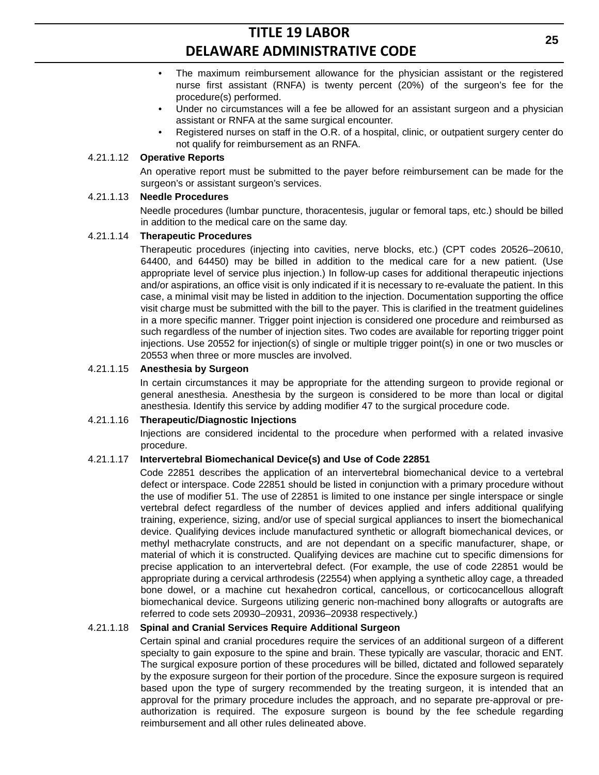- The maximum reimbursement allowance for the physician assistant or the registered nurse first assistant (RNFA) is twenty percent (20%) of the surgeon's fee for the procedure(s) performed.
- Under no circumstances will a fee be allowed for an assistant surgeon and a physician assistant or RNFA at the same surgical encounter.
- Registered nurses on staff in the O.R. of a hospital, clinic, or outpatient surgery center do not qualify for reimbursement as an RNFA.

#### 4.21.1.12 **Operative Reports**

An operative report must be submitted to the payer before reimbursement can be made for the surgeon's or assistant surgeon's services.

#### 4.21.1.13 **Needle Procedures**

Needle procedures (lumbar puncture, thoracentesis, jugular or femoral taps, etc.) should be billed in addition to the medical care on the same day.

#### 4.21.1.14 **Therapeutic Procedures**

Therapeutic procedures (injecting into cavities, nerve blocks, etc.) (CPT codes 20526–20610, 64400, and 64450) may be billed in addition to the medical care for a new patient. (Use appropriate level of service plus injection.) In follow-up cases for additional therapeutic injections and/or aspirations, an office visit is only indicated if it is necessary to re-evaluate the patient. In this case, a minimal visit may be listed in addition to the injection. Documentation supporting the office visit charge must be submitted with the bill to the payer. This is clarified in the treatment guidelines in a more specific manner. Trigger point injection is considered one procedure and reimbursed as such regardless of the number of injection sites. Two codes are available for reporting trigger point injections. Use 20552 for injection(s) of single or multiple trigger point(s) in one or two muscles or 20553 when three or more muscles are involved.

#### 4.21.1.15 **Anesthesia by Surgeon**

In certain circumstances it may be appropriate for the attending surgeon to provide regional or general anesthesia. Anesthesia by the surgeon is considered to be more than local or digital anesthesia. Identify this service by adding modifier 47 to the surgical procedure code.

#### 4.21.1.16 **Therapeutic/Diagnostic Injections**

Injections are considered incidental to the procedure when performed with a related invasive procedure.

### 4.21.1.17 **Intervertebral Biomechanical Device(s) and Use of Code 22851**

Code 22851 describes the application of an intervertebral biomechanical device to a vertebral defect or interspace. Code 22851 should be listed in conjunction with a primary procedure without the use of modifier 51. The use of 22851 is limited to one instance per single interspace or single vertebral defect regardless of the number of devices applied and infers additional qualifying training, experience, sizing, and/or use of special surgical appliances to insert the biomechanical device. Qualifying devices include manufactured synthetic or allograft biomechanical devices, or methyl methacrylate constructs, and are not dependant on a specific manufacturer, shape, or material of which it is constructed. Qualifying devices are machine cut to specific dimensions for precise application to an intervertebral defect. (For example, the use of code 22851 would be appropriate during a cervical arthrodesis (22554) when applying a synthetic alloy cage, a threaded bone dowel, or a machine cut hexahedron cortical, cancellous, or corticocancellous allograft biomechanical device. Surgeons utilizing generic non-machined bony allografts or autografts are referred to code sets 20930–20931, 20936–20938 respectively.)

### 4.21.1.18 **Spinal and Cranial Services Require Additional Surgeon**

Certain spinal and cranial procedures require the services of an additional surgeon of a different specialty to gain exposure to the spine and brain. These typically are vascular, thoracic and ENT. The surgical exposure portion of these procedures will be billed, dictated and followed separately by the exposure surgeon for their portion of the procedure. Since the exposure surgeon is required based upon the type of surgery recommended by the treating surgeon, it is intended that an approval for the primary procedure includes the approach, and no separate pre-approval or preauthorization is required. The exposure surgeon is bound by the fee schedule regarding reimbursement and all other rules delineated above.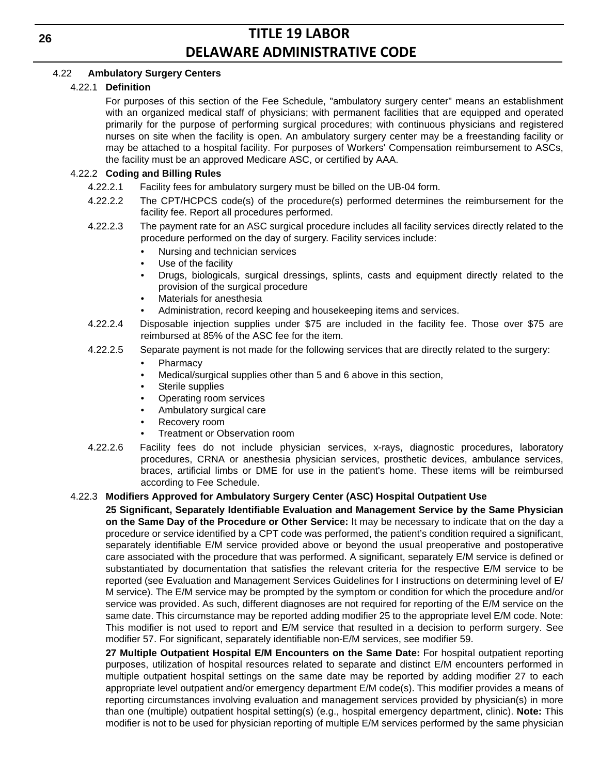## 4.22 **Ambulatory Surgery Centers**

### 4.22.1 **Definition**

For purposes of this section of the Fee Schedule, "ambulatory surgery center" means an establishment with an organized medical staff of physicians; with permanent facilities that are equipped and operated primarily for the purpose of performing surgical procedures; with continuous physicians and registered nurses on site when the facility is open. An ambulatory surgery center may be a freestanding facility or may be attached to a hospital facility. For purposes of Workers' Compensation reimbursement to ASCs, the facility must be an approved Medicare ASC, or certified by AAA.

## 4.22.2 **Coding and Billing Rules**

- 4.22.2.1 Facility fees for ambulatory surgery must be billed on the UB-04 form.
- 4.22.2.2 The CPT/HCPCS code(s) of the procedure(s) performed determines the reimbursement for the facility fee. Report all procedures performed.
- 4.22.2.3 The payment rate for an ASC surgical procedure includes all facility services directly related to the procedure performed on the day of surgery. Facility services include:
	- Nursing and technician services
	- Use of the facility
	- Drugs, biologicals, surgical dressings, splints, casts and equipment directly related to the provision of the surgical procedure
	- Materials for anesthesia
	- Administration, record keeping and housekeeping items and services.
- 4.22.2.4 Disposable injection supplies under \$75 are included in the facility fee. Those over \$75 are reimbursed at 85% of the ASC fee for the item.
- 4.22.2.5 Separate payment is not made for the following services that are directly related to the surgery:
	- Pharmacy
	- Medical/surgical supplies other than 5 and 6 above in this section,
	- Sterile supplies
	- Operating room services
	- Ambulatory surgical care
	- Recovery room
	- Treatment or Observation room
- 4.22.2.6 Facility fees do not include physician services, x-rays, diagnostic procedures, laboratory procedures, CRNA or anesthesia physician services, prosthetic devices, ambulance services, braces, artificial limbs or DME for use in the patient's home. These items will be reimbursed according to Fee Schedule.

### 4.22.3 **Modifiers Approved for Ambulatory Surgery Center (ASC) Hospital Outpatient Use**

**25 Significant, Separately Identifiable Evaluation and Management Service by the Same Physician on the Same Day of the Procedure or Other Service:** It may be necessary to indicate that on the day a procedure or service identified by a CPT code was performed, the patient's condition required a significant, separately identifiable E/M service provided above or beyond the usual preoperative and postoperative care associated with the procedure that was performed. A significant, separately E/M service is defined or substantiated by documentation that satisfies the relevant criteria for the respective E/M service to be reported (see Evaluation and Management Services Guidelines for I instructions on determining level of E/ M service). The E/M service may be prompted by the symptom or condition for which the procedure and/or service was provided. As such, different diagnoses are not required for reporting of the E/M service on the same date. This circumstance may be reported adding modifier 25 to the appropriate level E/M code. Note: This modifier is not used to report and E/M service that resulted in a decision to perform surgery. See modifier 57. For significant, separately identifiable non-E/M services, see modifier 59.

**27 Multiple Outpatient Hospital E/M Encounters on the Same Date:** For hospital outpatient reporting purposes, utilization of hospital resources related to separate and distinct E/M encounters performed in multiple outpatient hospital settings on the same date may be reported by adding modifier 27 to each appropriate level outpatient and/or emergency department E/M code(s). This modifier provides a means of reporting circumstances involving evaluation and management services provided by physician(s) in more than one (multiple) outpatient hospital setting(s) (e.g., hospital emergency department, clinic). **Note:** This modifier is not to be used for physician reporting of multiple E/M services performed by the same physician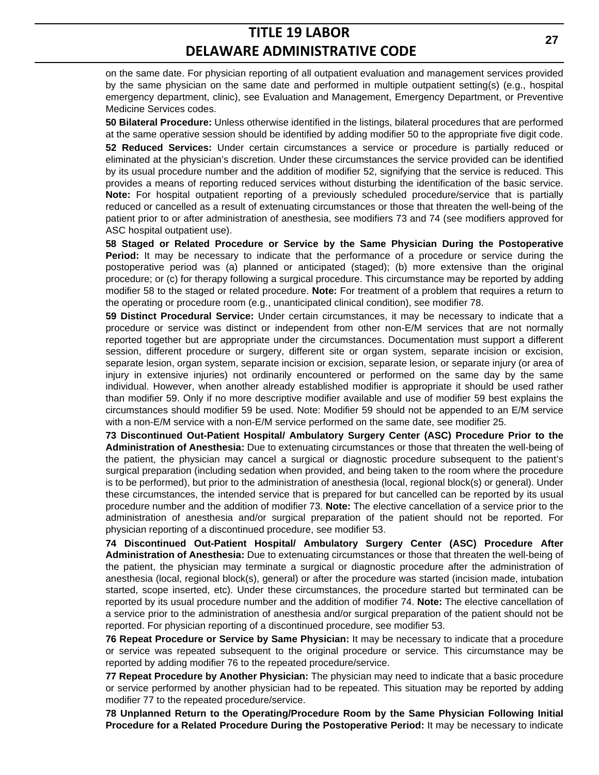on the same date. For physician reporting of all outpatient evaluation and management services provided by the same physician on the same date and performed in multiple outpatient setting(s) (e.g., hospital emergency department, clinic), see Evaluation and Management, Emergency Department, or Preventive Medicine Services codes.

**50 Bilateral Procedure:** Unless otherwise identified in the listings, bilateral procedures that are performed at the same operative session should be identified by adding modifier 50 to the appropriate five digit code. **52 Reduced Services:** Under certain circumstances a service or procedure is partially reduced or eliminated at the physician's discretion. Under these circumstances the service provided can be identified by its usual procedure number and the addition of modifier 52, signifying that the service is reduced. This provides a means of reporting reduced services without disturbing the identification of the basic service. **Note:** For hospital outpatient reporting of a previously scheduled procedure/service that is partially reduced or cancelled as a result of extenuating circumstances or those that threaten the well-being of the patient prior to or after administration of anesthesia, see modifiers 73 and 74 (see modifiers approved for ASC hospital outpatient use).

**58 Staged or Related Procedure or Service by the Same Physician During the Postoperative Period:** It may be necessary to indicate that the performance of a procedure or service during the postoperative period was (a) planned or anticipated (staged); (b) more extensive than the original procedure; or (c) for therapy following a surgical procedure. This circumstance may be reported by adding modifier 58 to the staged or related procedure. **Note:** For treatment of a problem that requires a return to the operating or procedure room (e.g., unanticipated clinical condition), see modifier 78.

**59 Distinct Procedural Service:** Under certain circumstances, it may be necessary to indicate that a procedure or service was distinct or independent from other non-E/M services that are not normally reported together but are appropriate under the circumstances. Documentation must support a different session, different procedure or surgery, different site or organ system, separate incision or excision, separate lesion, organ system, separate incision or excision, separate lesion, or separate injury (or area of injury in extensive injuries) not ordinarily encountered or performed on the same day by the same individual. However, when another already established modifier is appropriate it should be used rather than modifier 59. Only if no more descriptive modifier available and use of modifier 59 best explains the circumstances should modifier 59 be used. Note: Modifier 59 should not be appended to an E/M service with a non-E/M service with a non-E/M service performed on the same date, see modifier 25.

**73 Discontinued Out-Patient Hospital/ Ambulatory Surgery Center (ASC) Procedure Prior to the Administration of Anesthesia:** Due to extenuating circumstances or those that threaten the well-being of the patient, the physician may cancel a surgical or diagnostic procedure subsequent to the patient's surgical preparation (including sedation when provided, and being taken to the room where the procedure is to be performed), but prior to the administration of anesthesia (local, regional block(s) or general). Under these circumstances, the intended service that is prepared for but cancelled can be reported by its usual procedure number and the addition of modifier 73. **Note:** The elective cancellation of a service prior to the administration of anesthesia and/or surgical preparation of the patient should not be reported. For physician reporting of a discontinued procedure, see modifier 53.

**74 Discontinued Out-Patient Hospital/ Ambulatory Surgery Center (ASC) Procedure After Administration of Anesthesia:** Due to extenuating circumstances or those that threaten the well-being of the patient, the physician may terminate a surgical or diagnostic procedure after the administration of anesthesia (local, regional block(s), general) or after the procedure was started (incision made, intubation started, scope inserted, etc). Under these circumstances, the procedure started but terminated can be reported by its usual procedure number and the addition of modifier 74. **Note:** The elective cancellation of a service prior to the administration of anesthesia and/or surgical preparation of the patient should not be reported. For physician reporting of a discontinued procedure, see modifier 53.

**76 Repeat Procedure or Service by Same Physician:** It may be necessary to indicate that a procedure or service was repeated subsequent to the original procedure or service. This circumstance may be reported by adding modifier 76 to the repeated procedure/service.

**77 Repeat Procedure by Another Physician:** The physician may need to indicate that a basic procedure or service performed by another physician had to be repeated. This situation may be reported by adding modifier 77 to the repeated procedure/service.

**78 Unplanned Return to the Operating/Procedure Room by the Same Physician Following Initial Procedure for a Related Procedure During the Postoperative Period:** It may be necessary to indicate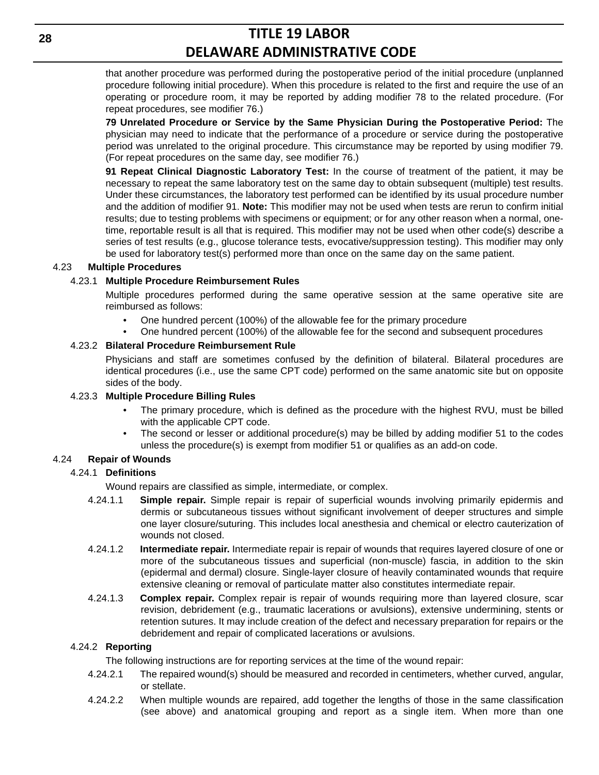that another procedure was performed during the postoperative period of the initial procedure (unplanned procedure following initial procedure). When this procedure is related to the first and require the use of an operating or procedure room, it may be reported by adding modifier 78 to the related procedure. (For repeat procedures, see modifier 76.)

**79 Unrelated Procedure or Service by the Same Physician During the Postoperative Period:** The physician may need to indicate that the performance of a procedure or service during the postoperative period was unrelated to the original procedure. This circumstance may be reported by using modifier 79. (For repeat procedures on the same day, see modifier 76.)

**91 Repeat Clinical Diagnostic Laboratory Test:** In the course of treatment of the patient, it may be necessary to repeat the same laboratory test on the same day to obtain subsequent (multiple) test results. Under these circumstances, the laboratory test performed can be identified by its usual procedure number and the addition of modifier 91. **Note:** This modifier may not be used when tests are rerun to confirm initial results; due to testing problems with specimens or equipment; or for any other reason when a normal, onetime, reportable result is all that is required. This modifier may not be used when other code(s) describe a series of test results (e.g., glucose tolerance tests, evocative/suppression testing). This modifier may only be used for laboratory test(s) performed more than once on the same day on the same patient.

#### 4.23 **Multiple Procedures**

### 4.23.1 **Multiple Procedure Reimbursement Rules**

Multiple procedures performed during the same operative session at the same operative site are reimbursed as follows:

- One hundred percent (100%) of the allowable fee for the primary procedure
- One hundred percent (100%) of the allowable fee for the second and subsequent procedures

#### 4.23.2 **Bilateral Procedure Reimbursement Rule**

Physicians and staff are sometimes confused by the definition of bilateral. Bilateral procedures are identical procedures (i.e., use the same CPT code) performed on the same anatomic site but on opposite sides of the body.

#### 4.23.3 **Multiple Procedure Billing Rules**

- The primary procedure, which is defined as the procedure with the highest RVU, must be billed with the applicable CPT code.
- The second or lesser or additional procedure(s) may be billed by adding modifier 51 to the codes unless the procedure(s) is exempt from modifier 51 or qualifies as an add-on code.

### 4.24 **Repair of Wounds**

### 4.24.1 **Definitions**

Wound repairs are classified as simple, intermediate, or complex.

- 4.24.1.1 **Simple repair.** Simple repair is repair of superficial wounds involving primarily epidermis and dermis or subcutaneous tissues without significant involvement of deeper structures and simple one layer closure/suturing. This includes local anesthesia and chemical or electro cauterization of wounds not closed.
- 4.24.1.2 **Intermediate repair.** Intermediate repair is repair of wounds that requires layered closure of one or more of the subcutaneous tissues and superficial (non-muscle) fascia, in addition to the skin (epidermal and dermal) closure. Single-layer closure of heavily contaminated wounds that require extensive cleaning or removal of particulate matter also constitutes intermediate repair.
- 4.24.1.3 **Complex repair.** Complex repair is repair of wounds requiring more than layered closure, scar revision, debridement (e.g., traumatic lacerations or avulsions), extensive undermining, stents or retention sutures. It may include creation of the defect and necessary preparation for repairs or the debridement and repair of complicated lacerations or avulsions.

### 4.24.2 **Reporting**

The following instructions are for reporting services at the time of the wound repair:

- 4.24.2.1 The repaired wound(s) should be measured and recorded in centimeters, whether curved, angular, or stellate.
- 4.24.2.2 When multiple wounds are repaired, add together the lengths of those in the same classification (see above) and anatomical grouping and report as a single item. When more than one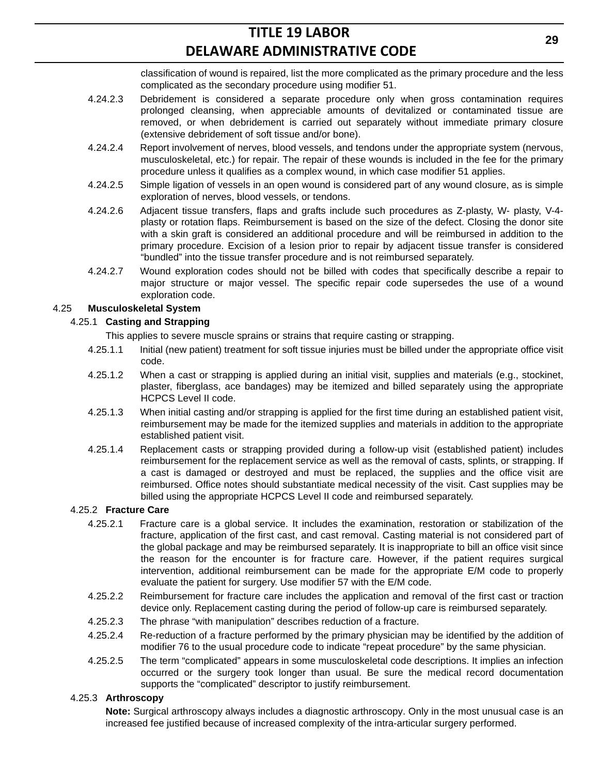classification of wound is repaired, list the more complicated as the primary procedure and the less complicated as the secondary procedure using modifier 51.

- 4.24.2.3 Debridement is considered a separate procedure only when gross contamination requires prolonged cleansing, when appreciable amounts of devitalized or contaminated tissue are removed, or when debridement is carried out separately without immediate primary closure (extensive debridement of soft tissue and/or bone).
- 4.24.2.4 Report involvement of nerves, blood vessels, and tendons under the appropriate system (nervous, musculoskeletal, etc.) for repair. The repair of these wounds is included in the fee for the primary procedure unless it qualifies as a complex wound, in which case modifier 51 applies.
- 4.24.2.5 Simple ligation of vessels in an open wound is considered part of any wound closure, as is simple exploration of nerves, blood vessels, or tendons.
- 4.24.2.6 Adjacent tissue transfers, flaps and grafts include such procedures as Z-plasty, W- plasty, V-4 plasty or rotation flaps. Reimbursement is based on the size of the defect. Closing the donor site with a skin graft is considered an additional procedure and will be reimbursed in addition to the primary procedure. Excision of a lesion prior to repair by adjacent tissue transfer is considered "bundled" into the tissue transfer procedure and is not reimbursed separately.
- 4.24.2.7 Wound exploration codes should not be billed with codes that specifically describe a repair to major structure or major vessel. The specific repair code supersedes the use of a wound exploration code.

## 4.25 **Musculoskeletal System**

## 4.25.1 **Casting and Strapping**

- This applies to severe muscle sprains or strains that require casting or strapping.
- 4.25.1.1 Initial (new patient) treatment for soft tissue injuries must be billed under the appropriate office visit code.
- 4.25.1.2 When a cast or strapping is applied during an initial visit, supplies and materials (e.g., stockinet, plaster, fiberglass, ace bandages) may be itemized and billed separately using the appropriate HCPCS Level II code.
- 4.25.1.3 When initial casting and/or strapping is applied for the first time during an established patient visit, reimbursement may be made for the itemized supplies and materials in addition to the appropriate established patient visit.
- 4.25.1.4 Replacement casts or strapping provided during a follow-up visit (established patient) includes reimbursement for the replacement service as well as the removal of casts, splints, or strapping. If a cast is damaged or destroyed and must be replaced, the supplies and the office visit are reimbursed. Office notes should substantiate medical necessity of the visit. Cast supplies may be billed using the appropriate HCPCS Level II code and reimbursed separately.

### 4.25.2 **Fracture Care**

- 4.25.2.1 Fracture care is a global service. It includes the examination, restoration or stabilization of the fracture, application of the first cast, and cast removal. Casting material is not considered part of the global package and may be reimbursed separately. It is inappropriate to bill an office visit since the reason for the encounter is for fracture care. However, if the patient requires surgical intervention, additional reimbursement can be made for the appropriate E/M code to properly evaluate the patient for surgery. Use modifier 57 with the E/M code.
- 4.25.2.2 Reimbursement for fracture care includes the application and removal of the first cast or traction device only. Replacement casting during the period of follow-up care is reimbursed separately.
- 4.25.2.3 The phrase "with manipulation" describes reduction of a fracture.
- 4.25.2.4 Re-reduction of a fracture performed by the primary physician may be identified by the addition of modifier 76 to the usual procedure code to indicate "repeat procedure" by the same physician.
- 4.25.2.5 The term "complicated" appears in some musculoskeletal code descriptions. It implies an infection occurred or the surgery took longer than usual. Be sure the medical record documentation supports the "complicated" descriptor to justify reimbursement.

## 4.25.3 **Arthroscopy**

**Note:** Surgical arthroscopy always includes a diagnostic arthroscopy. Only in the most unusual case is an increased fee justified because of increased complexity of the intra-articular surgery performed.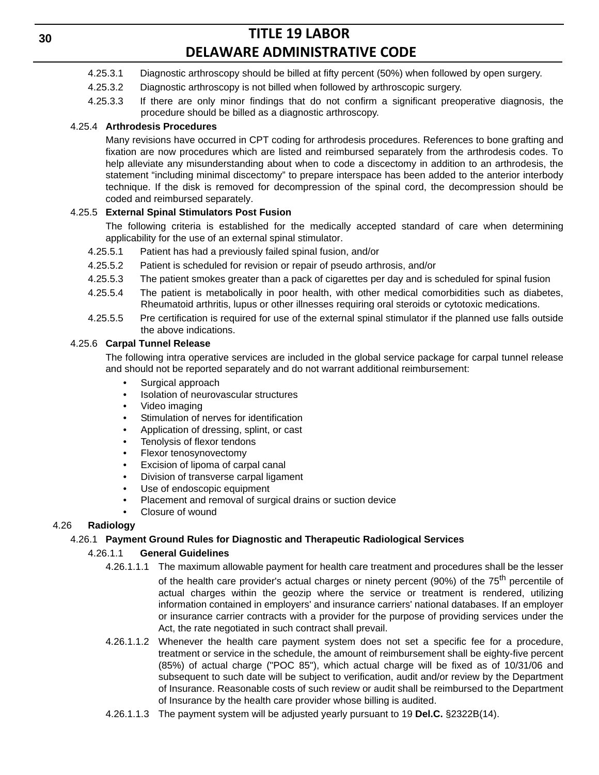- 4.25.3.1 Diagnostic arthroscopy should be billed at fifty percent (50%) when followed by open surgery.
- 4.25.3.2 Diagnostic arthroscopy is not billed when followed by arthroscopic surgery.
- 4.25.3.3 If there are only minor findings that do not confirm a significant preoperative diagnosis, the procedure should be billed as a diagnostic arthroscopy.

## 4.25.4 **Arthrodesis Procedures**

Many revisions have occurred in CPT coding for arthrodesis procedures. References to bone grafting and fixation are now procedures which are listed and reimbursed separately from the arthrodesis codes. To help alleviate any misunderstanding about when to code a discectomy in addition to an arthrodesis, the statement "including minimal discectomy" to prepare interspace has been added to the anterior interbody technique. If the disk is removed for decompression of the spinal cord, the decompression should be coded and reimbursed separately.

## 4.25.5 **External Spinal Stimulators Post Fusion**

The following criteria is established for the medically accepted standard of care when determining applicability for the use of an external spinal stimulator.

- 4.25.5.1 Patient has had a previously failed spinal fusion, and/or
- 4.25.5.2 Patient is scheduled for revision or repair of pseudo arthrosis, and/or
- 4.25.5.3 The patient smokes greater than a pack of cigarettes per day and is scheduled for spinal fusion
- 4.25.5.4 The patient is metabolically in poor health, with other medical comorbidities such as diabetes, Rheumatoid arthritis, lupus or other illnesses requiring oral steroids or cytotoxic medications.
- 4.25.5.5 Pre certification is required for use of the external spinal stimulator if the planned use falls outside the above indications.

### 4.25.6 **Carpal Tunnel Release**

The following intra operative services are included in the global service package for carpal tunnel release and should not be reported separately and do not warrant additional reimbursement:

- Surgical approach
- Isolation of neurovascular structures
- Video imaging
- Stimulation of nerves for identification
- Application of dressing, splint, or cast
- Tenolysis of flexor tendons
- Flexor tenosynovectomy
- Excision of lipoma of carpal canal
- Division of transverse carpal ligament
- Use of endoscopic equipment
- Placement and removal of surgical drains or suction device
- Closure of wound

### 4.26 **Radiology**

### 4.26.1 **Payment Ground Rules for Diagnostic and Therapeutic Radiological Services**

### 4.26.1.1 **General Guidelines**

- 4.26.1.1.1 The maximum allowable payment for health care treatment and procedures shall be the lesser of the health care provider's actual charges or ninety percent (90%) of the  $75<sup>th</sup>$  percentile of actual charges within the geozip where the service or treatment is rendered, utilizing information contained in employers' and insurance carriers' national databases. If an employer or insurance carrier contracts with a provider for the purpose of providing services under the Act, the rate negotiated in such contract shall prevail.
- 4.26.1.1.2 Whenever the health care payment system does not set a specific fee for a procedure, treatment or service in the schedule, the amount of reimbursement shall be eighty-five percent (85%) of actual charge ("POC 85"), which actual charge will be fixed as of 10/31/06 and subsequent to such date will be subject to verification, audit and/or review by the Department of Insurance. Reasonable costs of such review or audit shall be reimbursed to the Department of Insurance by the health care provider whose billing is audited.
- 4.26.1.1.3 The payment system will be adjusted yearly pursuant to 19 **Del.C.** §2322B(14).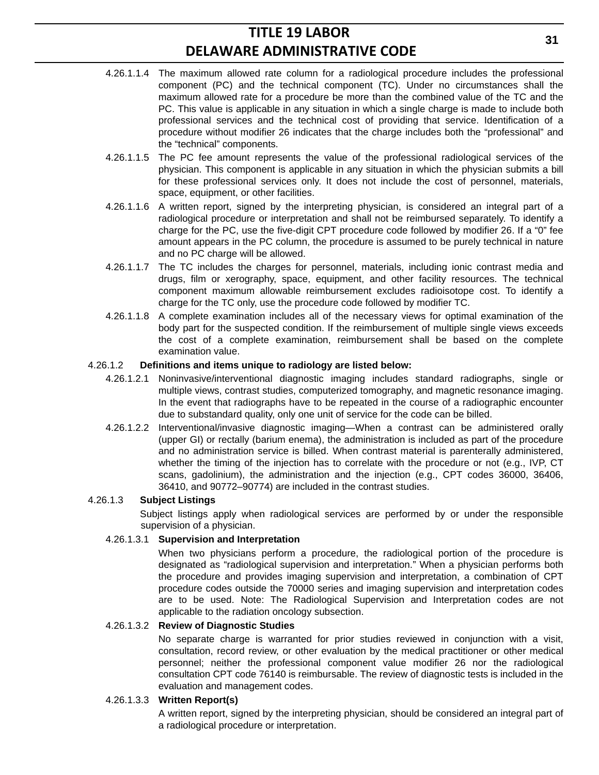- 4.26.1.1.4 The maximum allowed rate column for a radiological procedure includes the professional component (PC) and the technical component (TC). Under no circumstances shall the maximum allowed rate for a procedure be more than the combined value of the TC and the PC. This value is applicable in any situation in which a single charge is made to include both professional services and the technical cost of providing that service. Identification of a procedure without modifier 26 indicates that the charge includes both the "professional" and the "technical" components.
- 4.26.1.1.5 The PC fee amount represents the value of the professional radiological services of the physician. This component is applicable in any situation in which the physician submits a bill for these professional services only. It does not include the cost of personnel, materials, space, equipment, or other facilities.
- 4.26.1.1.6 A written report, signed by the interpreting physician, is considered an integral part of a radiological procedure or interpretation and shall not be reimbursed separately. To identify a charge for the PC, use the five-digit CPT procedure code followed by modifier 26. If a "0" fee amount appears in the PC column, the procedure is assumed to be purely technical in nature and no PC charge will be allowed.
- 4.26.1.1.7 The TC includes the charges for personnel, materials, including ionic contrast media and drugs, film or xerography, space, equipment, and other facility resources. The technical component maximum allowable reimbursement excludes radioisotope cost. To identify a charge for the TC only, use the procedure code followed by modifier TC.
- 4.26.1.1.8 A complete examination includes all of the necessary views for optimal examination of the body part for the suspected condition. If the reimbursement of multiple single views exceeds the cost of a complete examination, reimbursement shall be based on the complete examination value.

### 4.26.1.2 **Definitions and items unique to radiology are listed below:**

- 4.26.1.2.1 Noninvasive/interventional diagnostic imaging includes standard radiographs, single or multiple views, contrast studies, computerized tomography, and magnetic resonance imaging. In the event that radiographs have to be repeated in the course of a radiographic encounter due to substandard quality, only one unit of service for the code can be billed.
- 4.26.1.2.2 Interventional/invasive diagnostic imaging—When a contrast can be administered orally (upper GI) or rectally (barium enema), the administration is included as part of the procedure and no administration service is billed. When contrast material is parenterally administered, whether the timing of the injection has to correlate with the procedure or not (e.g., IVP, CT scans, gadolinium), the administration and the injection (e.g., CPT codes 36000, 36406, 36410, and 90772–90774) are included in the contrast studies.

### 4.26.1.3 **Subject Listings**

Subject listings apply when radiological services are performed by or under the responsible supervision of a physician.

### 4.26.1.3.1 **Supervision and Interpretation**

When two physicians perform a procedure, the radiological portion of the procedure is designated as "radiological supervision and interpretation." When a physician performs both the procedure and provides imaging supervision and interpretation, a combination of CPT procedure codes outside the 70000 series and imaging supervision and interpretation codes are to be used. Note: The Radiological Supervision and Interpretation codes are not applicable to the radiation oncology subsection.

#### 4.26.1.3.2 **Review of Diagnostic Studies**

No separate charge is warranted for prior studies reviewed in conjunction with a visit, consultation, record review, or other evaluation by the medical practitioner or other medical personnel; neither the professional component value modifier 26 nor the radiological consultation CPT code 76140 is reimbursable. The review of diagnostic tests is included in the evaluation and management codes.

#### 4.26.1.3.3 **Written Report(s)**

A written report, signed by the interpreting physician, should be considered an integral part of a radiological procedure or interpretation.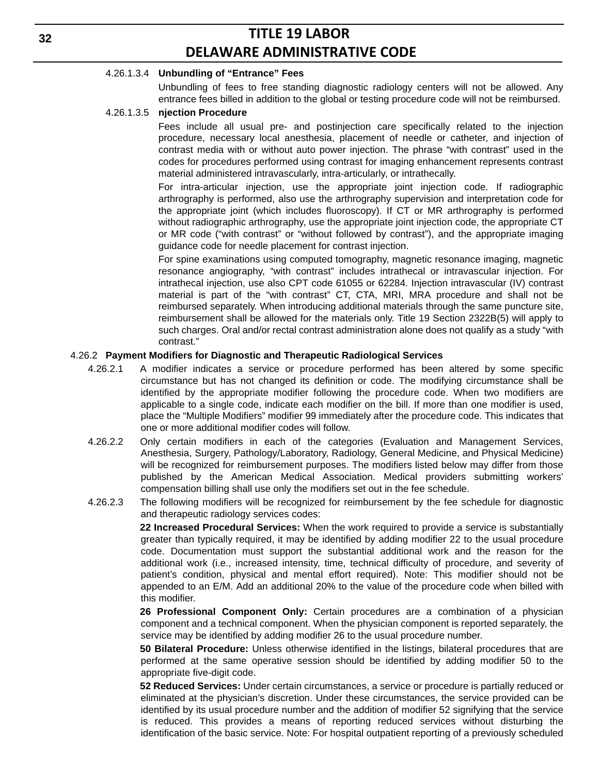#### 4.26.1.3.4 **Unbundling of "Entrance" Fees**

Unbundling of fees to free standing diagnostic radiology centers will not be allowed. Any entrance fees billed in addition to the global or testing procedure code will not be reimbursed.

#### 4.26.1.3.5 **njection Procedure**

Fees include all usual pre- and postinjection care specifically related to the injection procedure, necessary local anesthesia, placement of needle or catheter, and injection of contrast media with or without auto power injection. The phrase "with contrast" used in the codes for procedures performed using contrast for imaging enhancement represents contrast material administered intravascularly, intra-articularly, or intrathecally.

For intra-articular injection, use the appropriate joint injection code. If radiographic arthrography is performed, also use the arthrography supervision and interpretation code for the appropriate joint (which includes fluoroscopy). If CT or MR arthrography is performed without radiographic arthrography, use the appropriate joint injection code, the appropriate CT or MR code ("with contrast" or "without followed by contrast"), and the appropriate imaging guidance code for needle placement for contrast injection.

For spine examinations using computed tomography, magnetic resonance imaging, magnetic resonance angiography, "with contrast" includes intrathecal or intravascular injection. For intrathecal injection, use also CPT code 61055 or 62284. Injection intravascular (IV) contrast material is part of the "with contrast" CT, CTA, MRI, MRA procedure and shall not be reimbursed separately. When introducing additional materials through the same puncture site, reimbursement shall be allowed for the materials only. Title 19 Section 2322B(5) will apply to such charges. Oral and/or rectal contrast administration alone does not qualify as a study "with contrast."

#### 4.26.2 **Payment Modifiers for Diagnostic and Therapeutic Radiological Services**

- 4.26.2.1 A modifier indicates a service or procedure performed has been altered by some specific circumstance but has not changed its definition or code. The modifying circumstance shall be identified by the appropriate modifier following the procedure code. When two modifiers are applicable to a single code, indicate each modifier on the bill. If more than one modifier is used, place the "Multiple Modifiers" modifier 99 immediately after the procedure code. This indicates that one or more additional modifier codes will follow.
- 4.26.2.2 Only certain modifiers in each of the categories (Evaluation and Management Services, Anesthesia, Surgery, Pathology/Laboratory, Radiology, General Medicine, and Physical Medicine) will be recognized for reimbursement purposes. The modifiers listed below may differ from those published by the American Medical Association. Medical providers submitting workers' compensation billing shall use only the modifiers set out in the fee schedule.
- 4.26.2.3 The following modifiers will be recognized for reimbursement by the fee schedule for diagnostic and therapeutic radiology services codes:

**22 Increased Procedural Services:** When the work required to provide a service is substantially greater than typically required, it may be identified by adding modifier 22 to the usual procedure code. Documentation must support the substantial additional work and the reason for the additional work (i.e., increased intensity, time, technical difficulty of procedure, and severity of patient's condition, physical and mental effort required). Note: This modifier should not be appended to an E/M. Add an additional 20% to the value of the procedure code when billed with this modifier.

**26 Professional Component Only:** Certain procedures are a combination of a physician component and a technical component. When the physician component is reported separately, the service may be identified by adding modifier 26 to the usual procedure number.

**50 Bilateral Procedure:** Unless otherwise identified in the listings, bilateral procedures that are performed at the same operative session should be identified by adding modifier 50 to the appropriate five-digit code.

**52 Reduced Services:** Under certain circumstances, a service or procedure is partially reduced or eliminated at the physician's discretion. Under these circumstances, the service provided can be identified by its usual procedure number and the addition of modifier 52 signifying that the service is reduced. This provides a means of reporting reduced services without disturbing the identification of the basic service. Note: For hospital outpatient reporting of a previously scheduled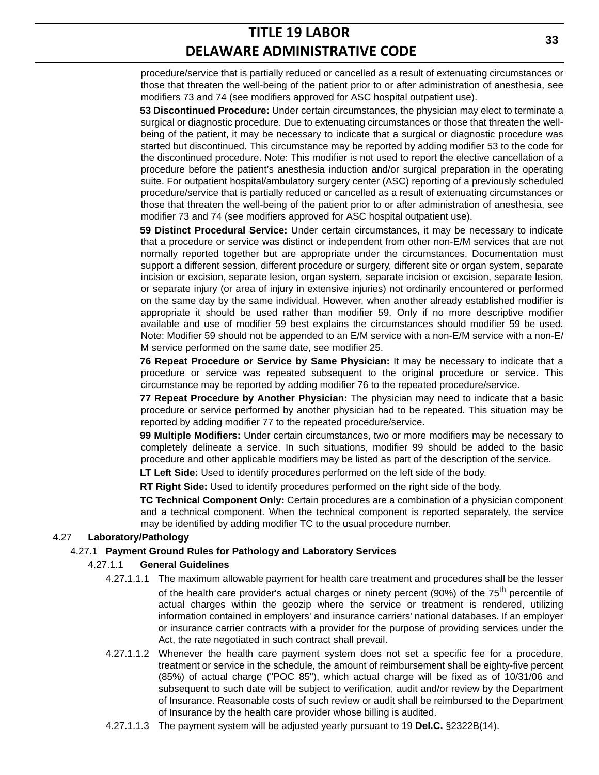procedure/service that is partially reduced or cancelled as a result of extenuating circumstances or those that threaten the well-being of the patient prior to or after administration of anesthesia, see modifiers 73 and 74 (see modifiers approved for ASC hospital outpatient use).

**53 Discontinued Procedure:** Under certain circumstances, the physician may elect to terminate a surgical or diagnostic procedure. Due to extenuating circumstances or those that threaten the wellbeing of the patient, it may be necessary to indicate that a surgical or diagnostic procedure was started but discontinued. This circumstance may be reported by adding modifier 53 to the code for the discontinued procedure. Note: This modifier is not used to report the elective cancellation of a procedure before the patient's anesthesia induction and/or surgical preparation in the operating suite. For outpatient hospital/ambulatory surgery center (ASC) reporting of a previously scheduled procedure/service that is partially reduced or cancelled as a result of extenuating circumstances or those that threaten the well-being of the patient prior to or after administration of anesthesia, see modifier 73 and 74 (see modifiers approved for ASC hospital outpatient use).

**59 Distinct Procedural Service:** Under certain circumstances, it may be necessary to indicate that a procedure or service was distinct or independent from other non-E/M services that are not normally reported together but are appropriate under the circumstances. Documentation must support a different session, different procedure or surgery, different site or organ system, separate incision or excision, separate lesion, organ system, separate incision or excision, separate lesion, or separate injury (or area of injury in extensive injuries) not ordinarily encountered or performed on the same day by the same individual. However, when another already established modifier is appropriate it should be used rather than modifier 59. Only if no more descriptive modifier available and use of modifier 59 best explains the circumstances should modifier 59 be used. Note: Modifier 59 should not be appended to an E/M service with a non-E/M service with a non-E/ M service performed on the same date, see modifier 25.

**76 Repeat Procedure or Service by Same Physician:** It may be necessary to indicate that a procedure or service was repeated subsequent to the original procedure or service. This circumstance may be reported by adding modifier 76 to the repeated procedure/service.

**77 Repeat Procedure by Another Physician:** The physician may need to indicate that a basic procedure or service performed by another physician had to be repeated. This situation may be reported by adding modifier 77 to the repeated procedure/service.

**99 Multiple Modifiers:** Under certain circumstances, two or more modifiers may be necessary to completely delineate a service. In such situations, modifier 99 should be added to the basic procedure and other applicable modifiers may be listed as part of the description of the service.

**LT Left Side:** Used to identify procedures performed on the left side of the body.

**RT Right Side:** Used to identify procedures performed on the right side of the body.

**TC Technical Component Only:** Certain procedures are a combination of a physician component and a technical component. When the technical component is reported separately, the service may be identified by adding modifier TC to the usual procedure number.

### 4.27 **Laboratory/Pathology**

#### 4.27.1 **Payment Ground Rules for Pathology and Laboratory Services**

#### 4.27.1.1 **General Guidelines**

- 4.27.1.1.1 The maximum allowable payment for health care treatment and procedures shall be the lesser of the health care provider's actual charges or ninety percent (90%) of the  $75<sup>th</sup>$  percentile of actual charges within the geozip where the service or treatment is rendered, utilizing information contained in employers' and insurance carriers' national databases. If an employer or insurance carrier contracts with a provider for the purpose of providing services under the Act, the rate negotiated in such contract shall prevail.
- 4.27.1.1.2 Whenever the health care payment system does not set a specific fee for a procedure, treatment or service in the schedule, the amount of reimbursement shall be eighty-five percent (85%) of actual charge ("POC 85"), which actual charge will be fixed as of 10/31/06 and subsequent to such date will be subject to verification, audit and/or review by the Department of Insurance. Reasonable costs of such review or audit shall be reimbursed to the Department of Insurance by the health care provider whose billing is audited.
- 4.27.1.1.3 The payment system will be adjusted yearly pursuant to 19 **Del.C.** §2322B(14).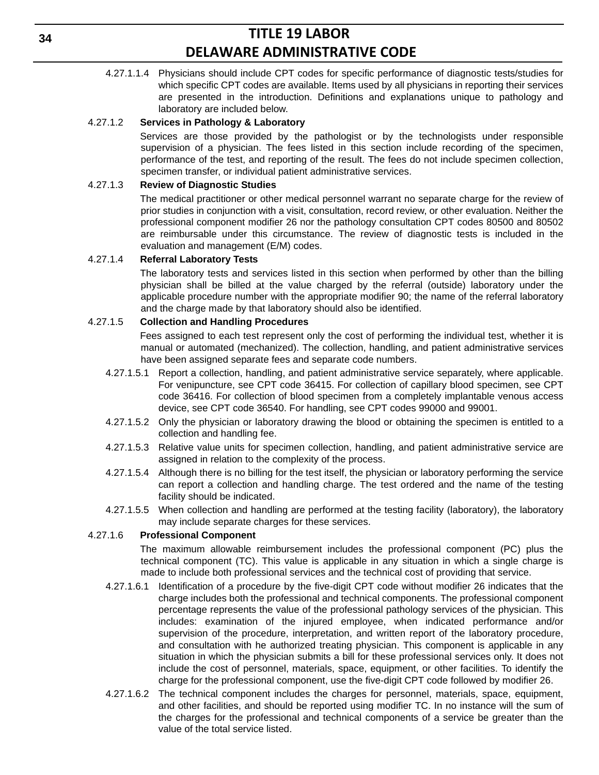4.27.1.1.4 Physicians should include CPT codes for specific performance of diagnostic tests/studies for which specific CPT codes are available. Items used by all physicians in reporting their services are presented in the introduction. Definitions and explanations unique to pathology and laboratory are included below.

#### 4.27.1.2 **Services in Pathology & Laboratory**

Services are those provided by the pathologist or by the technologists under responsible supervision of a physician. The fees listed in this section include recording of the specimen, performance of the test, and reporting of the result. The fees do not include specimen collection, specimen transfer, or individual patient administrative services.

#### 4.27.1.3 **Review of Diagnostic Studies**

The medical practitioner or other medical personnel warrant no separate charge for the review of prior studies in conjunction with a visit, consultation, record review, or other evaluation. Neither the professional component modifier 26 nor the pathology consultation CPT codes 80500 and 80502 are reimbursable under this circumstance. The review of diagnostic tests is included in the evaluation and management (E/M) codes.

#### 4.27.1.4 **Referral Laboratory Tests**

The laboratory tests and services listed in this section when performed by other than the billing physician shall be billed at the value charged by the referral (outside) laboratory under the applicable procedure number with the appropriate modifier 90; the name of the referral laboratory and the charge made by that laboratory should also be identified.

#### 4.27.1.5 **Collection and Handling Procedures**

Fees assigned to each test represent only the cost of performing the individual test, whether it is manual or automated (mechanized). The collection, handling, and patient administrative services have been assigned separate fees and separate code numbers.

- 4.27.1.5.1 Report a collection, handling, and patient administrative service separately, where applicable. For venipuncture, see CPT code 36415. For collection of capillary blood specimen, see CPT code 36416. For collection of blood specimen from a completely implantable venous access device, see CPT code 36540. For handling, see CPT codes 99000 and 99001.
- 4.27.1.5.2 Only the physician or laboratory drawing the blood or obtaining the specimen is entitled to a collection and handling fee.
- 4.27.1.5.3 Relative value units for specimen collection, handling, and patient administrative service are assigned in relation to the complexity of the process.
- 4.27.1.5.4 Although there is no billing for the test itself, the physician or laboratory performing the service can report a collection and handling charge. The test ordered and the name of the testing facility should be indicated.
- 4.27.1.5.5 When collection and handling are performed at the testing facility (laboratory), the laboratory may include separate charges for these services.

### 4.27.1.6 **Professional Component**

The maximum allowable reimbursement includes the professional component (PC) plus the technical component (TC). This value is applicable in any situation in which a single charge is made to include both professional services and the technical cost of providing that service.

- 4.27.1.6.1 Identification of a procedure by the five-digit CPT code without modifier 26 indicates that the charge includes both the professional and technical components. The professional component percentage represents the value of the professional pathology services of the physician. This includes: examination of the injured employee, when indicated performance and/or supervision of the procedure, interpretation, and written report of the laboratory procedure, and consultation with he authorized treating physician. This component is applicable in any situation in which the physician submits a bill for these professional services only. It does not include the cost of personnel, materials, space, equipment, or other facilities. To identify the charge for the professional component, use the five-digit CPT code followed by modifier 26.
- 4.27.1.6.2 The technical component includes the charges for personnel, materials, space, equipment, and other facilities, and should be reported using modifier TC. In no instance will the sum of the charges for the professional and technical components of a service be greater than the value of the total service listed.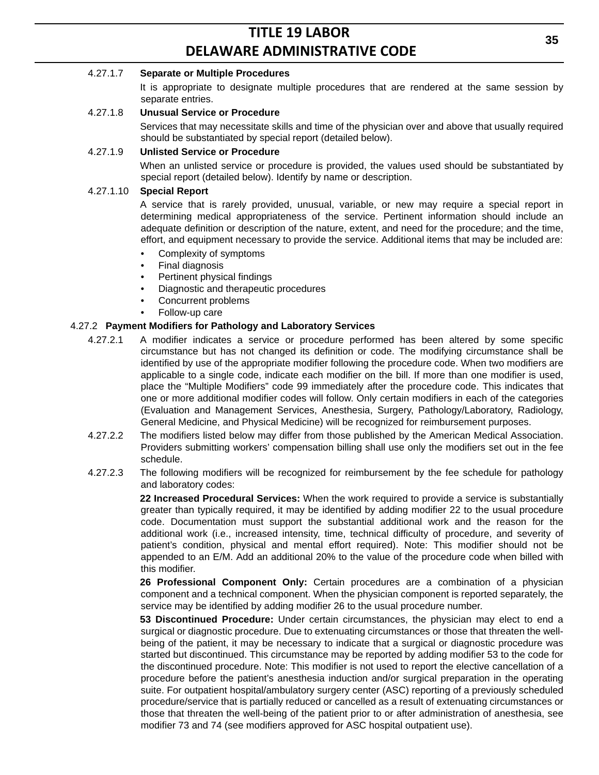#### 4.27.1.7 **Separate or Multiple Procedures**

It is appropriate to designate multiple procedures that are rendered at the same session by separate entries.

#### 4.27.1.8 **Unusual Service or Procedure**

Services that may necessitate skills and time of the physician over and above that usually required should be substantiated by special report (detailed below).

#### 4.27.1.9 **Unlisted Service or Procedure**

When an unlisted service or procedure is provided, the values used should be substantiated by special report (detailed below). Identify by name or description.

#### 4.27.1.10 **Special Report**

A service that is rarely provided, unusual, variable, or new may require a special report in determining medical appropriateness of the service. Pertinent information should include an adequate definition or description of the nature, extent, and need for the procedure; and the time, effort, and equipment necessary to provide the service. Additional items that may be included are:

- Complexity of symptoms
- Final diagnosis
- Pertinent physical findings
- Diagnostic and therapeutic procedures
- Concurrent problems
- Follow-up care

#### 4.27.2 **Payment Modifiers for Pathology and Laboratory Services**

- 4.27.2.1 A modifier indicates a service or procedure performed has been altered by some specific circumstance but has not changed its definition or code. The modifying circumstance shall be identified by use of the appropriate modifier following the procedure code. When two modifiers are applicable to a single code, indicate each modifier on the bill. If more than one modifier is used, place the "Multiple Modifiers" code 99 immediately after the procedure code. This indicates that one or more additional modifier codes will follow. Only certain modifiers in each of the categories (Evaluation and Management Services, Anesthesia, Surgery, Pathology/Laboratory, Radiology, General Medicine, and Physical Medicine) will be recognized for reimbursement purposes.
- 4.27.2.2 The modifiers listed below may differ from those published by the American Medical Association. Providers submitting workers' compensation billing shall use only the modifiers set out in the fee schedule.
- 4.27.2.3 The following modifiers will be recognized for reimbursement by the fee schedule for pathology and laboratory codes:

**22 Increased Procedural Services:** When the work required to provide a service is substantially greater than typically required, it may be identified by adding modifier 22 to the usual procedure code. Documentation must support the substantial additional work and the reason for the additional work (i.e., increased intensity, time, technical difficulty of procedure, and severity of patient's condition, physical and mental effort required). Note: This modifier should not be appended to an E/M. Add an additional 20% to the value of the procedure code when billed with this modifier.

**26 Professional Component Only:** Certain procedures are a combination of a physician component and a technical component. When the physician component is reported separately, the service may be identified by adding modifier 26 to the usual procedure number.

**53 Discontinued Procedure:** Under certain circumstances, the physician may elect to end a surgical or diagnostic procedure. Due to extenuating circumstances or those that threaten the wellbeing of the patient, it may be necessary to indicate that a surgical or diagnostic procedure was started but discontinued. This circumstance may be reported by adding modifier 53 to the code for the discontinued procedure. Note: This modifier is not used to report the elective cancellation of a procedure before the patient's anesthesia induction and/or surgical preparation in the operating suite. For outpatient hospital/ambulatory surgery center (ASC) reporting of a previously scheduled procedure/service that is partially reduced or cancelled as a result of extenuating circumstances or those that threaten the well-being of the patient prior to or after administration of anesthesia, see modifier 73 and 74 (see modifiers approved for ASC hospital outpatient use).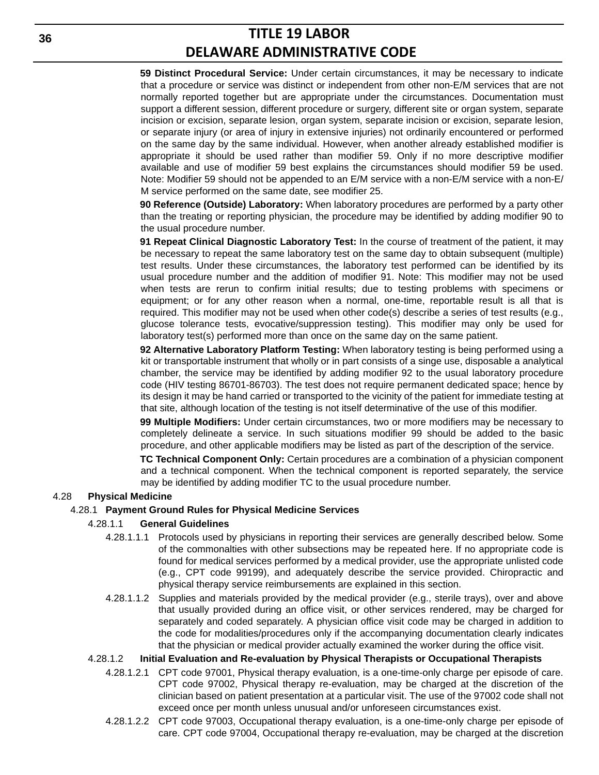**59 Distinct Procedural Service:** Under certain circumstances, it may be necessary to indicate that a procedure or service was distinct or independent from other non-E/M services that are not normally reported together but are appropriate under the circumstances. Documentation must support a different session, different procedure or surgery, different site or organ system, separate incision or excision, separate lesion, organ system, separate incision or excision, separate lesion, or separate injury (or area of injury in extensive injuries) not ordinarily encountered or performed on the same day by the same individual. However, when another already established modifier is appropriate it should be used rather than modifier 59. Only if no more descriptive modifier available and use of modifier 59 best explains the circumstances should modifier 59 be used. Note: Modifier 59 should not be appended to an E/M service with a non-E/M service with a non-E/ M service performed on the same date, see modifier 25.

**90 Reference (Outside) Laboratory:** When laboratory procedures are performed by a party other than the treating or reporting physician, the procedure may be identified by adding modifier 90 to the usual procedure number.

**91 Repeat Clinical Diagnostic Laboratory Test:** In the course of treatment of the patient, it may be necessary to repeat the same laboratory test on the same day to obtain subsequent (multiple) test results. Under these circumstances, the laboratory test performed can be identified by its usual procedure number and the addition of modifier 91. Note: This modifier may not be used when tests are rerun to confirm initial results; due to testing problems with specimens or equipment; or for any other reason when a normal, one-time, reportable result is all that is required. This modifier may not be used when other code(s) describe a series of test results (e.g., glucose tolerance tests, evocative/suppression testing). This modifier may only be used for laboratory test(s) performed more than once on the same day on the same patient.

**92 Alternative Laboratory Platform Testing:** When laboratory testing is being performed using a kit or transportable instrument that wholly or in part consists of a singe use, disposable a analytical chamber, the service may be identified by adding modifier 92 to the usual laboratory procedure code (HIV testing 86701-86703). The test does not require permanent dedicated space; hence by its design it may be hand carried or transported to the vicinity of the patient for immediate testing at that site, although location of the testing is not itself determinative of the use of this modifier.

**99 Multiple Modifiers:** Under certain circumstances, two or more modifiers may be necessary to completely delineate a service. In such situations modifier 99 should be added to the basic procedure, and other applicable modifiers may be listed as part of the description of the service.

**TC Technical Component Only:** Certain procedures are a combination of a physician component and a technical component. When the technical component is reported separately, the service may be identified by adding modifier TC to the usual procedure number.

### 4.28 **Physical Medicine**

#### 4.28.1 **Payment Ground Rules for Physical Medicine Services**

#### 4.28.1.1 **General Guidelines**

- 4.28.1.1.1 Protocols used by physicians in reporting their services are generally described below. Some of the commonalties with other subsections may be repeated here. If no appropriate code is found for medical services performed by a medical provider, use the appropriate unlisted code (e.g., CPT code 99199), and adequately describe the service provided. Chiropractic and physical therapy service reimbursements are explained in this section.
- 4.28.1.1.2 Supplies and materials provided by the medical provider (e.g., sterile trays), over and above that usually provided during an office visit, or other services rendered, may be charged for separately and coded separately. A physician office visit code may be charged in addition to the code for modalities/procedures only if the accompanying documentation clearly indicates that the physician or medical provider actually examined the worker during the office visit.

### 4.28.1.2 **Initial Evaluation and Re-evaluation by Physical Therapists or Occupational Therapists**

- 4.28.1.2.1 CPT code 97001, Physical therapy evaluation, is a one-time-only charge per episode of care. CPT code 97002, Physical therapy re-evaluation, may be charged at the discretion of the clinician based on patient presentation at a particular visit. The use of the 97002 code shall not exceed once per month unless unusual and/or unforeseen circumstances exist.
- 4.28.1.2.2 CPT code 97003, Occupational therapy evaluation, is a one-time-only charge per episode of care. CPT code 97004, Occupational therapy re-evaluation, may be charged at the discretion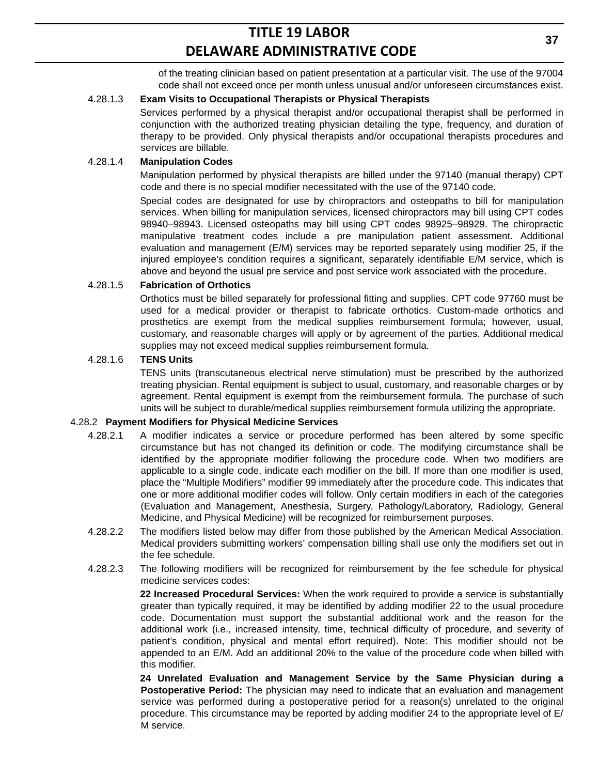of the treating clinician based on patient presentation at a particular visit. The use of the 97004 code shall not exceed once per month unless unusual and/or unforeseen circumstances exist.

### 4.28.1.3 **Exam Visits to Occupational Therapists or Physical Therapists**

Services performed by a physical therapist and/or occupational therapist shall be performed in conjunction with the authorized treating physician detailing the type, frequency, and duration of therapy to be provided. Only physical therapists and/or occupational therapists procedures and services are billable.

#### 4.28.1.4 **Manipulation Codes**

Manipulation performed by physical therapists are billed under the 97140 (manual therapy) CPT code and there is no special modifier necessitated with the use of the 97140 code.

Special codes are designated for use by chiropractors and osteopaths to bill for manipulation services. When billing for manipulation services, licensed chiropractors may bill using CPT codes 98940–98943. Licensed osteopaths may bill using CPT codes 98925–98929. The chiropractic manipulative treatment codes include a pre manipulation patient assessment. Additional evaluation and management (E/M) services may be reported separately using modifier 25, if the injured employee's condition requires a significant, separately identifiable E/M service, which is above and beyond the usual pre service and post service work associated with the procedure.

#### 4.28.1.5 **Fabrication of Orthotics**

Orthotics must be billed separately for professional fitting and supplies. CPT code 97760 must be used for a medical provider or therapist to fabricate orthotics. Custom-made orthotics and prosthetics are exempt from the medical supplies reimbursement formula; however, usual, customary, and reasonable charges will apply or by agreement of the parties. Additional medical supplies may not exceed medical supplies reimbursement formula.

#### 4.28.1.6 **TENS Units**

TENS units (transcutaneous electrical nerve stimulation) must be prescribed by the authorized treating physician. Rental equipment is subject to usual, customary, and reasonable charges or by agreement. Rental equipment is exempt from the reimbursement formula. The purchase of such units will be subject to durable/medical supplies reimbursement formula utilizing the appropriate.

#### 4.28.2 **Payment Modifiers for Physical Medicine Services**

- 4.28.2.1 A modifier indicates a service or procedure performed has been altered by some specific circumstance but has not changed its definition or code. The modifying circumstance shall be identified by the appropriate modifier following the procedure code. When two modifiers are applicable to a single code, indicate each modifier on the bill. If more than one modifier is used, place the "Multiple Modifiers" modifier 99 immediately after the procedure code. This indicates that one or more additional modifier codes will follow. Only certain modifiers in each of the categories (Evaluation and Management, Anesthesia, Surgery, Pathology/Laboratory, Radiology, General Medicine, and Physical Medicine) will be recognized for reimbursement purposes.
- 4.28.2.2 The modifiers listed below may differ from those published by the American Medical Association. Medical providers submitting workers' compensation billing shall use only the modifiers set out in the fee schedule.
- 4.28.2.3 The following modifiers will be recognized for reimbursement by the fee schedule for physical medicine services codes:

**22 Increased Procedural Services:** When the work required to provide a service is substantially greater than typically required, it may be identified by adding modifier 22 to the usual procedure code. Documentation must support the substantial additional work and the reason for the additional work (i.e., increased intensity, time, technical difficulty of procedure, and severity of patient's condition, physical and mental effort required). Note: This modifier should not be appended to an E/M. Add an additional 20% to the value of the procedure code when billed with this modifier.

**24 Unrelated Evaluation and Management Service by the Same Physician during a Postoperative Period:** The physician may need to indicate that an evaluation and management service was performed during a postoperative period for a reason(s) unrelated to the original procedure. This circumstance may be reported by adding modifier 24 to the appropriate level of E/ M service.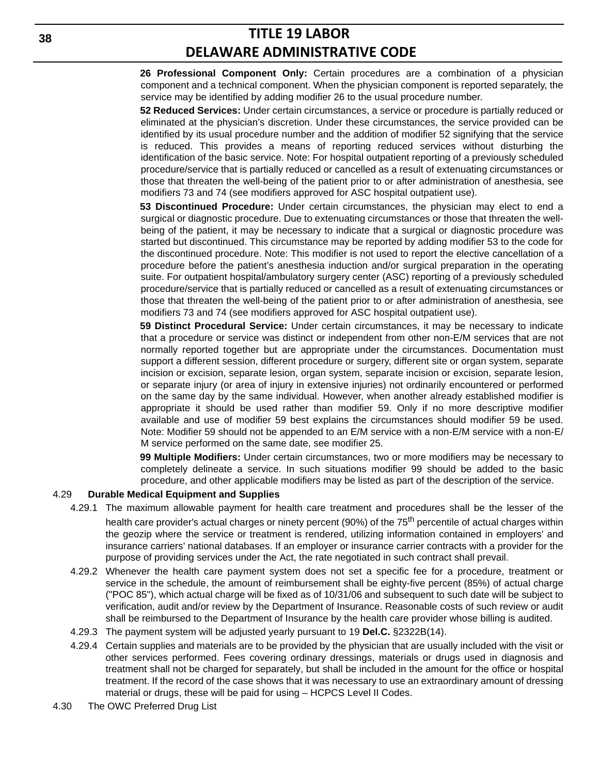**26 Professional Component Only:** Certain procedures are a combination of a physician component and a technical component. When the physician component is reported separately, the service may be identified by adding modifier 26 to the usual procedure number.

**52 Reduced Services:** Under certain circumstances, a service or procedure is partially reduced or eliminated at the physician's discretion. Under these circumstances, the service provided can be identified by its usual procedure number and the addition of modifier 52 signifying that the service is reduced. This provides a means of reporting reduced services without disturbing the identification of the basic service. Note: For hospital outpatient reporting of a previously scheduled procedure/service that is partially reduced or cancelled as a result of extenuating circumstances or those that threaten the well-being of the patient prior to or after administration of anesthesia, see modifiers 73 and 74 (see modifiers approved for ASC hospital outpatient use).

**53 Discontinued Procedure:** Under certain circumstances, the physician may elect to end a surgical or diagnostic procedure. Due to extenuating circumstances or those that threaten the wellbeing of the patient, it may be necessary to indicate that a surgical or diagnostic procedure was started but discontinued. This circumstance may be reported by adding modifier 53 to the code for the discontinued procedure. Note: This modifier is not used to report the elective cancellation of a procedure before the patient's anesthesia induction and/or surgical preparation in the operating suite. For outpatient hospital/ambulatory surgery center (ASC) reporting of a previously scheduled procedure/service that is partially reduced or cancelled as a result of extenuating circumstances or those that threaten the well-being of the patient prior to or after administration of anesthesia, see modifiers 73 and 74 (see modifiers approved for ASC hospital outpatient use).

**59 Distinct Procedural Service:** Under certain circumstances, it may be necessary to indicate that a procedure or service was distinct or independent from other non-E/M services that are not normally reported together but are appropriate under the circumstances. Documentation must support a different session, different procedure or surgery, different site or organ system, separate incision or excision, separate lesion, organ system, separate incision or excision, separate lesion, or separate injury (or area of injury in extensive injuries) not ordinarily encountered or performed on the same day by the same individual. However, when another already established modifier is appropriate it should be used rather than modifier 59. Only if no more descriptive modifier available and use of modifier 59 best explains the circumstances should modifier 59 be used. Note: Modifier 59 should not be appended to an E/M service with a non-E/M service with a non-E/ M service performed on the same date, see modifier 25.

**99 Multiple Modifiers:** Under certain circumstances, two or more modifiers may be necessary to completely delineate a service. In such situations modifier 99 should be added to the basic procedure, and other applicable modifiers may be listed as part of the description of the service.

#### 4.29 **Durable Medical Equipment and Supplies**

- 4.29.1 The maximum allowable payment for health care treatment and procedures shall be the lesser of the health care provider's actual charges or ninety percent (90%) of the 75<sup>th</sup> percentile of actual charges within the geozip where the service or treatment is rendered, utilizing information contained in employers' and insurance carriers' national databases. If an employer or insurance carrier contracts with a provider for the purpose of providing services under the Act, the rate negotiated in such contract shall prevail.
- 4.29.2 Whenever the health care payment system does not set a specific fee for a procedure, treatment or service in the schedule, the amount of reimbursement shall be eighty-five percent (85%) of actual charge ("POC 85"), which actual charge will be fixed as of 10/31/06 and subsequent to such date will be subject to verification, audit and/or review by the Department of Insurance. Reasonable costs of such review or audit shall be reimbursed to the Department of Insurance by the health care provider whose billing is audited.
- 4.29.3 The payment system will be adjusted yearly pursuant to 19 **Del.C.** §2322B(14).
- 4.29.4 Certain supplies and materials are to be provided by the physician that are usually included with the visit or other services performed. Fees covering ordinary dressings, materials or drugs used in diagnosis and treatment shall not be charged for separately, but shall be included in the amount for the office or hospital treatment. If the record of the case shows that it was necessary to use an extraordinary amount of dressing material or drugs, these will be paid for using – HCPCS Level II Codes.
- 4.30 The OWC Preferred Drug List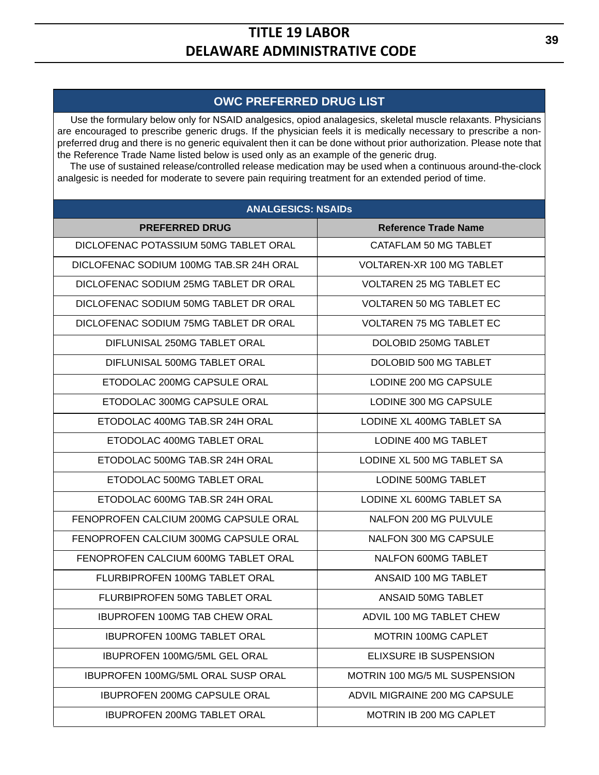## **OWC PREFERRED DRUG LIST**

 Use the formulary below only for NSAID analgesics, opiod analagesics, skeletal muscle relaxants. Physicians are encouraged to prescribe generic drugs. If the physician feels it is medically necessary to prescribe a nonpreferred drug and there is no generic equivalent then it can be done without prior authorization. Please note that the Reference Trade Name listed below is used only as an example of the generic drug.

 The use of sustained release/controlled release medication may be used when a continuous around-the-clock analgesic is needed for moderate to severe pain requiring treatment for an extended period of time.

| <b>ANALGESICS: NSAIDs</b>                 |                                 |  |  |  |  |
|-------------------------------------------|---------------------------------|--|--|--|--|
| <b>PREFERRED DRUG</b>                     | <b>Reference Trade Name</b>     |  |  |  |  |
| DICLOFENAC POTASSIUM 50MG TABLET ORAL     | CATAFLAM 50 MG TABLET           |  |  |  |  |
| DICLOFENAC SODIUM 100MG TAB.SR 24H ORAL   | VOLTAREN-XR 100 MG TABLET       |  |  |  |  |
| DICLOFENAC SODIUM 25MG TABLET DR ORAL     | <b>VOLTAREN 25 MG TABLET EC</b> |  |  |  |  |
| DICLOFENAC SODIUM 50MG TABLET DR ORAL     | <b>VOLTAREN 50 MG TABLET EC</b> |  |  |  |  |
| DICLOFENAC SODIUM 75MG TABLET DR ORAL     | <b>VOLTAREN 75 MG TABLET EC</b> |  |  |  |  |
| DIFLUNISAL 250MG TABLET ORAL              | DOLOBID 250MG TABLET            |  |  |  |  |
| DIFLUNISAL 500MG TABLET ORAL              | DOLOBID 500 MG TABLET           |  |  |  |  |
| ETODOLAC 200MG CAPSULE ORAL               | LODINE 200 MG CAPSULE           |  |  |  |  |
| ETODOLAC 300MG CAPSULE ORAL               | LODINE 300 MG CAPSULE           |  |  |  |  |
| ETODOLAC 400MG TAB.SR 24H ORAL            | LODINE XL 400MG TABLET SA       |  |  |  |  |
| ETODOLAC 400MG TABLET ORAL                | LODINE 400 MG TABLET            |  |  |  |  |
| ETODOLAC 500MG TAB.SR 24H ORAL            | LODINE XL 500 MG TABLET SA      |  |  |  |  |
| ETODOLAC 500MG TABLET ORAL                | <b>LODINE 500MG TABLET</b>      |  |  |  |  |
| ETODOLAC 600MG TAB.SR 24H ORAL            | LODINE XL 600MG TABLET SA       |  |  |  |  |
| FENOPROFEN CALCIUM 200MG CAPSULE ORAL     | NALFON 200 MG PULVULE           |  |  |  |  |
| FENOPROFEN CALCIUM 300MG CAPSULE ORAL     | NALFON 300 MG CAPSULE           |  |  |  |  |
| FENOPROFEN CALCIUM 600MG TABLET ORAL      | NALFON 600MG TABLET             |  |  |  |  |
| FLURBIPROFEN 100MG TABLET ORAL            | ANSAID 100 MG TABLET            |  |  |  |  |
| FLURBIPROFEN 50MG TABLET ORAL             | ANSAID 50MG TABLET              |  |  |  |  |
| <b>IBUPROFEN 100MG TAB CHEW ORAL</b>      | ADVIL 100 MG TABLET CHEW        |  |  |  |  |
| <b>IBUPROFEN 100MG TABLET ORAL</b>        | MOTRIN 100MG CAPLET             |  |  |  |  |
| <b>IBUPROFEN 100MG/5ML GEL ORAL</b>       | ELIXSURE IB SUSPENSION          |  |  |  |  |
| <b>IBUPROFEN 100MG/5ML ORAL SUSP ORAL</b> | MOTRIN 100 MG/5 ML SUSPENSION   |  |  |  |  |
| <b>IBUPROFEN 200MG CAPSULE ORAL</b>       | ADVIL MIGRAINE 200 MG CAPSULE   |  |  |  |  |
| <b>IBUPROFEN 200MG TABLET ORAL</b>        | <b>MOTRIN IB 200 MG CAPLET</b>  |  |  |  |  |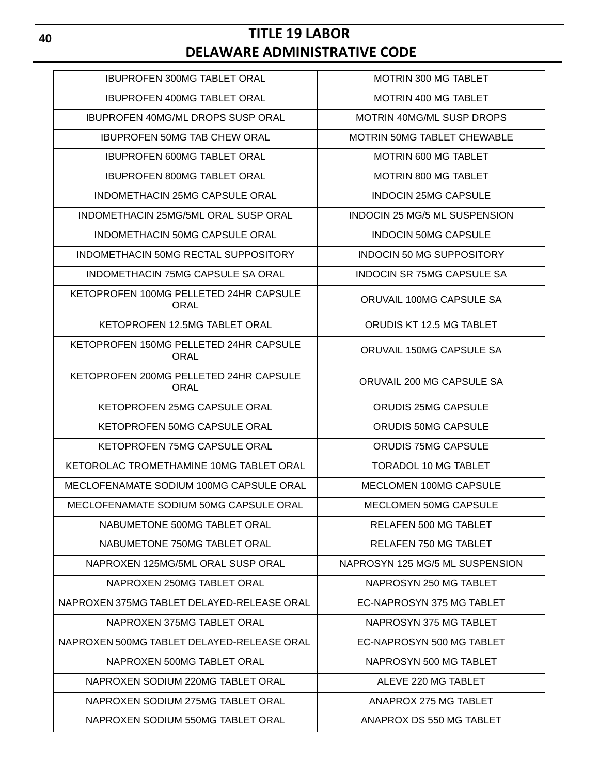| <b>IBUPROFEN 300MG TABLET ORAL</b>                    | <b>MOTRIN 300 MG TABLET</b>          |
|-------------------------------------------------------|--------------------------------------|
| <b>IBUPROFEN 400MG TABLET ORAL</b>                    | <b>MOTRIN 400 MG TABLET</b>          |
| <b>IBUPROFEN 40MG/ML DROPS SUSP ORAL</b>              | <b>MOTRIN 40MG/ML SUSP DROPS</b>     |
| <b>IBUPROFEN 50MG TAB CHEW ORAL</b>                   | <b>MOTRIN 50MG TABLET CHEWABLE</b>   |
| <b>IBUPROFEN 600MG TABLET ORAL</b>                    | <b>MOTRIN 600 MG TABLET</b>          |
| <b>IBUPROFEN 800MG TABLET ORAL</b>                    | <b>MOTRIN 800 MG TABLET</b>          |
| INDOMETHACIN 25MG CAPSULE ORAL                        | <b>INDOCIN 25MG CAPSULE</b>          |
| INDOMETHACIN 25MG/5ML ORAL SUSP ORAL                  | <b>INDOCIN 25 MG/5 ML SUSPENSION</b> |
| <b>INDOMETHACIN 50MG CAPSULE ORAL</b>                 | <b>INDOCIN 50MG CAPSULE</b>          |
| INDOMETHACIN 50MG RECTAL SUPPOSITORY                  | <b>INDOCIN 50 MG SUPPOSITORY</b>     |
| INDOMETHACIN 75MG CAPSULE SA ORAL                     | <b>INDOCIN SR 75MG CAPSULE SA</b>    |
| KETOPROFEN 100MG PELLETED 24HR CAPSULE<br><b>ORAL</b> | ORUVAIL 100MG CAPSULE SA             |
| KETOPROFEN 12.5MG TABLET ORAL                         | ORUDIS KT 12.5 MG TABLET             |
| KETOPROFEN 150MG PELLETED 24HR CAPSULE<br>ORAL        | ORUVAIL 150MG CAPSULE SA             |
| KETOPROFEN 200MG PELLETED 24HR CAPSULE<br><b>ORAL</b> | ORUVAIL 200 MG CAPSULE SA            |
| KETOPROFEN 25MG CAPSULE ORAL                          | <b>ORUDIS 25MG CAPSULE</b>           |
| KETOPROFEN 50MG CAPSULE ORAL                          | ORUDIS 50MG CAPSULE                  |
| KETOPROFEN 75MG CAPSULE ORAL                          | <b>ORUDIS 75MG CAPSULE</b>           |
| KETOROLAC TROMETHAMINE 10MG TABLET ORAL               | <b>TORADOL 10 MG TABLET</b>          |
| MECLOFENAMATE SODIUM 100MG CAPSULE ORAL               | <b>MECLOMEN 100MG CAPSULE</b>        |
| MECLOFENAMATE SODIUM 50MG CAPSULE ORAL                | <b>MECLOMEN 50MG CAPSULE</b>         |
| NABUMETONE 500MG TABLET ORAL                          | RELAFEN 500 MG TABLET                |
| NABUMETONE 750MG TABLET ORAL                          | RELAFEN 750 MG TABLET                |
| NAPROXEN 125MG/5ML ORAL SUSP ORAL                     | NAPROSYN 125 MG/5 ML SUSPENSION      |
| NAPROXEN 250MG TABLET ORAL                            | NAPROSYN 250 MG TABLET               |
| NAPROXEN 375MG TABLET DELAYED-RELEASE ORAL            | EC-NAPROSYN 375 MG TABLET            |
| NAPROXEN 375MG TABLET ORAL                            | NAPROSYN 375 MG TABLET               |
| NAPROXEN 500MG TABLET DELAYED-RELEASE ORAL            | EC-NAPROSYN 500 MG TABLET            |
| NAPROXEN 500MG TABLET ORAL                            | NAPROSYN 500 MG TABLET               |
| NAPROXEN SODIUM 220MG TABLET ORAL                     | ALEVE 220 MG TABLET                  |
| NAPROXEN SODIUM 275MG TABLET ORAL                     | ANAPROX 275 MG TABLET                |
| NAPROXEN SODIUM 550MG TABLET ORAL                     | ANAPROX DS 550 MG TABLET             |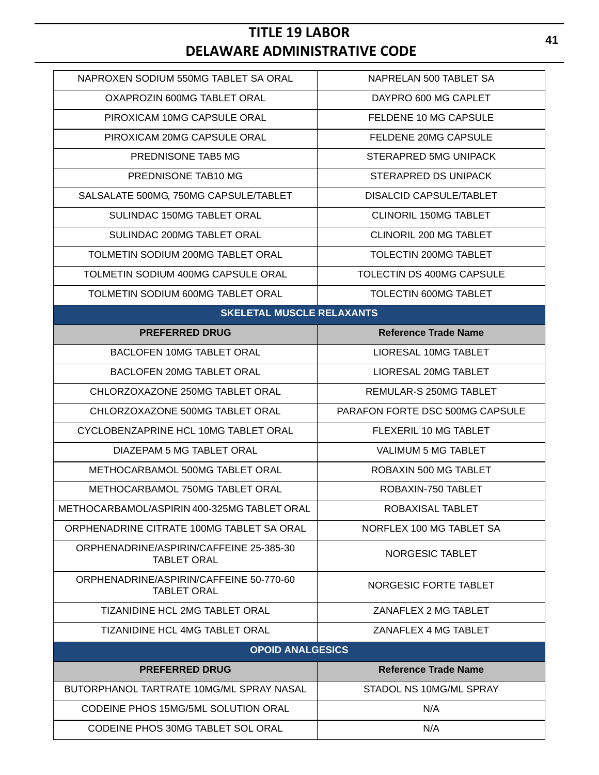| NAPROXEN SODIUM 550MG TABLET SA ORAL                          | NAPRELAN 500 TABLET SA          |
|---------------------------------------------------------------|---------------------------------|
| OXAPROZIN 600MG TABLET ORAL                                   | DAYPRO 600 MG CAPLET            |
| PIROXICAM 10MG CAPSULE ORAL                                   | FELDENE 10 MG CAPSULE           |
| PIROXICAM 20MG CAPSULE ORAL                                   | FELDENE 20MG CAPSULE            |
| PREDNISONE TAB5 MG                                            | STERAPRED 5MG UNIPACK           |
| PREDNISONE TAB10 MG                                           | <b>STERAPRED DS UNIPACK</b>     |
| SALSALATE 500MG, 750MG CAPSULE/TABLET                         | <b>DISALCID CAPSULE/TABLET</b>  |
| SULINDAC 150MG TABLET ORAL                                    | <b>CLINORIL 150MG TABLET</b>    |
| SULINDAC 200MG TABLET ORAL                                    | CLINORIL 200 MG TABLET          |
| TOLMETIN SODIUM 200MG TABLET ORAL                             | TOLECTIN 200MG TABLET           |
| TOLMETIN SODIUM 400MG CAPSULE ORAL                            | TOLECTIN DS 400MG CAPSULE       |
| TOLMETIN SODIUM 600MG TABLET ORAL                             | TOLECTIN 600MG TABLET           |
| <b>SKELETAL MUSCLE RELAXANTS</b>                              |                                 |
| <b>PREFERRED DRUG</b>                                         | <b>Reference Trade Name</b>     |
| <b>BACLOFEN 10MG TABLET ORAL</b>                              | LIORESAL 10MG TABLET            |
| <b>BACLOFEN 20MG TABLET ORAL</b>                              | LIORESAL 20MG TABLET            |
| CHLORZOXAZONE 250MG TABLET ORAL                               | REMULAR-S 250MG TABLET          |
| CHLORZOXAZONE 500MG TABLET ORAL                               | PARAFON FORTE DSC 500MG CAPSULE |
|                                                               |                                 |
| CYCLOBENZAPRINE HCL 10MG TABLET ORAL                          | FLEXERIL 10 MG TABLET           |
| DIAZEPAM 5 MG TABLET ORAL                                     | <b>VALIMUM 5 MG TABLET</b>      |
| METHOCARBAMOL 500MG TABLET ORAL                               | ROBAXIN 500 MG TABLET           |
| METHOCARBAMOL 750MG TABLET ORAL                               | ROBAXIN-750 TABLET              |
| METHOCARBAMOL/ASPIRIN 400-325MG TABLET ORAL                   | ROBAXISAL TABLET                |
| ORPHENADRINE CITRATE 100MG TABLET SA ORAL                     | NORFLEX 100 MG TABLET SA        |
| ORPHENADRINE/ASPIRIN/CAFFEINE 25-385-30<br><b>TABLET ORAL</b> | NORGESIC TABLET                 |
| ORPHENADRINE/ASPIRIN/CAFFEINE 50-770-60<br><b>TABLET ORAL</b> | NORGESIC FORTE TABLET           |
| <b>TIZANIDINE HCL 2MG TABLET ORAL</b>                         | ZANAFLEX 2 MG TABLET            |
| <b>TIZANIDINE HCL 4MG TABLET ORAL</b>                         | ZANAFLEX 4 MG TABLET            |
| <b>OPOID ANALGESICS</b>                                       |                                 |
| <b>PREFERRED DRUG</b>                                         | <b>Reference Trade Name</b>     |
| BUTORPHANOL TARTRATE 10MG/ML SPRAY NASAL                      | STADOL NS 10MG/ML SPRAY         |
| CODEINE PHOS 15MG/5ML SOLUTION ORAL                           | N/A                             |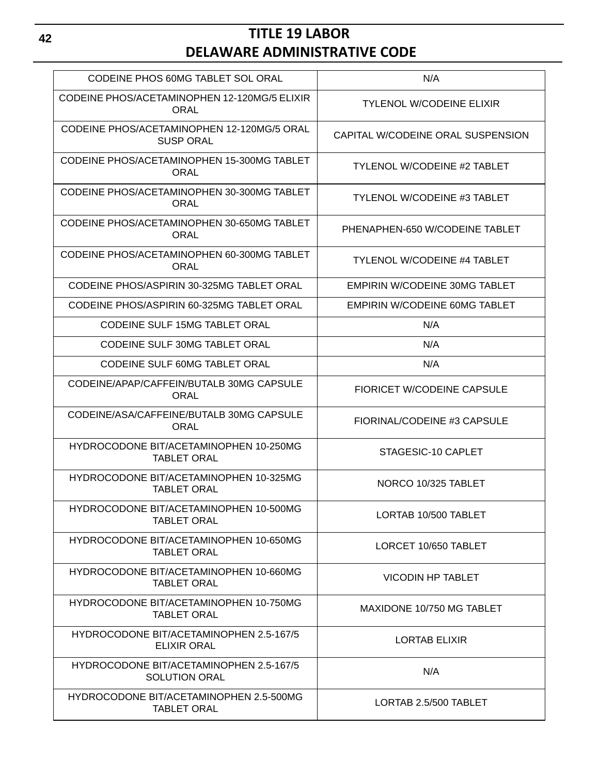| CODEINE PHOS 60MG TABLET SOL ORAL                               | N/A                                  |
|-----------------------------------------------------------------|--------------------------------------|
| CODEINE PHOS/ACETAMINOPHEN 12-120MG/5 ELIXIR<br>ORAL            | <b>TYLENOL W/CODEINE ELIXIR</b>      |
| CODEINE PHOS/ACETAMINOPHEN 12-120MG/5 ORAL<br><b>SUSP ORAL</b>  | CAPITAL W/CODEINE ORAL SUSPENSION    |
| CODEINE PHOS/ACETAMINOPHEN 15-300MG TABLET<br><b>ORAL</b>       | <b>TYLENOL W/CODEINE #2 TABLET</b>   |
| CODEINE PHOS/ACETAMINOPHEN 30-300MG TABLET<br>ORAL              | <b>TYLENOL W/CODEINE #3 TABLET</b>   |
| CODEINE PHOS/ACETAMINOPHEN 30-650MG TABLET<br><b>ORAL</b>       | PHENAPHEN-650 W/CODEINE TABLET       |
| CODEINE PHOS/ACETAMINOPHEN 60-300MG TABLET<br><b>ORAL</b>       | <b>TYLENOL W/CODEINE #4 TABLET</b>   |
| CODEINE PHOS/ASPIRIN 30-325MG TABLET ORAL                       | <b>EMPIRIN W/CODEINE 30MG TABLET</b> |
| CODEINE PHOS/ASPIRIN 60-325MG TABLET ORAL                       | <b>EMPIRIN W/CODEINE 60MG TABLET</b> |
| <b>CODEINE SULF 15MG TABLET ORAL</b>                            | N/A                                  |
| <b>CODEINE SULF 30MG TABLET ORAL</b>                            | N/A                                  |
| <b>CODEINE SULF 60MG TABLET ORAL</b>                            | N/A                                  |
| CODEINE/APAP/CAFFEIN/BUTALB 30MG CAPSULE<br><b>ORAL</b>         | <b>FIORICET W/CODEINE CAPSULE</b>    |
| CODEINE/ASA/CAFFEINE/BUTALB 30MG CAPSULE<br>ORAL                | FIORINAL/CODEINE #3 CAPSULE          |
| HYDROCODONE BIT/ACETAMINOPHEN 10-250MG<br><b>TABLET ORAL</b>    | STAGESIC-10 CAPLET                   |
| HYDROCODONE BIT/ACETAMINOPHEN 10-325MG<br><b>TABLET ORAL</b>    | NORCO 10/325 TABLET                  |
| HYDROCODONE BIT/ACETAMINOPHEN 10-500MG<br><b>TABLET ORAL</b>    | LORTAB 10/500 TABLET                 |
| HYDROCODONE BIT/ACETAMINOPHEN 10-650MG<br><b>TABLET ORAL</b>    | LORCET 10/650 TABLET                 |
| HYDROCODONE BIT/ACETAMINOPHEN 10-660MG<br><b>TABLET ORAL</b>    | <b>VICODIN HP TABLET</b>             |
| HYDROCODONE BIT/ACETAMINOPHEN 10-750MG<br><b>TABLET ORAL</b>    | MAXIDONE 10/750 MG TABLET            |
| HYDROCODONE BIT/ACETAMINOPHEN 2.5-167/5<br><b>ELIXIR ORAL</b>   | <b>LORTAB ELIXIR</b>                 |
| HYDROCODONE BIT/ACETAMINOPHEN 2.5-167/5<br><b>SOLUTION ORAL</b> | N/A                                  |
| HYDROCODONE BIT/ACETAMINOPHEN 2.5-500MG<br><b>TABLET ORAL</b>   | LORTAB 2.5/500 TABLET                |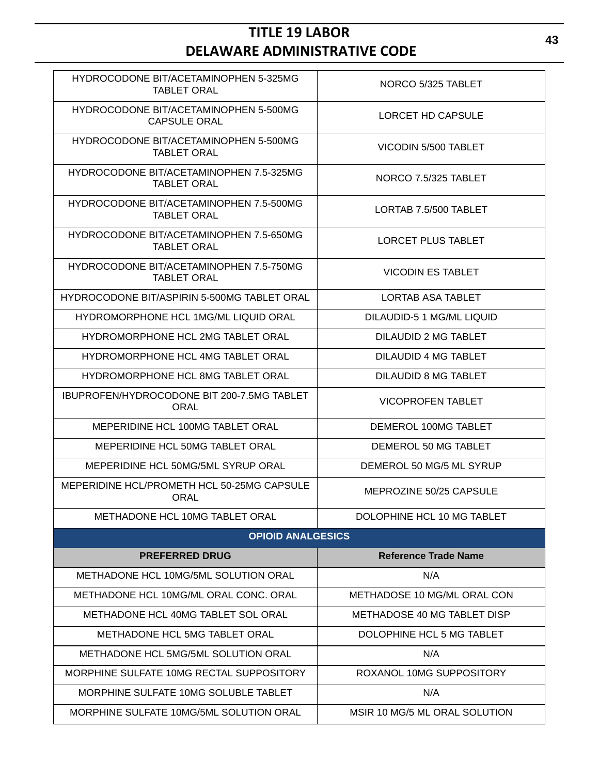| HYDROCODONE BIT/ACETAMINOPHEN 5-325MG<br><b>TABLET ORAL</b>   | NORCO 5/325 TABLET            |
|---------------------------------------------------------------|-------------------------------|
| HYDROCODONE BIT/ACETAMINOPHEN 5-500MG<br><b>CAPSULE ORAL</b>  | LORCET HD CAPSULE             |
| HYDROCODONE BIT/ACETAMINOPHEN 5-500MG<br><b>TABLET ORAL</b>   | VICODIN 5/500 TABLET          |
| HYDROCODONE BIT/ACETAMINOPHEN 7.5-325MG<br><b>TABLET ORAL</b> | NORCO 7.5/325 TABLET          |
| HYDROCODONE BIT/ACETAMINOPHEN 7.5-500MG<br><b>TABLET ORAL</b> | LORTAB 7.5/500 TABLET         |
| HYDROCODONE BIT/ACETAMINOPHEN 7.5-650MG<br><b>TABLET ORAL</b> | LORCET PLUS TABLET            |
| HYDROCODONE BIT/ACETAMINOPHEN 7.5-750MG<br><b>TABLET ORAL</b> | <b>VICODIN ES TABLET</b>      |
| <b>HYDROCODONE BIT/ASPIRIN 5-500MG TABLET ORAL</b>            | <b>LORTAB ASA TABLET</b>      |
| <b>HYDROMORPHONE HCL 1MG/ML LIQUID ORAL</b>                   | DILAUDID-5 1 MG/ML LIQUID     |
| HYDROMORPHONE HCL 2MG TABLET ORAL                             | DILAUDID 2 MG TABLET          |
| HYDROMORPHONE HCL 4MG TABLET ORAL                             | DILAUDID 4 MG TABLET          |
| HYDROMORPHONE HCL 8MG TABLET ORAL                             | DILAUDID 8 MG TABLET          |
| IBUPROFEN/HYDROCODONE BIT 200-7.5MG TABLET<br><b>ORAL</b>     | <b>VICOPROFEN TABLET</b>      |
| MEPERIDINE HCL 100MG TABLET ORAL                              | DEMEROL 100MG TABLET          |
| MEPERIDINE HCL 50MG TABLET ORAL                               | DEMEROL 50 MG TABLET          |
| MEPERIDINE HCL 50MG/5ML SYRUP ORAL                            | DEMEROL 50 MG/5 ML SYRUP      |
| MEPERIDINE HCL/PROMETH HCL 50-25MG CAPSULE<br>ORAL            | MEPROZINE 50/25 CAPSULE       |
| METHADONE HCL 10MG TABLET ORAL                                | DOLOPHINE HCL 10 MG TABLET    |
| <b>OPIOID ANALGESICS</b>                                      |                               |
| <b>PREFERRED DRUG</b>                                         | <b>Reference Trade Name</b>   |
| <b>METHADONE HCL 10MG/5ML SOLUTION ORAL</b>                   | N/A                           |
| METHADONE HCL 10MG/ML ORAL CONC. ORAL                         | METHADOSE 10 MG/ML ORAL CON   |
| METHADONE HCL 40MG TABLET SOL ORAL                            | METHADOSE 40 MG TABLET DISP   |
| <b>METHADONE HCL 5MG TABLET ORAL</b>                          | DOLOPHINE HCL 5 MG TABLET     |
| METHADONE HCL 5MG/5ML SOLUTION ORAL                           | N/A                           |
| MORPHINE SULFATE 10MG RECTAL SUPPOSITORY                      | ROXANOL 10MG SUPPOSITORY      |
| MORPHINE SULFATE 10MG SOLUBLE TABLET                          | N/A                           |
| MORPHINE SULFATE 10MG/5ML SOLUTION ORAL                       | MSIR 10 MG/5 ML ORAL SOLUTION |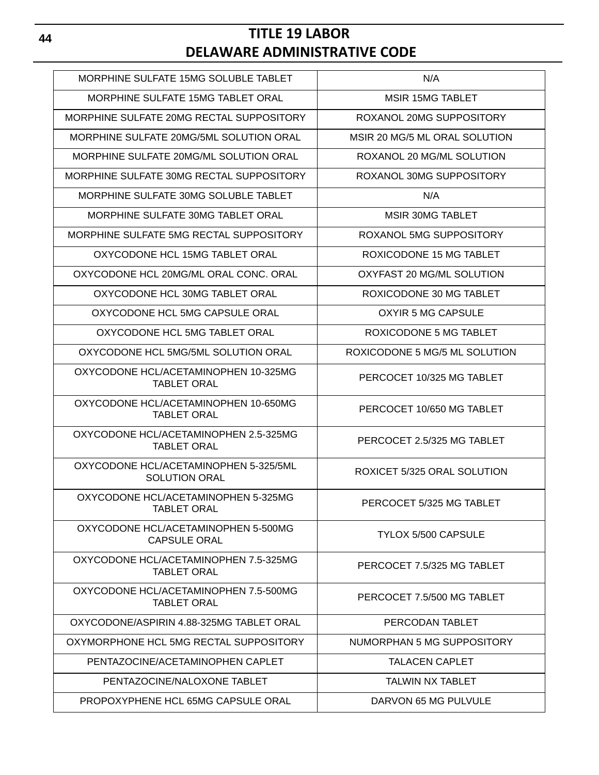| MORPHINE SULFATE 15MG SOLUBLE TABLET                          | N/A                           |
|---------------------------------------------------------------|-------------------------------|
| MORPHINE SULFATE 15MG TABLET ORAL                             | <b>MSIR 15MG TABLET</b>       |
| MORPHINE SULFATE 20MG RECTAL SUPPOSITORY                      | ROXANOL 20MG SUPPOSITORY      |
| MORPHINE SULFATE 20MG/5ML SOLUTION ORAL                       | MSIR 20 MG/5 ML ORAL SOLUTION |
| MORPHINE SULFATE 20MG/ML SOLUTION ORAL                        | ROXANOL 20 MG/ML SOLUTION     |
| MORPHINE SULFATE 30MG RECTAL SUPPOSITORY                      | ROXANOL 30MG SUPPOSITORY      |
| MORPHINE SULFATE 30MG SOLUBLE TABLET                          | N/A                           |
| MORPHINE SULFATE 30MG TABLET ORAL                             | <b>MSIR 30MG TABLET</b>       |
| MORPHINE SULFATE 5MG RECTAL SUPPOSITORY                       | ROXANOL 5MG SUPPOSITORY       |
| OXYCODONE HCL 15MG TABLET ORAL                                | ROXICODONE 15 MG TABLET       |
| OXYCODONE HCL 20MG/ML ORAL CONC. ORAL                         | OXYFAST 20 MG/ML SOLUTION     |
| OXYCODONE HCL 30MG TABLET ORAL                                | ROXICODONE 30 MG TABLET       |
| OXYCODONE HCL 5MG CAPSULE ORAL                                | OXYIR 5 MG CAPSULE            |
| OXYCODONE HCL 5MG TABLET ORAL                                 | ROXICODONE 5 MG TABLET        |
| OXYCODONE HCL 5MG/5ML SOLUTION ORAL                           | ROXICODONE 5 MG/5 ML SOLUTION |
| OXYCODONE HCL/ACETAMINOPHEN 10-325MG<br><b>TABLET ORAL</b>    | PERCOCET 10/325 MG TABLET     |
| OXYCODONE HCL/ACETAMINOPHEN 10-650MG<br><b>TABLET ORAL</b>    | PERCOCET 10/650 MG TABLET     |
| OXYCODONE HCL/ACETAMINOPHEN 2.5-325MG<br><b>TABLET ORAL</b>   | PERCOCET 2.5/325 MG TABLET    |
| OXYCODONE HCL/ACETAMINOPHEN 5-325/5ML<br><b>SOLUTION ORAL</b> | ROXICET 5/325 ORAL SOLUTION   |
| OXYCODONE HCL/ACETAMINOPHEN 5-325MG<br>TABLET ORAL            | PERCOCET 5/325 MG TABLET      |
| OXYCODONE HCL/ACETAMINOPHEN 5-500MG<br><b>CAPSULE ORAL</b>    | <b>TYLOX 5/500 CAPSULE</b>    |
| OXYCODONE HCL/ACETAMINOPHEN 7.5-325MG<br><b>TABLET ORAL</b>   | PERCOCET 7.5/325 MG TABLET    |
| OXYCODONE HCL/ACETAMINOPHEN 7.5-500MG<br><b>TABLET ORAL</b>   | PERCOCET 7.5/500 MG TABLET    |
| OXYCODONE/ASPIRIN 4.88-325MG TABLET ORAL                      | PERCODAN TABLET               |
| OXYMORPHONE HCL 5MG RECTAL SUPPOSITORY                        | NUMORPHAN 5 MG SUPPOSITORY    |
| PENTAZOCINE/ACETAMINOPHEN CAPLET                              | <b>TALACEN CAPLET</b>         |
| PENTAZOCINE/NALOXONE TABLET                                   | <b>TALWIN NX TABLET</b>       |
| PROPOXYPHENE HCL 65MG CAPSULE ORAL                            | DARVON 65 MG PULVULE          |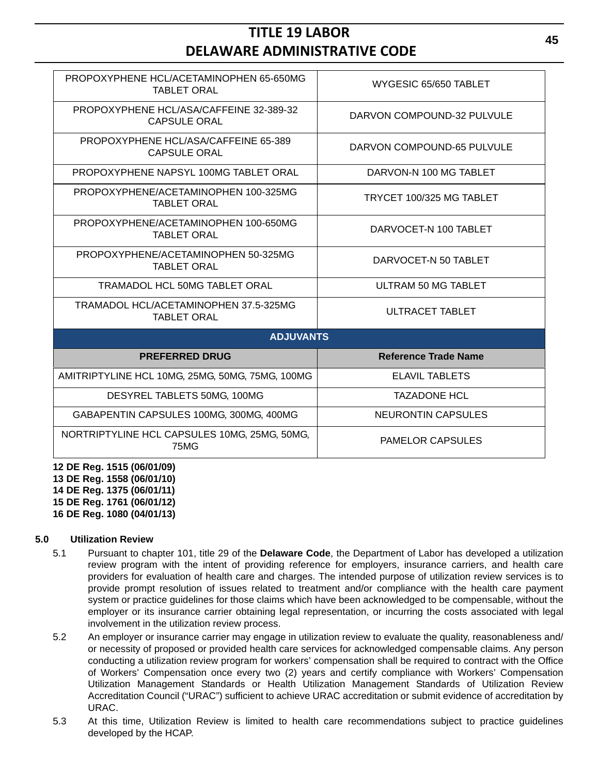| PROPOXYPHENE HCL/ACETAMINOPHEN 65-650MG<br><b>TABLET ORAL</b>  | WYGESIC 65/650 TABLET       |  |  |
|----------------------------------------------------------------|-----------------------------|--|--|
| PROPOXYPHENE HCL/ASA/CAFFEINE 32-389-32<br><b>CAPSULE ORAL</b> | DARVON COMPOUND-32 PULVULE  |  |  |
| PROPOXYPHENE HCL/ASA/CAFFEINE 65-389<br><b>CAPSULE ORAL</b>    | DARVON COMPOUND-65 PULVULE  |  |  |
| PROPOXYPHENE NAPSYL 100MG TABLET ORAL                          | DARVON-N 100 MG TABLET      |  |  |
| PROPOXYPHENE/ACETAMINOPHEN 100-325MG<br><b>TABLET ORAL</b>     | TRYCET 100/325 MG TABLET    |  |  |
| PROPOXYPHENE/ACETAMINOPHEN 100-650MG<br><b>TABLET ORAL</b>     | DARVOCET-N 100 TABLET       |  |  |
| PROPOXYPHENE/ACETAMINOPHEN 50-325MG<br><b>TABLET ORAL</b>      | DARVOCET-N 50 TABLET        |  |  |
| <b>TRAMADOL HCL 50MG TABLET ORAL</b>                           | ULTRAM 50 MG TABLET         |  |  |
| TRAMADOL HCL/ACETAMINOPHEN 37.5-325MG<br><b>TABLET ORAL</b>    | ULTRACET TABLET             |  |  |
| <b>ADJUVANTS</b>                                               |                             |  |  |
| <b>PREFERRED DRUG</b>                                          | <b>Reference Trade Name</b> |  |  |
| AMITRIPTYLINE HCL 10MG, 25MG, 50MG, 75MG, 100MG                | <b>ELAVIL TABLETS</b>       |  |  |
| DESYREL TABLETS 50MG, 100MG                                    | <b>TAZADONE HCL</b>         |  |  |
| GABAPENTIN CAPSULES 100MG, 300MG, 400MG                        | <b>NEURONTIN CAPSULES</b>   |  |  |
| NORTRIPTYLINE HCL CAPSULES 10MG, 25MG, 50MG,<br>75MG           | <b>PAMELOR CAPSULES</b>     |  |  |

**12 DE Reg. 1515 (06/01/09) 13 DE Reg. 1558 (06/01/10) 14 DE Reg. 1375 (06/01/11) 15 DE Reg. 1761 (06/01/12) 16 DE Reg. 1080 (04/01/13)**

**5.0 Utilization Review**

- 5.1 Pursuant to chapter 101, title 29 of the **Delaware Code**, the Department of Labor has developed a utilization review program with the intent of providing reference for employers, insurance carriers, and health care providers for evaluation of health care and charges. The intended purpose of utilization review services is to provide prompt resolution of issues related to treatment and/or compliance with the health care payment system or practice guidelines for those claims which have been acknowledged to be compensable, without the employer or its insurance carrier obtaining legal representation, or incurring the costs associated with legal involvement in the utilization review process.
- 5.2 An employer or insurance carrier may engage in utilization review to evaluate the quality, reasonableness and/ or necessity of proposed or provided health care services for acknowledged compensable claims. Any person conducting a utilization review program for workers' compensation shall be required to contract with the Office of Workers' Compensation once every two (2) years and certify compliance with Workers' Compensation Utilization Management Standards or Health Utilization Management Standards of Utilization Review Accreditation Council ("URAC") sufficient to achieve URAC accreditation or submit evidence of accreditation by URAC.
- 5.3 At this time, Utilization Review is limited to health care recommendations subject to practice guidelines developed by the HCAP.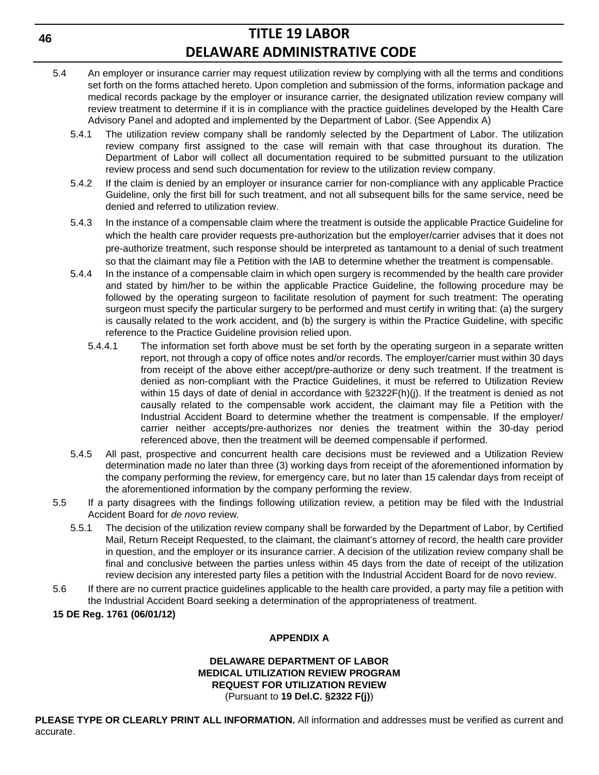- 5.4 An employer or insurance carrier may request utilization review by complying with all the terms and conditions set forth on the forms attached hereto. Upon completion and submission of the forms, information package and medical records package by the employer or insurance carrier, the designated utilization review company will review treatment to determine if it is in compliance with the practice guidelines developed by the Health Care Advisory Panel and adopted and implemented by the Department of Labor. (See Appendix A)
	- 5.4.1 The utilization review company shall be randomly selected by the Department of Labor. The utilization review company first assigned to the case will remain with that case throughout its duration. The Department of Labor will collect all documentation required to be submitted pursuant to the utilization review process and send such documentation for review to the utilization review company.
	- 5.4.2 If the claim is denied by an employer or insurance carrier for non-compliance with any applicable Practice Guideline, only the first bill for such treatment, and not all subsequent bills for the same service, need be denied and referred to utilization review.
	- 5.4.3 In the instance of a compensable claim where the treatment is outside the applicable Practice Guideline for which the health care provider requests pre-authorization but the employer/carrier advises that it does not pre-authorize treatment, such response should be interpreted as tantamount to a denial of such treatment so that the claimant may file a Petition with the IAB to determine whether the treatment is compensable.
	- 5.4.4 In the instance of a compensable claim in which open surgery is recommended by the health care provider and stated by him/her to be within the applicable Practice Guideline, the following procedure may be followed by the operating surgeon to facilitate resolution of payment for such treatment: The operating surgeon must specify the particular surgery to be performed and must certify in writing that: (a) the surgery is causally related to the work accident, and (b) the surgery is within the Practice Guideline, with specific reference to the Practice Guideline provision relied upon.
		- 5.4.4.1 The information set forth above must be set forth by the operating surgeon in a separate written report, not through a copy of office notes and/or records. The employer/carrier must within 30 days from receipt of the above either accept/pre-authorize or deny such treatment. If the treatment is denied as non-compliant with the Practice Guidelines, it must be referred to Utilization Review within 15 days of date of denial in accordance with §2322F(h)(j). If the treatment is denied as not causally related to the compensable work accident, the claimant may file a Petition with the Industrial Accident Board to determine whether the treatment is compensable. If the employer/ carrier neither accepts/pre-authorizes nor denies the treatment within the 30-day period referenced above, then the treatment will be deemed compensable if performed.
	- 5.4.5 All past, prospective and concurrent health care decisions must be reviewed and a Utilization Review determination made no later than three (3) working days from receipt of the aforementioned information by the company performing the review, for emergency care, but no later than 15 calendar days from receipt of the aforementioned information by the company performing the review.
- 5.5 If a party disagrees with the findings following utilization review, a petition may be filed with the Industrial Accident Board for *de novo* review.
	- 5.5.1 The decision of the utilization review company shall be forwarded by the Department of Labor, by Certified Mail, Return Receipt Requested, to the claimant, the claimant's attorney of record, the health care provider in question, and the employer or its insurance carrier. A decision of the utilization review company shall be final and conclusive between the parties unless within 45 days from the date of receipt of the utilization review decision any interested party files a petition with the Industrial Accident Board for de novo review.
- 5.6 If there are no current practice guidelines applicable to the health care provided, a party may file a petition with the Industrial Accident Board seeking a determination of the appropriateness of treatment.

### **15 DE Reg. 1761 (06/01/12)**

## **APPENDIX A**

#### **DELAWARE DEPARTMENT OF LABOR MEDICAL UTILIZATION REVIEW PROGRAM REQUEST FOR UTILIZATION REVIEW** (Pursuant to **19 Del.C. §2322 F(j)**)

**PLEASE TYPE OR CLEARLY PRINT ALL INFORMATION.** All information and addresses must be verified as current and accurate.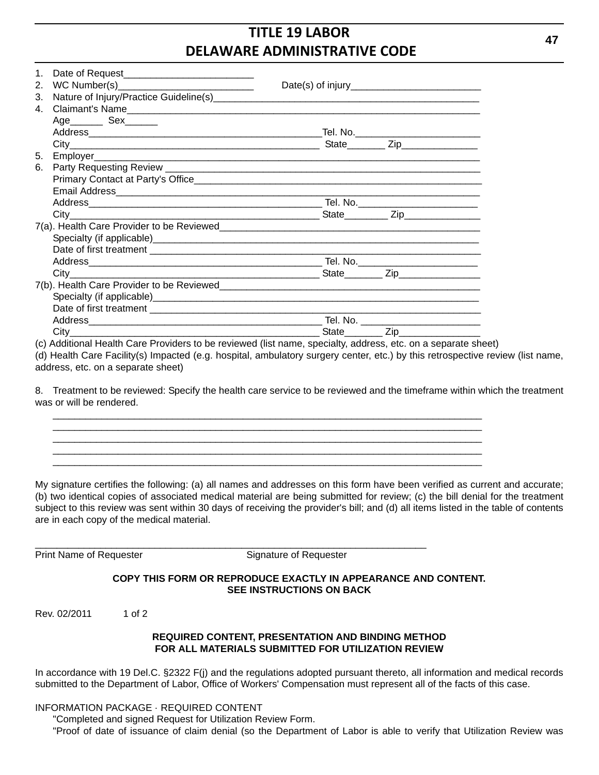| $1_{-}$ |                             |                                      |
|---------|-----------------------------|--------------------------------------|
| 3.      |                             |                                      |
|         |                             |                                      |
|         | Age___________ Sex_________ |                                      |
|         |                             |                                      |
|         |                             |                                      |
|         |                             |                                      |
| 6.      |                             |                                      |
|         |                             |                                      |
|         |                             |                                      |
|         |                             |                                      |
|         |                             |                                      |
|         |                             |                                      |
|         |                             |                                      |
|         |                             |                                      |
|         |                             |                                      |
|         |                             |                                      |
|         |                             |                                      |
|         |                             |                                      |
|         |                             |                                      |
|         |                             |                                      |
|         |                             | State_________ Zip__________________ |

(c) Additional Health Care Providers to be reviewed (list name, specialty, address, etc. on a separate sheet) (d) Health Care Facility(s) Impacted (e.g. hospital, ambulatory surgery center, etc.) by this retrospective review (list name, address, etc. on a separate sheet)

8. Treatment to be reviewed: Specify the health care service to be reviewed and the timeframe within which the treatment was or will be rendered.

\_\_\_\_\_\_\_\_\_\_\_\_\_\_\_\_\_\_\_\_\_\_\_\_\_\_\_\_\_\_\_\_\_\_\_\_\_\_\_\_\_\_\_\_\_\_\_\_\_\_\_\_\_\_\_\_\_\_\_\_\_\_\_\_\_\_\_\_\_\_\_\_

My signature certifies the following: (a) all names and addresses on this form have been verified as current and accurate; (b) two identical copies of associated medical material are being submitted for review; (c) the bill denial for the treatment subject to this review was sent within 30 days of receiving the provider's bill; and (d) all items listed in the table of contents are in each copy of the medical material.

Print Name of Requester Signature of Requester

#### **COPY THIS FORM OR REPRODUCE EXACTLY IN APPEARANCE AND CONTENT. SEE INSTRUCTIONS ON BACK**

Rev. 02/2011 1 of 2

## **REQUIRED CONTENT, PRESENTATION AND BINDING METHOD FOR ALL MATERIALS SUBMITTED FOR UTILIZATION REVIEW**

In accordance with 19 Del.C. §2322 F(j) and the regulations adopted pursuant thereto, all information and medical records submitted to the Department of Labor, Office of Workers' Compensation must represent all of the facts of this case.

## INFORMATION PACKAGE · REQUIRED CONTENT

"Completed and signed Request for Utilization Review Form.

"Proof of date of issuance of claim denial (so the Department of Labor is able to verify that Utilization Review was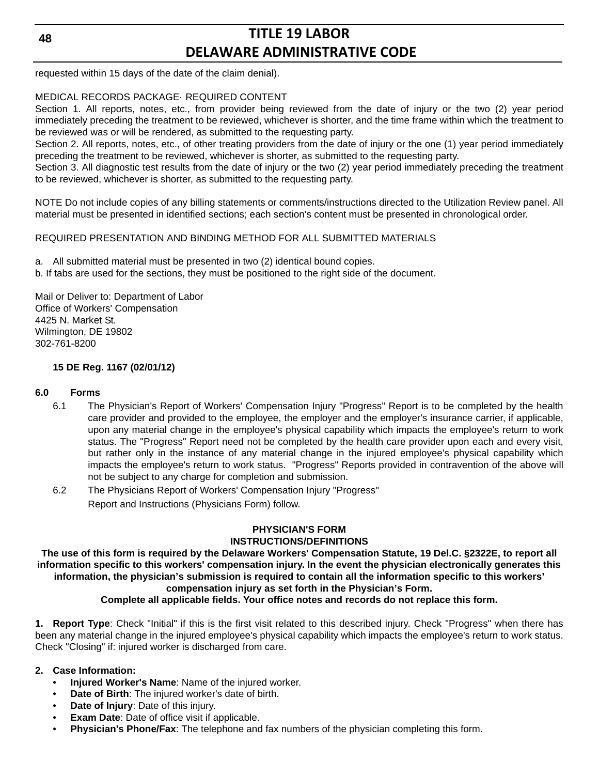requested within 15 days of the date of the claim denial).

#### MEDICAL RECORDS PACKAGE· REQUIRED CONTENT

Section 1. All reports, notes, etc., from provider being reviewed from the date of injury or the two (2) year period immediately preceding the treatment to be reviewed, whichever is shorter, and the time frame within which the treatment to be reviewed was or will be rendered, as submitted to the requesting party.

Section 2. All reports, notes, etc., of other treating providers from the date of injury or the one (1) year period immediately preceding the treatment to be reviewed, whichever is shorter, as submitted to the requesting party.

Section 3. All diagnostic test results from the date of injury or the two (2) year period immediately preceding the treatment to be reviewed, whichever is shorter, as submitted to the requesting party.

NOTE Do not include copies of any billing statements or comments/instructions directed to the Utilization Review panel. All material must be presented in identified sections; each section's content must be presented in chronological order.

#### REQUIRED PRESENTATION AND BINDING METHOD FOR ALL SUBMITTED MATERIALS

a. All submitted material must be presented in two (2) identical bound copies.

b. If tabs are used for the sections, they must be positioned to the right side of the document.

Mail or Deliver to: Department of Labor Office of Workers' Compensation 4425 N. Market St. Wilmington, DE 19802 302-761-8200

#### **15 DE Reg. 1167 (02/01/12)**

#### **6.0 Forms**

- 6.1 The Physician's Report of Workers' Compensation Injury "Progress" Report is to be completed by the health care provider and provided to the employee, the employer and the employer's insurance carrier, if applicable, upon any material change in the employee's physical capability which impacts the employee's return to work status. The "Progress" Report need not be completed by the health care provider upon each and every visit, but rather only in the instance of any material change in the injured employee's physical capability which impacts the employee's return to work status. "Progress" Reports provided in contravention of the above will not be subject to any charge for completion and submission.
- 6.2 The Physicians Report of Workers' Compensation Injury "Progress" Report and Instructions (Physicians Form) follow.

## **PHYSICIAN'S FORM INSTRUCTIONS/DEFINITIONS**

**The use of this form is required by the Delaware Workers' Compensation Statute, 19 Del.C. §2322E, to report all information specific to this workers' compensation injury. In the event the physician electronically generates this information, the physician's submission is required to contain all the information specific to this workers'** 

#### **compensation injury as set forth in the Physician's Form.**

**Complete all applicable fields. Your office notes and records do not replace this form.**

**1. Report Type**: Check "Initial" if this is the first visit related to this described injury. Check "Progress" when there has been any material change in the injured employee's physical capability which impacts the employee's return to work status. Check "Closing" if: injured worker is discharged from care.

- **2. Case Information:**
	- **Injured Worker's Name**: Name of the injured worker.
	- **Date of Birth**: The injured worker's date of birth.
	- **Date of Injury**: Date of this injury.
	- **Exam Date:** Date of office visit if applicable.
	- **Physician's Phone/Fax**: The telephone and fax numbers of the physician completing this form.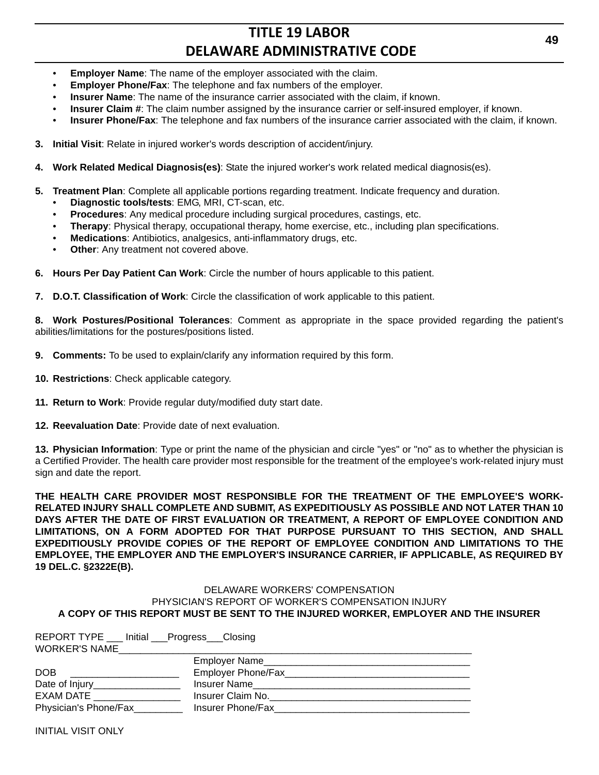- **Employer Name**: The name of the employer associated with the claim.
- **Employer Phone/Fax:** The telephone and fax numbers of the employer.
- **Insurer Name**: The name of the insurance carrier associated with the claim, if known.
- **Insurer Claim #:** The claim number assigned by the insurance carrier or self-insured employer, if known.
- **Insurer Phone/Fax**: The telephone and fax numbers of the insurance carrier associated with the claim, if known.
- **3. Initial Visit**: Relate in injured worker's words description of accident/injury.
- **4. Work Related Medical Diagnosis(es)**: State the injured worker's work related medical diagnosis(es).
- **5. Treatment Plan**: Complete all applicable portions regarding treatment. Indicate frequency and duration.
	- **Diagnostic tools/tests**: EMG, MRI, CT-scan, etc.
	- **Procedures**: Any medical procedure including surgical procedures, castings, etc.
	- **Therapy**: Physical therapy, occupational therapy, home exercise, etc., including plan specifications.
	- **Medications**: Antibiotics, analgesics, anti-inflammatory drugs, etc.
	- **Other:** Any treatment not covered above.
- **6. Hours Per Day Patient Can Work**: Circle the number of hours applicable to this patient.
- **7. D.O.T. Classification of Work**: Circle the classification of work applicable to this patient.

**8. Work Postures/Positional Tolerances**: Comment as appropriate in the space provided regarding the patient's abilities/limitations for the postures/positions listed.

- **9. Comments:** To be used to explain/clarify any information required by this form.
- **10. Restrictions**: Check applicable category.
- **11. Return to Work**: Provide regular duty/modified duty start date.
- **12. Reevaluation Date**: Provide date of next evaluation.

**13. Physician Information**: Type or print the name of the physician and circle "yes" or "no" as to whether the physician is a Certified Provider. The health care provider most responsible for the treatment of the employee's work-related injury must sign and date the report.

**THE HEALTH CARE PROVIDER MOST RESPONSIBLE FOR THE TREATMENT OF THE EMPLOYEE'S WORK-RELATED INJURY SHALL COMPLETE AND SUBMIT, AS EXPEDITIOUSLY AS POSSIBLE AND NOT LATER THAN 10 DAYS AFTER THE DATE OF FIRST EVALUATION OR TREATMENT, A REPORT OF EMPLOYEE CONDITION AND LIMITATIONS, ON A FORM ADOPTED FOR THAT PURPOSE PURSUANT TO THIS SECTION, AND SHALL EXPEDITIOUSLY PROVIDE COPIES OF THE REPORT OF EMPLOYEE CONDITION AND LIMITATIONS TO THE EMPLOYEE, THE EMPLOYER AND THE EMPLOYER'S INSURANCE CARRIER, IF APPLICABLE, AS REQUIRED BY 19 DEL.C. §2322E(B).**

#### DELAWARE WORKERS' COMPENSATION PHYSICIAN'S REPORT OF WORKER'S COMPENSATION INJURY **A COPY OF THIS REPORT MUST BE SENT TO THE INJURED WORKER, EMPLOYER AND THE INSURER**

| REPORT TYPE ___ Initial ___Progress___Closing                                          |                   |  |  |
|----------------------------------------------------------------------------------------|-------------------|--|--|
| <b>WORKER'S NAME</b>                                                                   |                   |  |  |
|                                                                                        |                   |  |  |
| DOB<br>the contract of the contract of the contract of the contract of the contract of |                   |  |  |
|                                                                                        |                   |  |  |
| EXAM DATE EXAMPLE                                                                      | Insurer Claim No. |  |  |
| Physician's Phone/Fax                                                                  | Insurer Phone/Fax |  |  |

INITIAL VISIT ONLY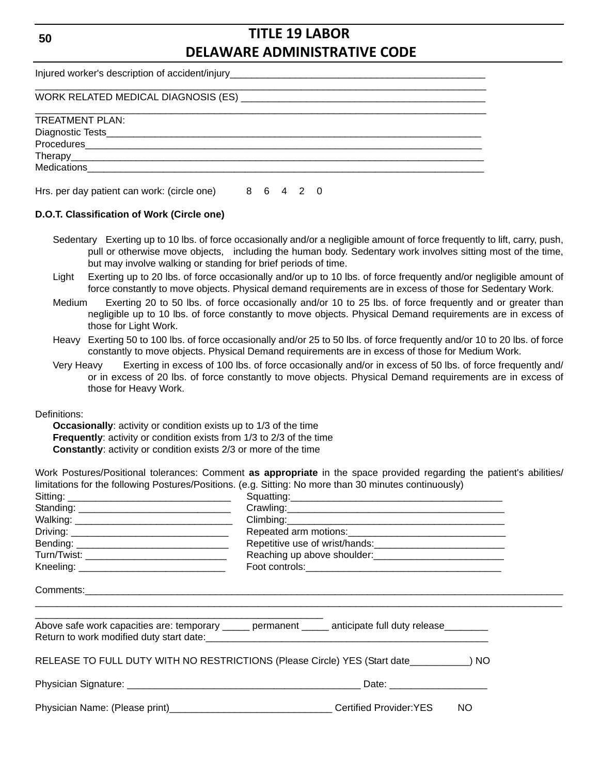Injured worker's description of accident/injury WORK RELATED MEDICAL DIAGNOSIS (ES) \_\_\_\_\_\_\_\_\_\_\_\_\_\_\_\_\_\_\_\_\_\_\_\_\_\_\_\_\_\_\_\_\_\_\_\_\_\_\_\_\_\_\_\_\_ \_\_\_\_\_\_\_\_\_\_\_\_\_\_\_\_\_\_\_\_\_\_\_\_\_\_\_\_\_\_\_\_\_\_\_\_\_\_\_\_\_\_\_\_\_\_\_\_\_\_\_\_\_\_\_\_\_\_\_\_\_\_\_\_\_\_\_\_\_\_\_\_\_\_\_\_\_\_\_\_\_\_\_ TREATMENT PLAN: Diagnostic Tests Procedures Therapy\_\_\_\_\_\_\_\_\_\_\_\_\_\_\_\_\_\_\_\_\_\_\_\_\_\_\_\_\_\_\_\_\_\_\_\_\_\_\_\_\_\_\_\_\_\_\_\_\_\_\_\_\_\_\_\_\_\_\_\_\_\_\_\_\_\_\_\_\_\_\_\_\_\_\_\_ Medications Hrs. per day patient can work: (circle one) 8 6 4 2 0

#### **D.O.T. Classification of Work (Circle one)**

- Sedentary Exerting up to 10 lbs. of force occasionally and/or a negligible amount of force frequently to lift, carry, push, pull or otherwise move objects, including the human body. Sedentary work involves sitting most of the time, but may involve walking or standing for brief periods of time.
- Light Exerting up to 20 lbs. of force occasionally and/or up to 10 lbs. of force frequently and/or negligible amount of force constantly to move objects. Physical demand requirements are in excess of those for Sedentary Work.
- Medium Exerting 20 to 50 lbs. of force occasionally and/or 10 to 25 lbs. of force frequently and or greater than negligible up to 10 lbs. of force constantly to move objects. Physical Demand requirements are in excess of those for Light Work.
- Heavy Exerting 50 to 100 lbs. of force occasionally and/or 25 to 50 lbs. of force frequently and/or 10 to 20 lbs. of force constantly to move objects. Physical Demand requirements are in excess of those for Medium Work.
- Very Heavy Exerting in excess of 100 lbs. of force occasionally and/or in excess of 50 lbs. of force frequently and/ or in excess of 20 lbs. of force constantly to move objects. Physical Demand requirements are in excess of those for Heavy Work.

Definitions:

**Occasionally:** activity or condition exists up to 1/3 of the time **Frequently**: activity or condition exists from 1/3 to 2/3 of the time **Constantly**: activity or condition exists 2/3 or more of the time

Work Postures/Positional tolerances: Comment **as appropriate** in the space provided regarding the patient's abilities/ limitations for the following Postures/Positions. (e.g. Sitting: No more than 30 minutes continuously)

|  | Above safe work capacities are: temporary ______ permanent ______ anticipate full duty release________ |  |
|--|--------------------------------------------------------------------------------------------------------|--|
|  | RELEASE TO FULL DUTY WITH NO RESTRICTIONS (Please Circle) YES (Start date_________) NO                 |  |
|  |                                                                                                        |  |
|  | Physician Name: (Please print)___________________________________Certified Provider:YES NO             |  |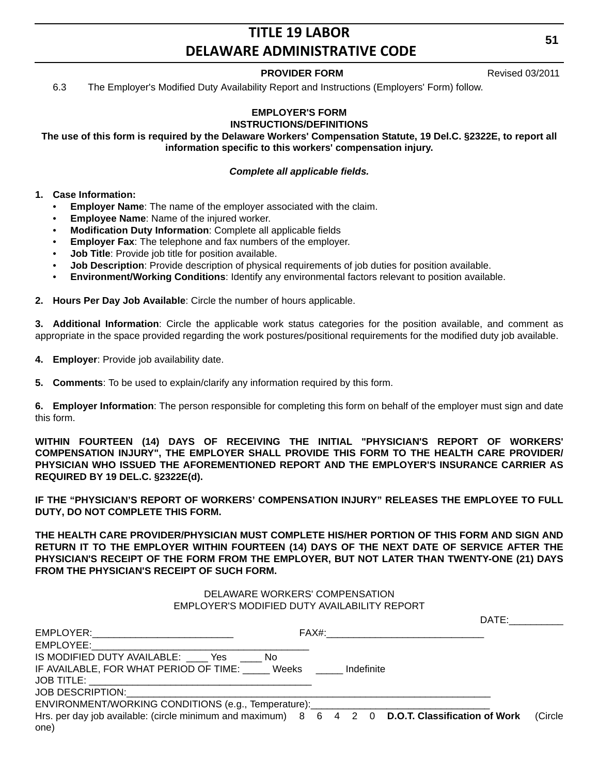### **PROVIDER FORM** Revised 03/2011

6.3 The Employer's Modified Duty Availability Report and Instructions (Employers' Form) follow.

#### **EMPLOYER'S FORM INSTRUCTIONS/DEFINITIONS**

**The use of this form is required by the Delaware Workers' Compensation Statute, 19 Del.C. §2322E, to report all information specific to this workers' compensation injury.**

#### *Complete all applicable fields.*

#### **1. Case Information:**

- **Employer Name**: The name of the employer associated with the claim.
- **Employee Name**: Name of the injured worker.
- **Modification Duty Information**: Complete all applicable fields
- **Employer Fax:** The telephone and fax numbers of the employer.
- **Job Title**: Provide job title for position available.
- **Job Description**: Provide description of physical requirements of job duties for position available.
- **Environment/Working Conditions**: Identify any environmental factors relevant to position available.
- **2. Hours Per Day Job Available**: Circle the number of hours applicable.

**3. Additional Information**: Circle the applicable work status categories for the position available, and comment as appropriate in the space provided regarding the work postures/positional requirements for the modified duty job available.

**4. Employer**: Provide job availability date.

**5. Comments**: To be used to explain/clarify any information required by this form.

**6. Employer Information**: The person responsible for completing this form on behalf of the employer must sign and date this form.

**WITHIN FOURTEEN (14) DAYS OF RECEIVING THE INITIAL "PHYSICIAN'S REPORT OF WORKERS' COMPENSATION INJURY", THE EMPLOYER SHALL PROVIDE THIS FORM TO THE HEALTH CARE PROVIDER/ PHYSICIAN WHO ISSUED THE AFOREMENTIONED REPORT AND THE EMPLOYER'S INSURANCE CARRIER AS REQUIRED BY 19 DEL.C. §2322E(d).**

**IF THE "PHYSICIAN'S REPORT OF WORKERS' COMPENSATION INJURY" RELEASES THE EMPLOYEE TO FULL DUTY, DO NOT COMPLETE THIS FORM.**

**THE HEALTH CARE PROVIDER/PHYSICIAN MUST COMPLETE HIS/HER PORTION OF THIS FORM AND SIGN AND RETURN IT TO THE EMPLOYER WITHIN FOURTEEN (14) DAYS OF THE NEXT DATE OF SERVICE AFTER THE PHYSICIAN'S RECEIPT OF THE FORM FROM THE EMPLOYER, BUT NOT LATER THAN TWENTY-ONE (21) DAYS FROM THE PHYSICIAN'S RECEIPT OF SUCH FORM.**

#### DELAWARE WORKERS' COMPENSATION EMPLOYER'S MODIFIED DUTY AVAILABILITY REPORT

|                                                                                                          | DATE:      |         |
|----------------------------------------------------------------------------------------------------------|------------|---------|
| EMPLOYER:_________________________________                                                               |            |         |
|                                                                                                          |            |         |
| IS MODIFIED DUTY AVAILABLE: Yes<br>No.                                                                   |            |         |
| IF AVAILABLE, FOR WHAT PERIOD OF TIME: Weeks                                                             | Indefinite |         |
|                                                                                                          |            |         |
| JOB DESCRIPTION: <u>_________________________</u>                                                        |            |         |
| ENVIRONMENT/WORKING CONDITIONS (e.g., Temperature): ____________________________                         |            |         |
| Hrs. per day job available: (circle minimum and maximum) 8 6 4 2 0 D.O.T. Classification of Work<br>one) |            | (Circle |